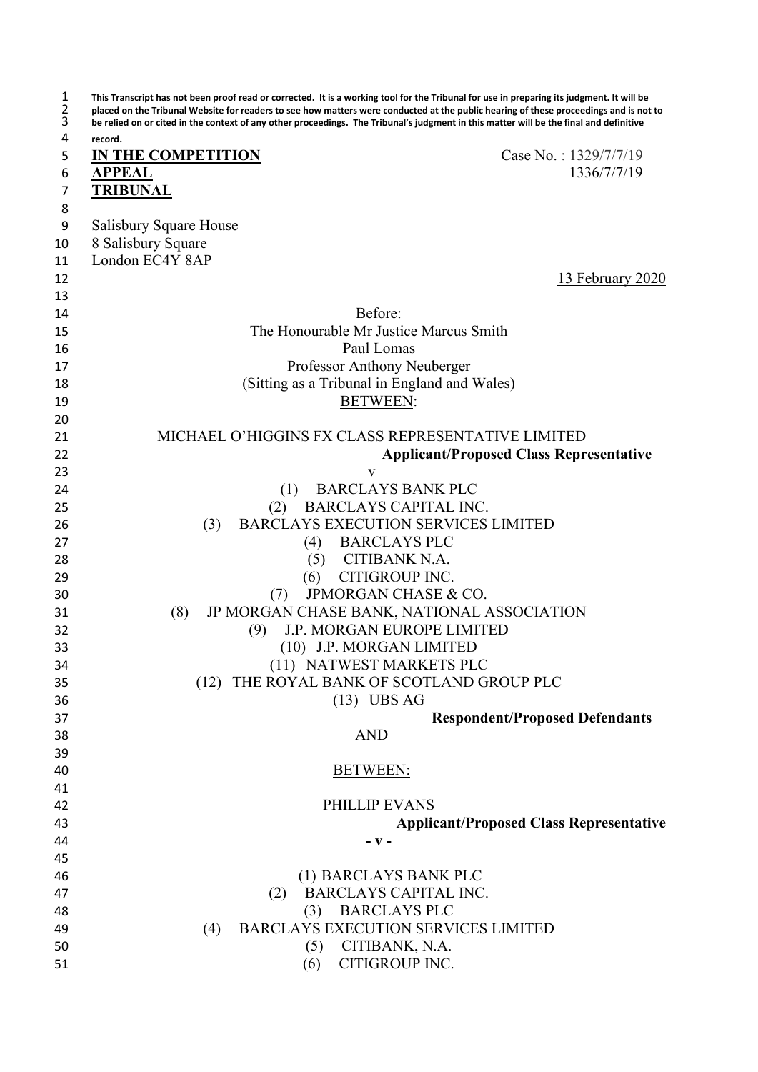| 1<br>2<br>3 | This Transcript has not been proof read or corrected. It is a working tool for the Tribunal for use in preparing its judgment. It will be<br>placed on the Tribunal Website for readers to see how matters were conducted at the public hearing of these proceedings and is not to<br>be relied on or cited in the context of any other proceedings. The Tribunal's judgment in this matter will be the final and definitive |
|-------------|------------------------------------------------------------------------------------------------------------------------------------------------------------------------------------------------------------------------------------------------------------------------------------------------------------------------------------------------------------------------------------------------------------------------------|
| 4           | record.                                                                                                                                                                                                                                                                                                                                                                                                                      |
| 5           | Case No.: 1329/7/7/19<br><b>IN THE COMPETITION</b>                                                                                                                                                                                                                                                                                                                                                                           |
| 6           | 1336/7/7/19<br><b>APPEAL</b>                                                                                                                                                                                                                                                                                                                                                                                                 |
| 7           | <b>TRIBUNAL</b>                                                                                                                                                                                                                                                                                                                                                                                                              |
| 8           |                                                                                                                                                                                                                                                                                                                                                                                                                              |
| 9           | Salisbury Square House                                                                                                                                                                                                                                                                                                                                                                                                       |
| 10          | 8 Salisbury Square                                                                                                                                                                                                                                                                                                                                                                                                           |
| 11          | London EC4Y 8AP                                                                                                                                                                                                                                                                                                                                                                                                              |
| 12          | 13 February 2020                                                                                                                                                                                                                                                                                                                                                                                                             |
| 13          |                                                                                                                                                                                                                                                                                                                                                                                                                              |
| 14          | Before:                                                                                                                                                                                                                                                                                                                                                                                                                      |
| 15          | The Honourable Mr Justice Marcus Smith                                                                                                                                                                                                                                                                                                                                                                                       |
| 16          | Paul Lomas                                                                                                                                                                                                                                                                                                                                                                                                                   |
| 17          | Professor Anthony Neuberger                                                                                                                                                                                                                                                                                                                                                                                                  |
| 18          | (Sitting as a Tribunal in England and Wales)                                                                                                                                                                                                                                                                                                                                                                                 |
| 19          | <b>BETWEEN:</b>                                                                                                                                                                                                                                                                                                                                                                                                              |
| 20          |                                                                                                                                                                                                                                                                                                                                                                                                                              |
| 21          | MICHAEL O'HIGGINS FX CLASS REPRESENTATIVE LIMITED                                                                                                                                                                                                                                                                                                                                                                            |
| 22          | <b>Applicant/Proposed Class Representative</b>                                                                                                                                                                                                                                                                                                                                                                               |
| 23          | V                                                                                                                                                                                                                                                                                                                                                                                                                            |
| 24          | <b>BARCLAYS BANK PLC</b><br>(1)                                                                                                                                                                                                                                                                                                                                                                                              |
| 25          | <b>BARCLAYS CAPITAL INC.</b><br>(2)                                                                                                                                                                                                                                                                                                                                                                                          |
| 26          | BARCLAYS EXECUTION SERVICES LIMITED<br>(3)                                                                                                                                                                                                                                                                                                                                                                                   |
| 27          | (4) BARCLAYS PLC                                                                                                                                                                                                                                                                                                                                                                                                             |
| 28          | (5) CITIBANK N.A.                                                                                                                                                                                                                                                                                                                                                                                                            |
| 29          | (6) CITIGROUP INC.                                                                                                                                                                                                                                                                                                                                                                                                           |
| 30          | JPMORGAN CHASE & CO.<br>(7)<br>JP MORGAN CHASE BANK, NATIONAL ASSOCIATION<br>(8)                                                                                                                                                                                                                                                                                                                                             |
| 31<br>32    | J.P. MORGAN EUROPE LIMITED<br>(9)                                                                                                                                                                                                                                                                                                                                                                                            |
| 33          | (10) J.P. MORGAN LIMITED                                                                                                                                                                                                                                                                                                                                                                                                     |
| 34          | (11) NATWEST MARKETS PLC                                                                                                                                                                                                                                                                                                                                                                                                     |
| 35          | (12) THE ROYAL BANK OF SCOTLAND GROUP PLC                                                                                                                                                                                                                                                                                                                                                                                    |
| 36          | $(13)$ UBS AG                                                                                                                                                                                                                                                                                                                                                                                                                |
| 37          | <b>Respondent/Proposed Defendants</b>                                                                                                                                                                                                                                                                                                                                                                                        |
| 38          | <b>AND</b>                                                                                                                                                                                                                                                                                                                                                                                                                   |
| 39          |                                                                                                                                                                                                                                                                                                                                                                                                                              |
| 40          | <b>BETWEEN:</b>                                                                                                                                                                                                                                                                                                                                                                                                              |
| 41          |                                                                                                                                                                                                                                                                                                                                                                                                                              |
| 42          | PHILLIP EVANS                                                                                                                                                                                                                                                                                                                                                                                                                |
| 43          | <b>Applicant/Proposed Class Representative</b>                                                                                                                                                                                                                                                                                                                                                                               |
| 44          | – V –                                                                                                                                                                                                                                                                                                                                                                                                                        |
| 45          |                                                                                                                                                                                                                                                                                                                                                                                                                              |
| 46          | (1) BARCLAYS BANK PLC                                                                                                                                                                                                                                                                                                                                                                                                        |
| 47          | <b>BARCLAYS CAPITAL INC.</b><br>(2)                                                                                                                                                                                                                                                                                                                                                                                          |
| 48          | <b>BARCLAYS PLC</b><br>(3)                                                                                                                                                                                                                                                                                                                                                                                                   |
| 49          | <b>BARCLAYS EXECUTION SERVICES LIMITED</b><br>(4)                                                                                                                                                                                                                                                                                                                                                                            |
| 50          | CITIBANK, N.A.<br>(5)                                                                                                                                                                                                                                                                                                                                                                                                        |
| 51          | CITIGROUP INC.<br>(6)                                                                                                                                                                                                                                                                                                                                                                                                        |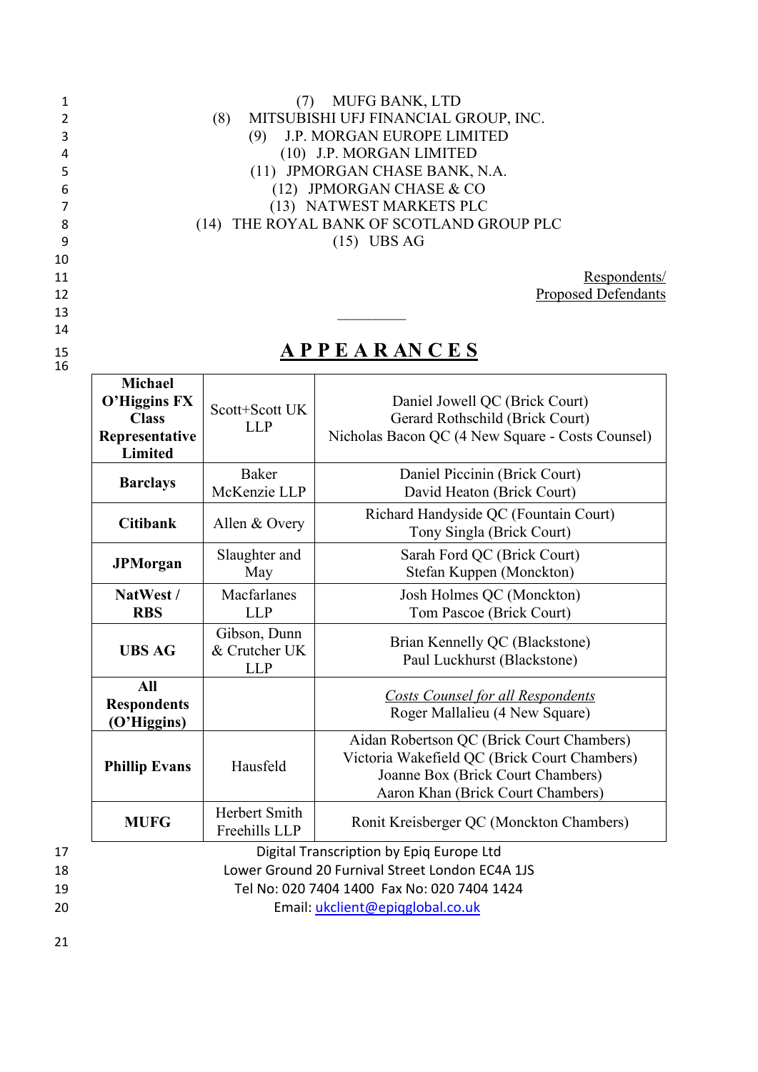|   | MUFG BANK, LTD                              |
|---|---------------------------------------------|
| 2 | MITSUBISHI UFJ FINANCIAL GROUP, INC.<br>(8) |
| 3 | J.P. MORGAN EUROPE LIMITED                  |
| 4 | (10) J.P. MORGAN LIMITED                    |
| 5 | (11) JPMORGAN CHASE BANK, N.A.              |
| 6 | $(12)$ JPMORGAN CHASE & CO                  |
| 7 | (13) NATWEST MARKETS PLC                    |
| 8 | (14) THE ROYAL BANK OF SCOTLAND GROUP PLC   |
| 9 | $(15)$ UBS AG                               |

11 Respondents/ 12 **Proposed Defendants** 

 $\overline{\phantom{0}}$ 

# <sup>15</sup> **A P P E A R AN C E S**

13 \_\_\_\_\_\_\_\_\_

|                      | <b>Michael</b><br>O'Higgins FX<br><b>Class</b><br>Representative<br>Limited | Scott+Scott UK<br><b>LLP</b>                | Daniel Jowell QC (Brick Court)<br>Gerard Rothschild (Brick Court)<br>Nicholas Bacon QC (4 New Square - Costs Counsel)                                                          |
|----------------------|-----------------------------------------------------------------------------|---------------------------------------------|--------------------------------------------------------------------------------------------------------------------------------------------------------------------------------|
|                      | <b>Barclays</b>                                                             | <b>Baker</b><br>McKenzie LLP                | Daniel Piccinin (Brick Court)<br>David Heaton (Brick Court)                                                                                                                    |
|                      | <b>Citibank</b>                                                             | Allen & Overy                               | Richard Handyside QC (Fountain Court)<br>Tony Singla (Brick Court)                                                                                                             |
|                      | <b>JPMorgan</b>                                                             | Slaughter and<br>May                        | Sarah Ford QC (Brick Court)<br>Stefan Kuppen (Monckton)                                                                                                                        |
|                      | NatWest /<br><b>RBS</b>                                                     | Macfarlanes<br><b>LLP</b>                   | Josh Holmes QC (Monckton)<br>Tom Pascoe (Brick Court)                                                                                                                          |
|                      | <b>UBS AG</b>                                                               | Gibson, Dunn<br>& Crutcher UK<br><b>LLP</b> | Brian Kennelly QC (Blackstone)<br>Paul Luckhurst (Blackstone)                                                                                                                  |
|                      | <b>All</b><br><b>Respondents</b><br>(O'Higgins)                             |                                             | <b>Costs Counsel for all Respondents</b><br>Roger Mallalieu (4 New Square)                                                                                                     |
|                      | <b>Phillip Evans</b>                                                        | Hausfeld                                    | Aidan Robertson QC (Brick Court Chambers)<br>Victoria Wakefield QC (Brick Court Chambers)<br>Joanne Box (Brick Court Chambers)<br>Aaron Khan (Brick Court Chambers)            |
|                      | <b>MUFG</b>                                                                 | Herbert Smith<br>Freehills LLP              | Ronit Kreisberger QC (Monckton Chambers)                                                                                                                                       |
| 17<br>18<br>19<br>20 |                                                                             |                                             | Digital Transcription by Epiq Europe Ltd<br>Lower Ground 20 Furnival Street London EC4A 1JS<br>Tel No: 020 7404 1400 Fax No: 020 7404 1424<br>Email: ukclient@epigglobal.co.uk |

 $\frac{15}{16}$ 

 $\Gamma$ 

14

10

21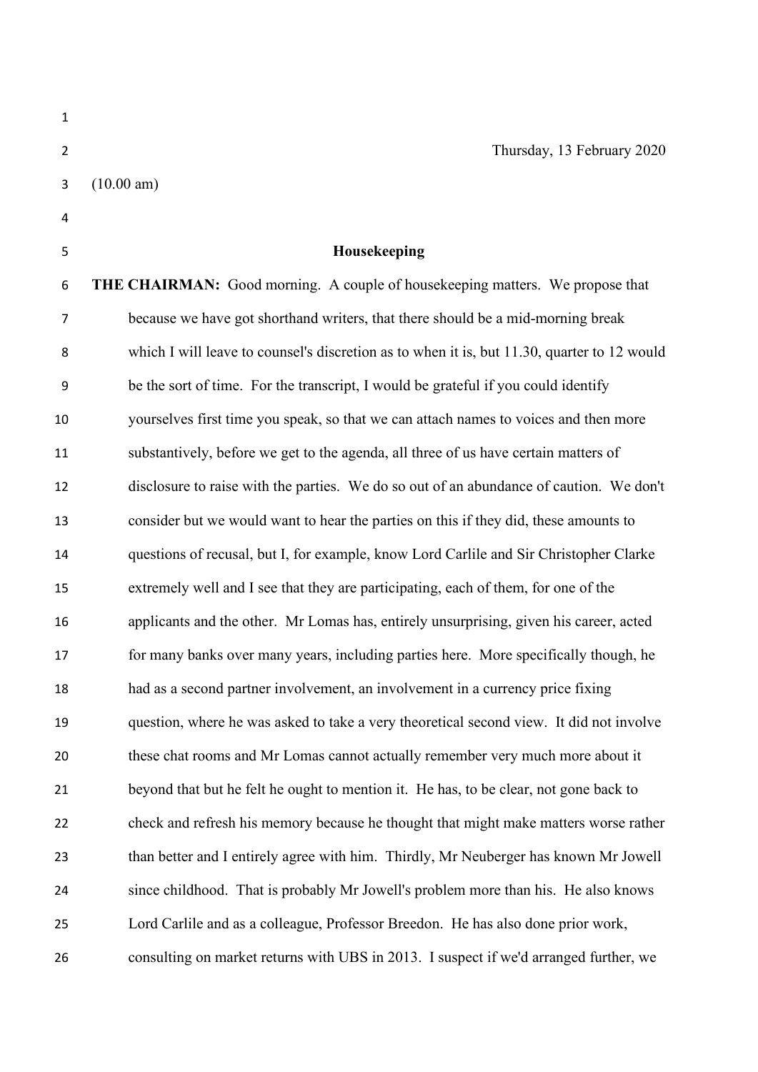| $\mathbf{1}$   |                                                                                             |
|----------------|---------------------------------------------------------------------------------------------|
| $\overline{2}$ | Thursday, 13 February 2020                                                                  |
| 3              | (10.00 am)                                                                                  |
| 4              |                                                                                             |
| 5              | Housekeeping                                                                                |
| 6              | <b>THE CHAIRMAN:</b> Good morning. A couple of housekeeping matters. We propose that        |
| $\overline{7}$ | because we have got shorthand writers, that there should be a mid-morning break             |
| 8              | which I will leave to counsel's discretion as to when it is, but 11.30, quarter to 12 would |
| 9              | be the sort of time. For the transcript, I would be grateful if you could identify          |
| 10             | yourselves first time you speak, so that we can attach names to voices and then more        |
| 11             | substantively, before we get to the agenda, all three of us have certain matters of         |
| 12             | disclosure to raise with the parties. We do so out of an abundance of caution. We don't     |
| 13             | consider but we would want to hear the parties on this if they did, these amounts to        |
| 14             | questions of recusal, but I, for example, know Lord Carlile and Sir Christopher Clarke      |
| 15             | extremely well and I see that they are participating, each of them, for one of the          |
| 16             | applicants and the other. Mr Lomas has, entirely unsurprising, given his career, acted      |
| 17             | for many banks over many years, including parties here. More specifically though, he        |
| 18             | had as a second partner involvement, an involvement in a currency price fixing              |
| 19             | question, where he was asked to take a very theoretical second view. It did not involve     |
| 20             | these chat rooms and Mr Lomas cannot actually remember very much more about it              |
| 21             | beyond that but he felt he ought to mention it. He has, to be clear, not gone back to       |
| 22             | check and refresh his memory because he thought that might make matters worse rather        |
| 23             | than better and I entirely agree with him. Thirdly, Mr Neuberger has known Mr Jowell        |
| 24             | since childhood. That is probably Mr Jowell's problem more than his. He also knows          |
| 25             | Lord Carlile and as a colleague, Professor Breedon. He has also done prior work,            |
| 26             | consulting on market returns with UBS in 2013. I suspect if we'd arranged further, we       |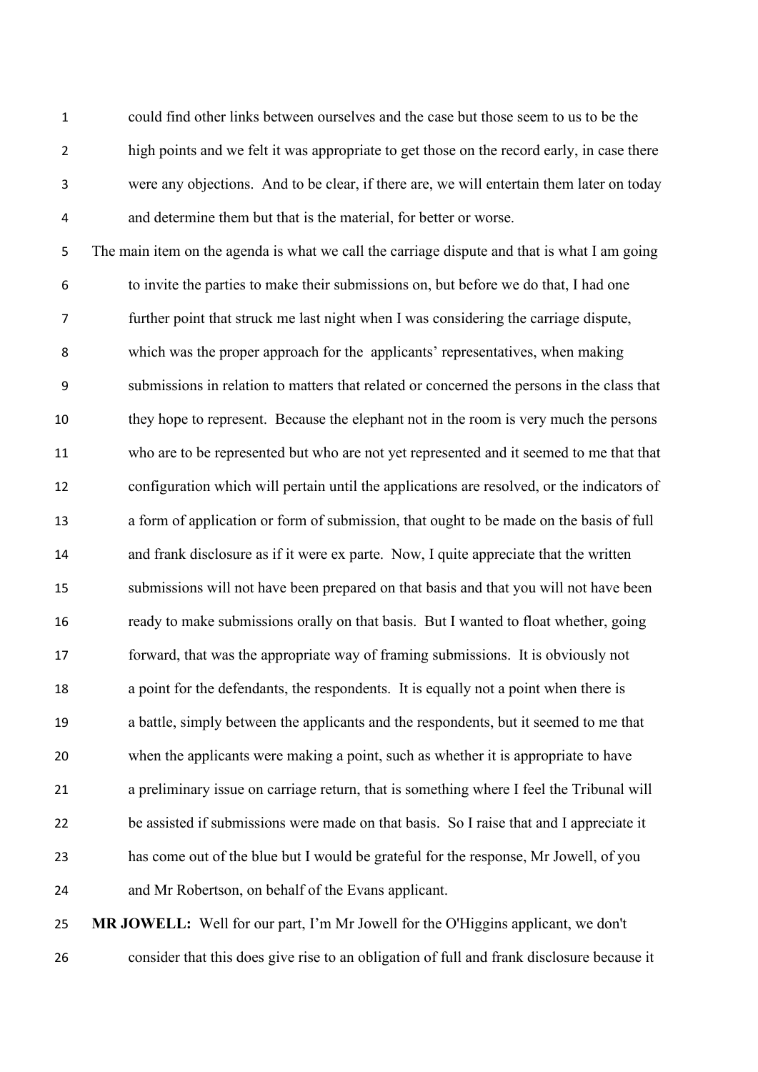could find other links between ourselves and the case but those seem to us to be the high points and we felt it was appropriate to get those on the record early, in case there were any objections. And to be clear, if there are, we will entertain them later on today and determine them but that is the material, for better or worse.

 The main item on the agenda is what we call the carriage dispute and that is what I am going to invite the parties to make their submissions on, but before we do that, I had one further point that struck me last night when I was considering the carriage dispute, which was the proper approach for the applicants' representatives, when making submissions in relation to matters that related or concerned the persons in the class that they hope to represent. Because the elephant not in the room is very much the persons who are to be represented but who are not yet represented and it seemed to me that that configuration which will pertain until the applications are resolved, or the indicators of a form of application or form of submission, that ought to be made on the basis of full and frank disclosure as if it were ex parte. Now, I quite appreciate that the written submissions will not have been prepared on that basis and that you will not have been ready to make submissions orally on that basis. But I wanted to float whether, going forward, that was the appropriate way of framing submissions. It is obviously not a point for the defendants, the respondents. It is equally not a point when there is a battle, simply between the applicants and the respondents, but it seemed to me that when the applicants were making a point, such as whether it is appropriate to have a preliminary issue on carriage return, that is something where I feel the Tribunal will be assisted if submissions were made on that basis. So I raise that and I appreciate it has come out of the blue but I would be grateful for the response, Mr Jowell, of you and Mr Robertson, on behalf of the Evans applicant.

 **MR JOWELL:** Well for our part, I'm Mr Jowell for the O'Higgins applicant, we don't consider that this does give rise to an obligation of full and frank disclosure because it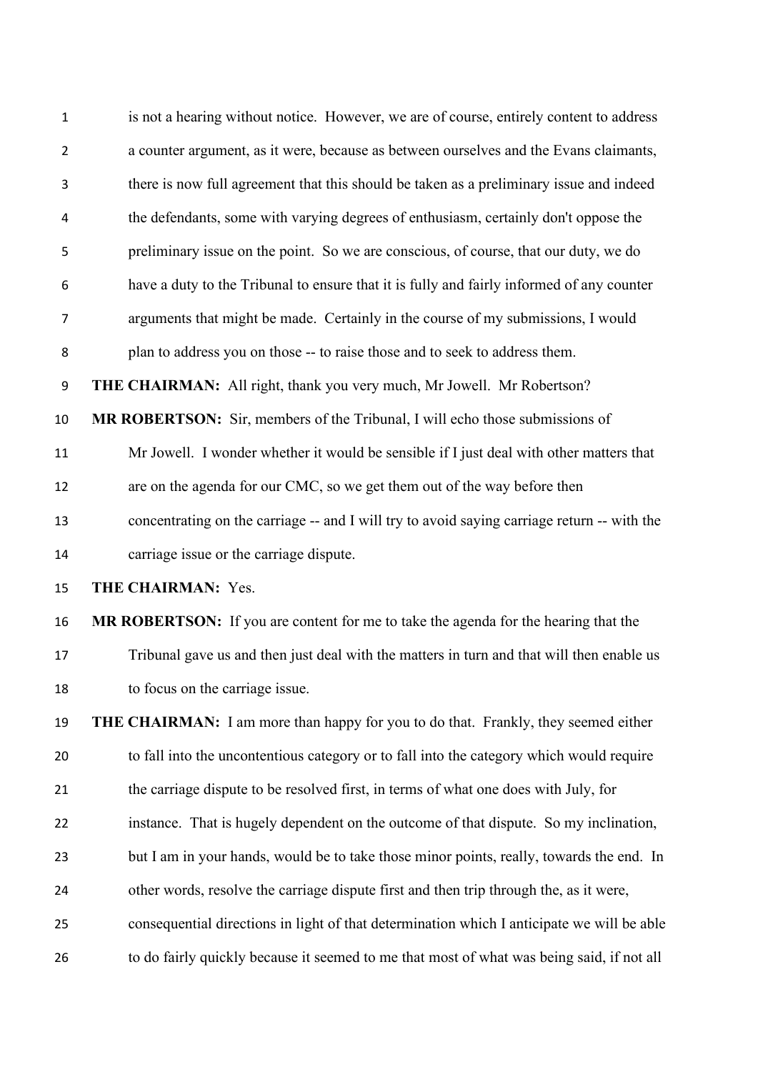| $\mathbf{1}$     | is not a hearing without notice. However, we are of course, entirely content to address     |
|------------------|---------------------------------------------------------------------------------------------|
| $\overline{2}$   | a counter argument, as it were, because as between ourselves and the Evans claimants,       |
| 3                | there is now full agreement that this should be taken as a preliminary issue and indeed     |
| 4                | the defendants, some with varying degrees of enthusiasm, certainly don't oppose the         |
| 5                | preliminary issue on the point. So we are conscious, of course, that our duty, we do        |
| 6                | have a duty to the Tribunal to ensure that it is fully and fairly informed of any counter   |
| $\overline{7}$   | arguments that might be made. Certainly in the course of my submissions, I would            |
| 8                | plan to address you on those -- to raise those and to seek to address them.                 |
| $\boldsymbol{9}$ | THE CHAIRMAN: All right, thank you very much, Mr Jowell. Mr Robertson?                      |
| 10               | MR ROBERTSON: Sir, members of the Tribunal, I will echo those submissions of                |
| 11               | Mr Jowell. I wonder whether it would be sensible if I just deal with other matters that     |
| 12               | are on the agenda for our CMC, so we get them out of the way before then                    |
| 13               | concentrating on the carriage -- and I will try to avoid saying carriage return -- with the |
| 14               | carriage issue or the carriage dispute.                                                     |
| 15               | THE CHAIRMAN: Yes.                                                                          |
| 16               | MR ROBERTSON: If you are content for me to take the agenda for the hearing that the         |
| 17               | Tribunal gave us and then just deal with the matters in turn and that will then enable us   |
| 18               | to focus on the carriage issue.                                                             |
| 19               | <b>THE CHAIRMAN:</b> I am more than happy for you to do that. Frankly, they seemed either   |
| 20               | to fall into the uncontentious category or to fall into the category which would require    |
| 21               | the carriage dispute to be resolved first, in terms of what one does with July, for         |
| 22               | instance. That is hugely dependent on the outcome of that dispute. So my inclination,       |
| 23               | but I am in your hands, would be to take those minor points, really, towards the end. In    |
| 24               | other words, resolve the carriage dispute first and then trip through the, as it were,      |
| 25               | consequential directions in light of that determination which I anticipate we will be able  |
| 26               | to do fairly quickly because it seemed to me that most of what was being said, if not all   |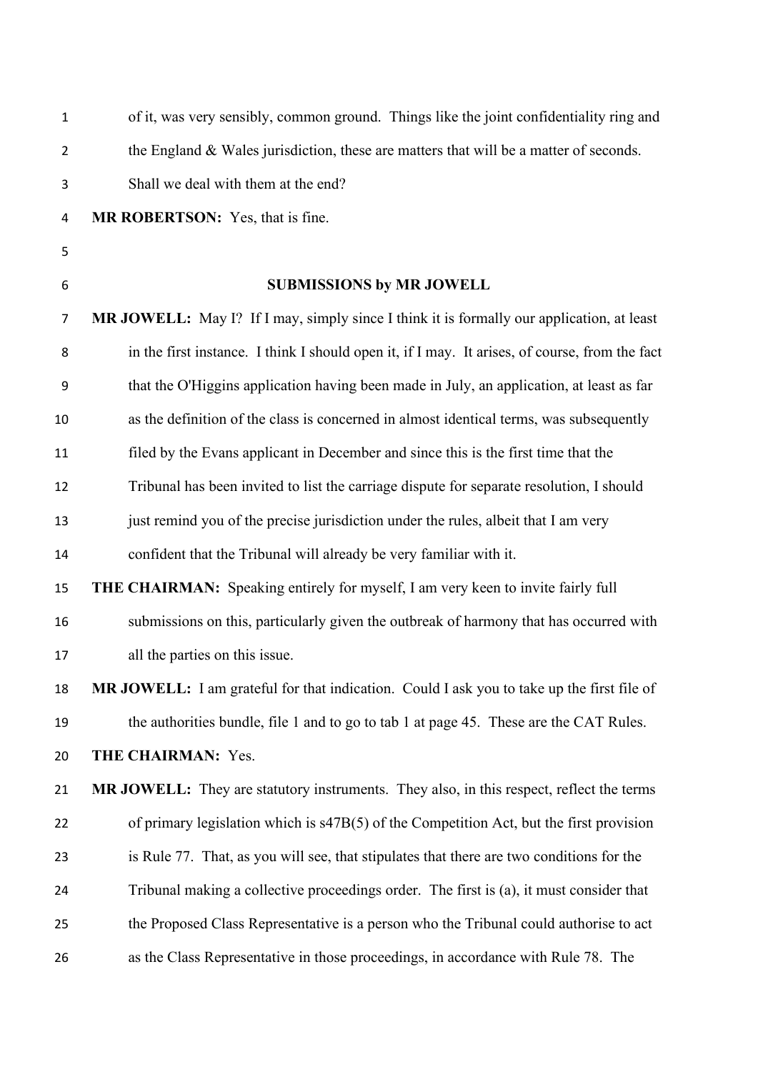| $\mathbf 1$    | of it, was very sensibly, common ground. Things like the joint confidentiality ring and         |
|----------------|-------------------------------------------------------------------------------------------------|
| $\overline{2}$ | the England & Wales jurisdiction, these are matters that will be a matter of seconds.           |
| 3              | Shall we deal with them at the end?                                                             |
| 4              | MR ROBERTSON: Yes, that is fine.                                                                |
| 5              |                                                                                                 |
| 6              | <b>SUBMISSIONS by MR JOWELL</b>                                                                 |
| $\overline{7}$ | MR JOWELL: May I? If I may, simply since I think it is formally our application, at least       |
| 8              | in the first instance. I think I should open it, if I may. It arises, of course, from the fact  |
| 9              | that the O'Higgins application having been made in July, an application, at least as far        |
| 10             | as the definition of the class is concerned in almost identical terms, was subsequently         |
| 11             | filed by the Evans applicant in December and since this is the first time that the              |
| 12             | Tribunal has been invited to list the carriage dispute for separate resolution, I should        |
| 13             | just remind you of the precise jurisdiction under the rules, albeit that I am very              |
| 14             | confident that the Tribunal will already be very familiar with it.                              |
| 15             | THE CHAIRMAN: Speaking entirely for myself, I am very keen to invite fairly full                |
| 16             | submissions on this, particularly given the outbreak of harmony that has occurred with          |
| 17             | all the parties on this issue.                                                                  |
| 18             | MR JOWELL: I am grateful for that indication. Could I ask you to take up the first file of      |
| 19             | the authorities bundle, file 1 and to go to tab 1 at page 45. These are the CAT Rules.          |
| 20             | THE CHAIRMAN: Yes.                                                                              |
| 21             | <b>MR JOWELL:</b> They are statutory instruments. They also, in this respect, reflect the terms |
| 22             | of primary legislation which is s47B(5) of the Competition Act, but the first provision         |
| 23             | is Rule 77. That, as you will see, that stipulates that there are two conditions for the        |
| 24             | Tribunal making a collective proceedings order. The first is (a), it must consider that         |
| 25             | the Proposed Class Representative is a person who the Tribunal could authorise to act           |
| 26             | as the Class Representative in those proceedings, in accordance with Rule 78. The               |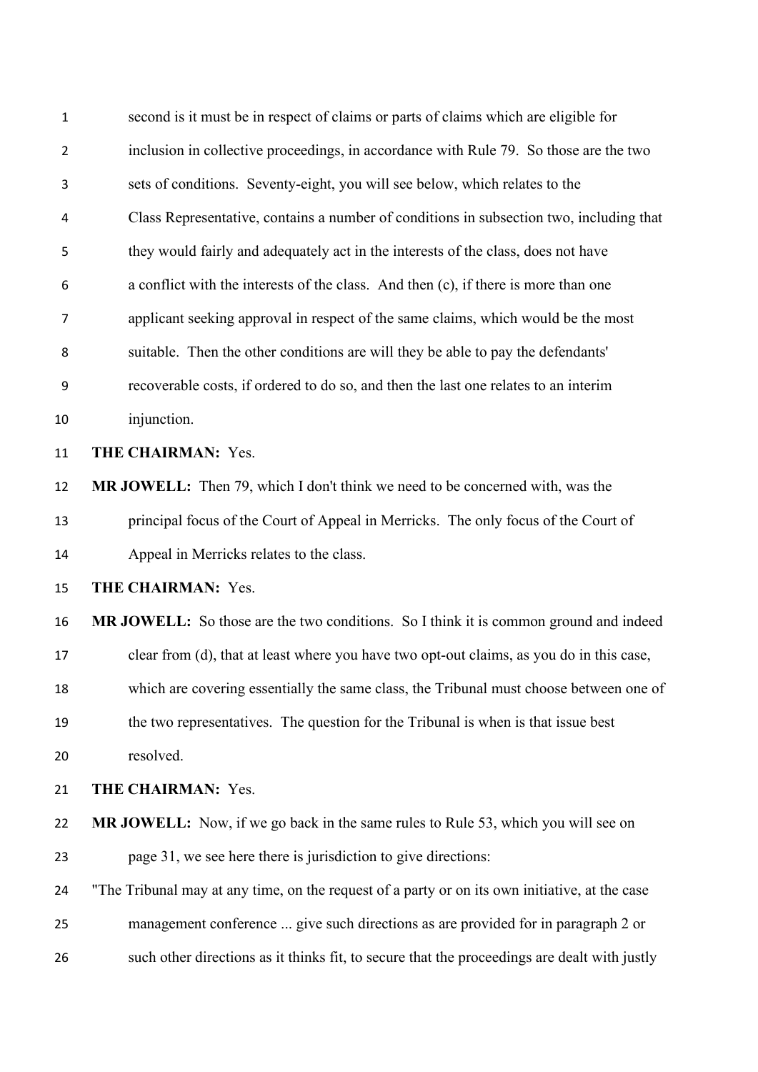| 1              | second is it must be in respect of claims or parts of claims which are eligible for            |
|----------------|------------------------------------------------------------------------------------------------|
| $\overline{2}$ | inclusion in collective proceedings, in accordance with Rule 79. So those are the two          |
| 3              | sets of conditions. Seventy-eight, you will see below, which relates to the                    |
| 4              | Class Representative, contains a number of conditions in subsection two, including that        |
| 5              | they would fairly and adequately act in the interests of the class, does not have              |
| 6              | a conflict with the interests of the class. And then (c), if there is more than one            |
| $\overline{7}$ | applicant seeking approval in respect of the same claims, which would be the most              |
| 8              | suitable. Then the other conditions are will they be able to pay the defendants'               |
| 9              | recoverable costs, if ordered to do so, and then the last one relates to an interim            |
| 10             | injunction.                                                                                    |
| 11             | THE CHAIRMAN: Yes.                                                                             |
| 12             | <b>MR JOWELL:</b> Then 79, which I don't think we need to be concerned with, was the           |
| 13             | principal focus of the Court of Appeal in Merricks. The only focus of the Court of             |
| 14             | Appeal in Merricks relates to the class.                                                       |
| 15             | THE CHAIRMAN: Yes.                                                                             |
| 16             | MR JOWELL: So those are the two conditions. So I think it is common ground and indeed          |
| 17             | clear from (d), that at least where you have two opt-out claims, as you do in this case,       |
| 18             | which are covering essentially the same class, the Tribunal must choose between one of         |
| 19             | the two representatives. The question for the Tribunal is when is that issue best              |
| 20             | resolved.                                                                                      |
| 21             | THE CHAIRMAN: Yes.                                                                             |
| 22             | <b>MR JOWELL:</b> Now, if we go back in the same rules to Rule 53, which you will see on       |
| 23             | page 31, we see here there is jurisdiction to give directions:                                 |
| 24             | "The Tribunal may at any time, on the request of a party or on its own initiative, at the case |
| 25             | management conference  give such directions as are provided for in paragraph 2 or              |
| 26             | such other directions as it thinks fit, to secure that the proceedings are dealt with justly   |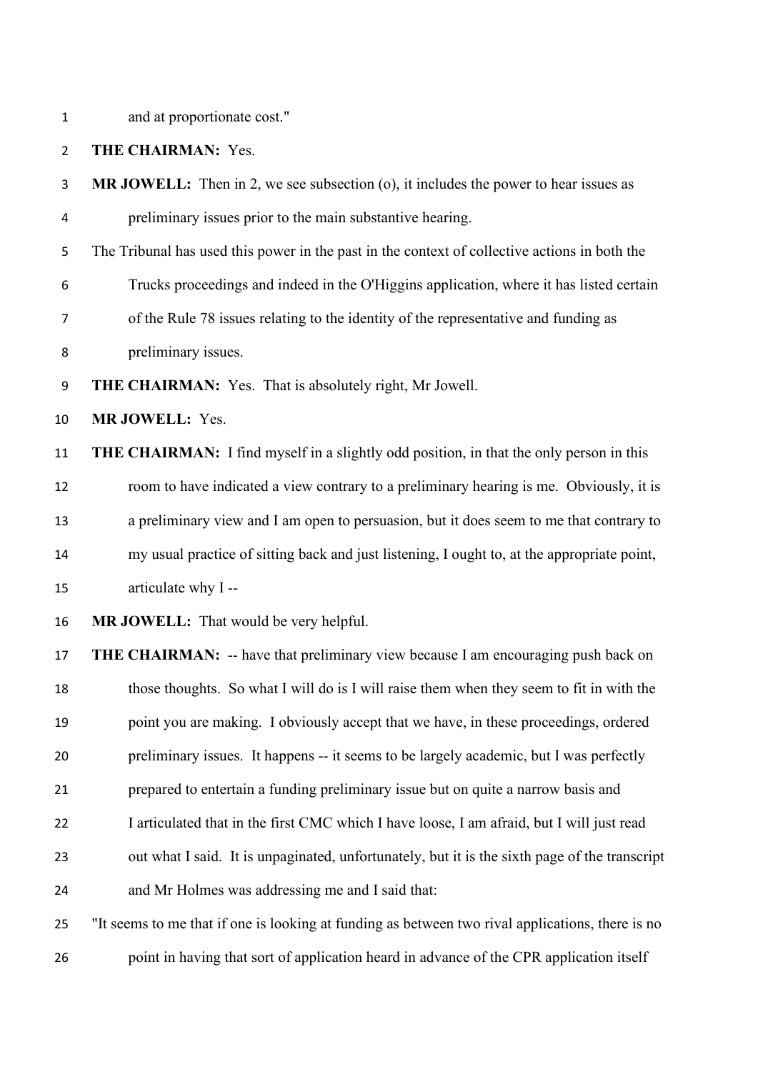and at proportionate cost."

#### **THE CHAIRMAN:** Yes.

 **MR JOWELL:** Then in 2, we see subsection (o), it includes the power to hear issues as preliminary issues prior to the main substantive hearing.

The Tribunal has used this power in the past in the context of collective actions in both the

Trucks proceedings and indeed in the O'Higgins application, where it has listed certain

of the Rule 78 issues relating to the identity of the representative and funding as

preliminary issues.

**THE CHAIRMAN:** Yes. That is absolutely right, Mr Jowell.

**MR JOWELL:** Yes.

 **THE CHAIRMAN:** I find myself in a slightly odd position, in that the only person in this room to have indicated a view contrary to a preliminary hearing is me. Obviously, it is a preliminary view and I am open to persuasion, but it does seem to me that contrary to my usual practice of sitting back and just listening, I ought to, at the appropriate point, articulate why I --

**MR JOWELL:** That would be very helpful.

**THE CHAIRMAN:** -- have that preliminary view because I am encouraging push back on those thoughts. So what I will do is I will raise them when they seem to fit in with the point you are making. I obviously accept that we have, in these proceedings, ordered preliminary issues. It happens -- it seems to be largely academic, but I was perfectly prepared to entertain a funding preliminary issue but on quite a narrow basis and I articulated that in the first CMC which I have loose, I am afraid, but I will just read out what I said. It is unpaginated, unfortunately, but it is the sixth page of the transcript and Mr Holmes was addressing me and I said that:

 "It seems to me that if one is looking at funding as between two rival applications, there is no point in having that sort of application heard in advance of the CPR application itself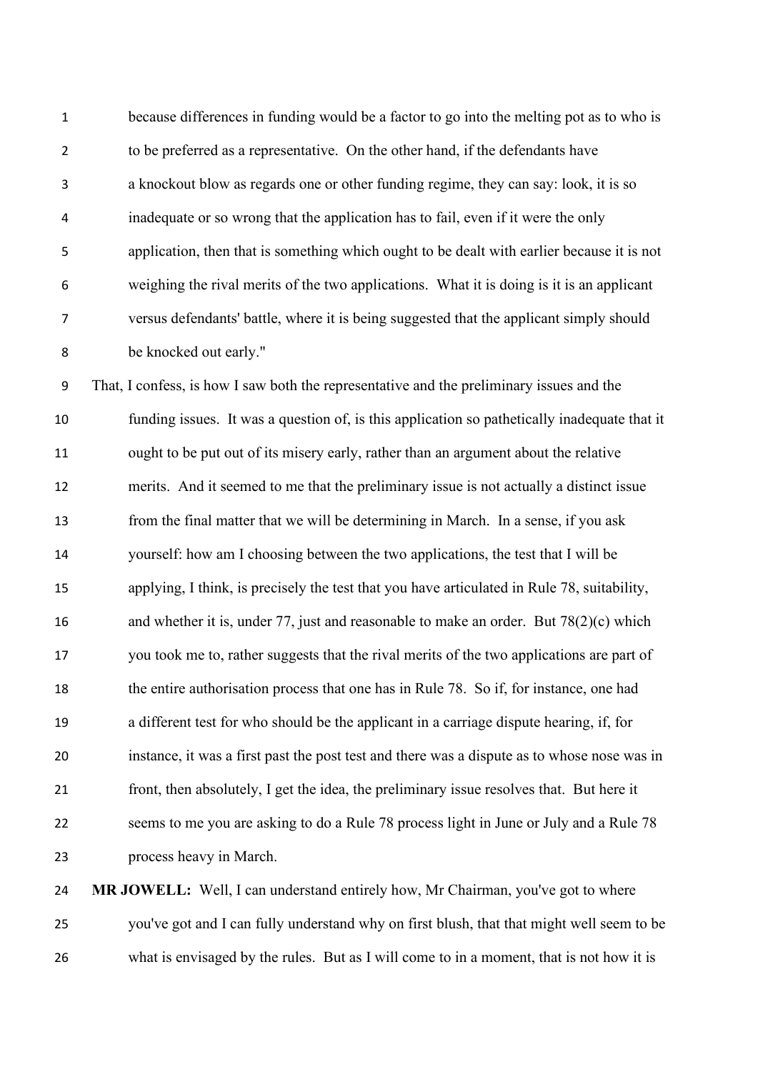because differences in funding would be a factor to go into the melting pot as to who is to be preferred as a representative. On the other hand, if the defendants have a knockout blow as regards one or other funding regime, they can say: look, it is so inadequate or so wrong that the application has to fail, even if it were the only application, then that is something which ought to be dealt with earlier because it is not weighing the rival merits of the two applications. What it is doing is it is an applicant versus defendants' battle, where it is being suggested that the applicant simply should be knocked out early."

 That, I confess, is how I saw both the representative and the preliminary issues and the funding issues. It was a question of, is this application so pathetically inadequate that it ought to be put out of its misery early, rather than an argument about the relative merits. And it seemed to me that the preliminary issue is not actually a distinct issue from the final matter that we will be determining in March. In a sense, if you ask yourself: how am I choosing between the two applications, the test that I will be applying, I think, is precisely the test that you have articulated in Rule 78, suitability, and whether it is, under 77, just and reasonable to make an order. But 78(2)(c) which you took me to, rather suggests that the rival merits of the two applications are part of the entire authorisation process that one has in Rule 78. So if, for instance, one had a different test for who should be the applicant in a carriage dispute hearing, if, for instance, it was a first past the post test and there was a dispute as to whose nose was in front, then absolutely, I get the idea, the preliminary issue resolves that. But here it seems to me you are asking to do a Rule 78 process light in June or July and a Rule 78 process heavy in March.

 **MR JOWELL:** Well, I can understand entirely how, Mr Chairman, you've got to where you've got and I can fully understand why on first blush, that that might well seem to be what is envisaged by the rules. But as I will come to in a moment, that is not how it is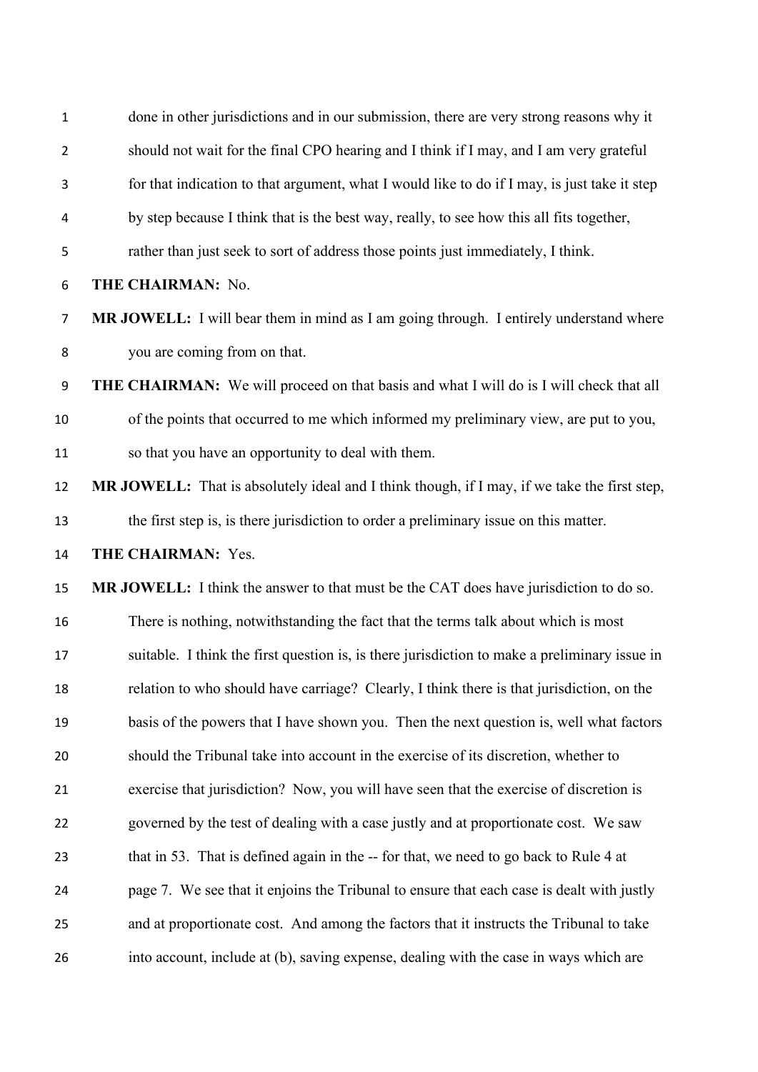| $\mathbf 1$    | done in other jurisdictions and in our submission, there are very strong reasons why it        |
|----------------|------------------------------------------------------------------------------------------------|
| $\overline{2}$ | should not wait for the final CPO hearing and I think if I may, and I am very grateful         |
| 3              | for that indication to that argument, what I would like to do if I may, is just take it step   |
| 4              | by step because I think that is the best way, really, to see how this all fits together,       |
| 5              | rather than just seek to sort of address those points just immediately, I think.               |
| 6              | THE CHAIRMAN: No.                                                                              |
| $\overline{7}$ | MR JOWELL: I will bear them in mind as I am going through. I entirely understand where         |
| 8              | you are coming from on that.                                                                   |
| 9              | <b>THE CHAIRMAN:</b> We will proceed on that basis and what I will do is I will check that all |
| 10             | of the points that occurred to me which informed my preliminary view, are put to you,          |
| 11             | so that you have an opportunity to deal with them.                                             |
| 12             | MR JOWELL: That is absolutely ideal and I think though, if I may, if we take the first step,   |
| 13             | the first step is, is there jurisdiction to order a preliminary issue on this matter.          |
| 14             | THE CHAIRMAN: Yes.                                                                             |
|                |                                                                                                |
| 15             | MR JOWELL: I think the answer to that must be the CAT does have jurisdiction to do so.         |
| 16             | There is nothing, notwithstanding the fact that the terms talk about which is most             |
| 17             | suitable. I think the first question is, is there jurisdiction to make a preliminary issue in  |
| 18             | relation to who should have carriage? Clearly, I think there is that jurisdiction, on the      |
| 19             | basis of the powers that I have shown you. Then the next question is, well what factors        |
| 20             | should the Tribunal take into account in the exercise of its discretion, whether to            |
| 21             | exercise that jurisdiction? Now, you will have seen that the exercise of discretion is         |
| 22             | governed by the test of dealing with a case justly and at proportionate cost. We saw           |
| 23             | that in 53. That is defined again in the -- for that, we need to go back to Rule 4 at          |
| 24             | page 7. We see that it enjoins the Tribunal to ensure that each case is dealt with justly      |
| 25             | and at proportionate cost. And among the factors that it instructs the Tribunal to take        |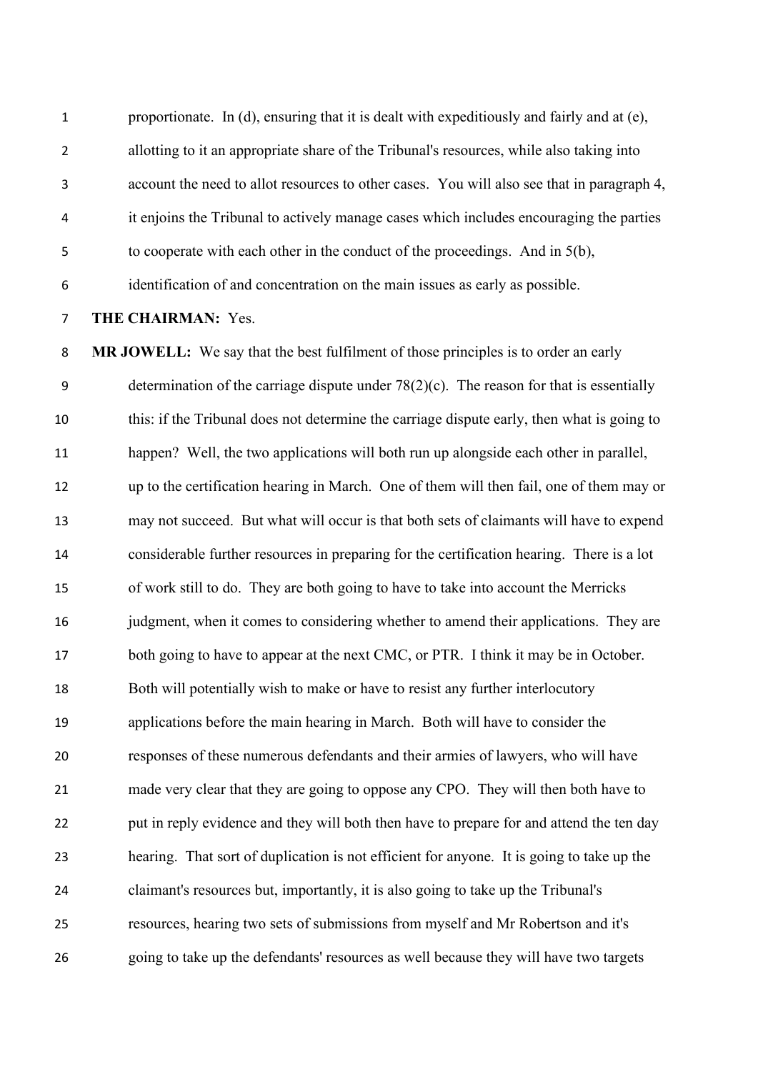1 proportionate. In (d), ensuring that it is dealt with expeditiously and fairly and at (e), allotting to it an appropriate share of the Tribunal's resources, while also taking into account the need to allot resources to other cases. You will also see that in paragraph 4, it enjoins the Tribunal to actively manage cases which includes encouraging the parties

to cooperate with each other in the conduct of the proceedings. And in 5(b),

identification of and concentration on the main issues as early as possible.

### **THE CHAIRMAN:** Yes.

 **MR JOWELL:** We say that the best fulfilment of those principles is to order an early 9 determination of the carriage dispute under  $78(2)(c)$ . The reason for that is essentially this: if the Tribunal does not determine the carriage dispute early, then what is going to happen? Well, the two applications will both run up alongside each other in parallel, up to the certification hearing in March. One of them will then fail, one of them may or may not succeed. But what will occur is that both sets of claimants will have to expend considerable further resources in preparing for the certification hearing. There is a lot of work still to do. They are both going to have to take into account the Merricks 16 judgment, when it comes to considering whether to amend their applications. They are 17 both going to have to appear at the next CMC, or PTR. I think it may be in October. Both will potentially wish to make or have to resist any further interlocutory applications before the main hearing in March. Both will have to consider the responses of these numerous defendants and their armies of lawyers, who will have made very clear that they are going to oppose any CPO. They will then both have to 22 put in reply evidence and they will both then have to prepare for and attend the ten day hearing. That sort of duplication is not efficient for anyone. It is going to take up the claimant's resources but, importantly, it is also going to take up the Tribunal's resources, hearing two sets of submissions from myself and Mr Robertson and it's going to take up the defendants' resources as well because they will have two targets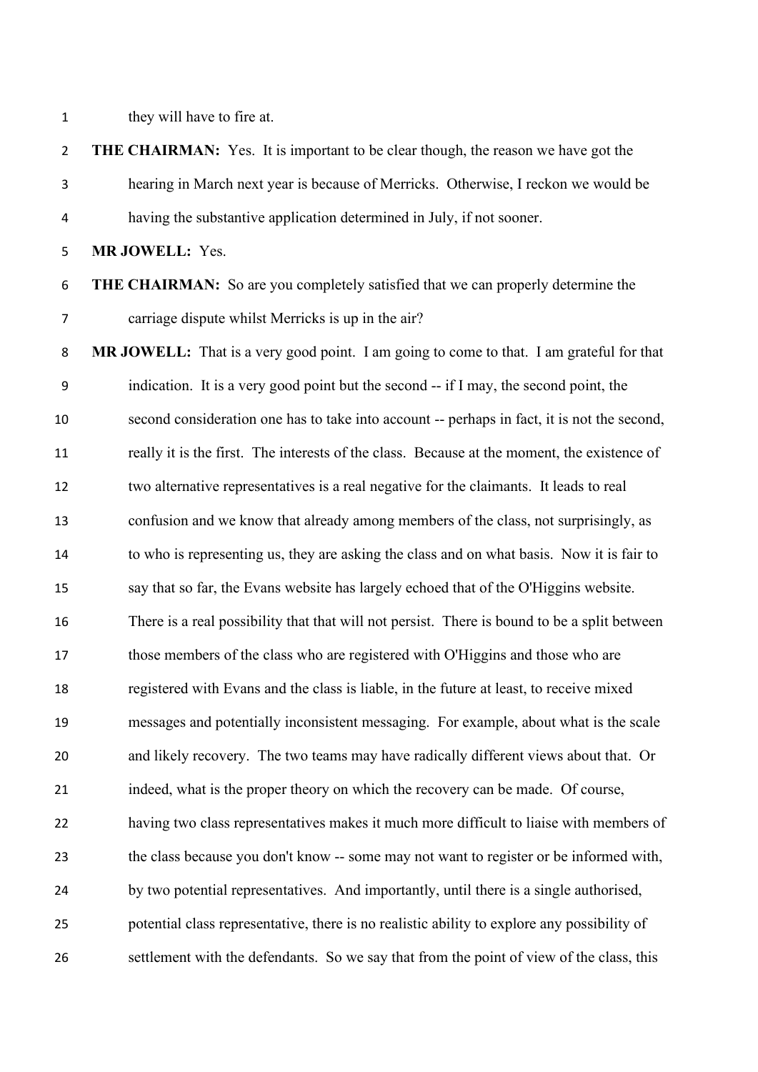they will have to fire at.

|                | <b>2 THE CHAIRMAN:</b> Yes. It is important to be clear though, the reason we have got the |
|----------------|--------------------------------------------------------------------------------------------|
| $\mathbf{3}$   | hearing in March next year is because of Merricks. Otherwise, I reckon we would be         |
| $\overline{4}$ | having the substantive application determined in July, if not sooner.                      |
| $5 -$          | <b>MR JOWELL: Yes.</b>                                                                     |

## **THE CHAIRMAN:** So are you completely satisfied that we can properly determine the carriage dispute whilst Merricks is up in the air?

 **MR JOWELL:** That is a very good point. I am going to come to that. I am grateful for that indication. It is a very good point but the second -- if I may, the second point, the second consideration one has to take into account -- perhaps in fact, it is not the second, really it is the first. The interests of the class. Because at the moment, the existence of two alternative representatives is a real negative for the claimants. It leads to real confusion and we know that already among members of the class, not surprisingly, as to who is representing us, they are asking the class and on what basis. Now it is fair to say that so far, the Evans website has largely echoed that of the O'Higgins website. There is a real possibility that that will not persist. There is bound to be a split between those members of the class who are registered with O'Higgins and those who are registered with Evans and the class is liable, in the future at least, to receive mixed messages and potentially inconsistent messaging. For example, about what is the scale and likely recovery. The two teams may have radically different views about that. Or indeed, what is the proper theory on which the recovery can be made. Of course, having two class representatives makes it much more difficult to liaise with members of the class because you don't know -- some may not want to register or be informed with, by two potential representatives. And importantly, until there is a single authorised, potential class representative, there is no realistic ability to explore any possibility of settlement with the defendants. So we say that from the point of view of the class, this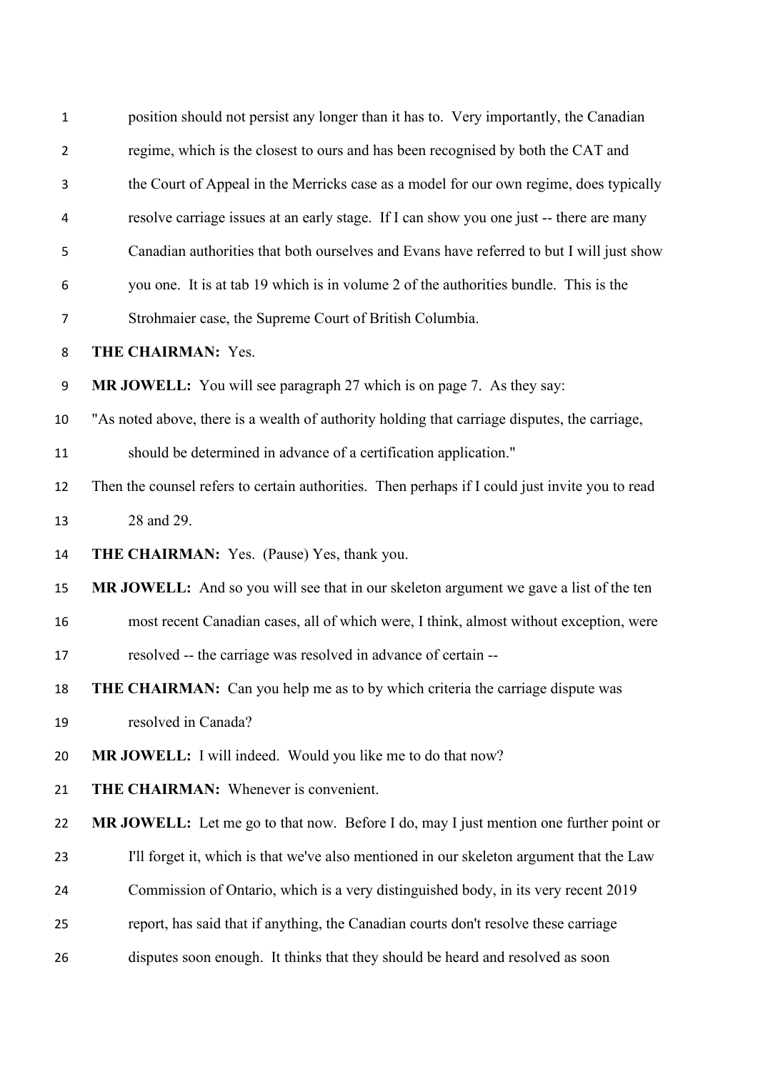| $\mathbf{1}$   | position should not persist any longer than it has to. Very importantly, the Canadian           |
|----------------|-------------------------------------------------------------------------------------------------|
| $\overline{2}$ | regime, which is the closest to ours and has been recognised by both the CAT and                |
| 3              | the Court of Appeal in the Merricks case as a model for our own regime, does typically          |
| 4              | resolve carriage issues at an early stage. If I can show you one just -- there are many         |
| 5              | Canadian authorities that both ourselves and Evans have referred to but I will just show        |
| 6              | you one. It is at tab 19 which is in volume 2 of the authorities bundle. This is the            |
| $\overline{7}$ | Strohmaier case, the Supreme Court of British Columbia.                                         |
| 8              | <b>THE CHAIRMAN: Yes.</b>                                                                       |
| 9              | <b>MR JOWELL:</b> You will see paragraph 27 which is on page 7. As they say:                    |
| 10             | "As noted above, there is a wealth of authority holding that carriage disputes, the carriage,   |
| 11             | should be determined in advance of a certification application."                                |
| 12             | Then the counsel refers to certain authorities. Then perhaps if I could just invite you to read |
| 13             | 28 and 29.                                                                                      |
| 14             | THE CHAIRMAN: Yes. (Pause) Yes, thank you.                                                      |
| 15             | MR JOWELL: And so you will see that in our skeleton argument we gave a list of the ten          |
| 16             | most recent Canadian cases, all of which were, I think, almost without exception, were          |
| 17             | resolved -- the carriage was resolved in advance of certain --                                  |
| 18             | <b>THE CHAIRMAN:</b> Can you help me as to by which criteria the carriage dispute was           |
| 19             | resolved in Canada?                                                                             |
| 20             | <b>MR JOWELL:</b> I will indeed. Would you like me to do that now?                              |
| 21             | <b>THE CHAIRMAN:</b> Whenever is convenient.                                                    |
| 22             | MR JOWELL: Let me go to that now. Before I do, may I just mention one further point or          |
| 23             | I'll forget it, which is that we've also mentioned in our skeleton argument that the Law        |
| 24             | Commission of Ontario, which is a very distinguished body, in its very recent 2019              |
| 25             | report, has said that if anything, the Canadian courts don't resolve these carriage             |
| 26             | disputes soon enough. It thinks that they should be heard and resolved as soon                  |
|                |                                                                                                 |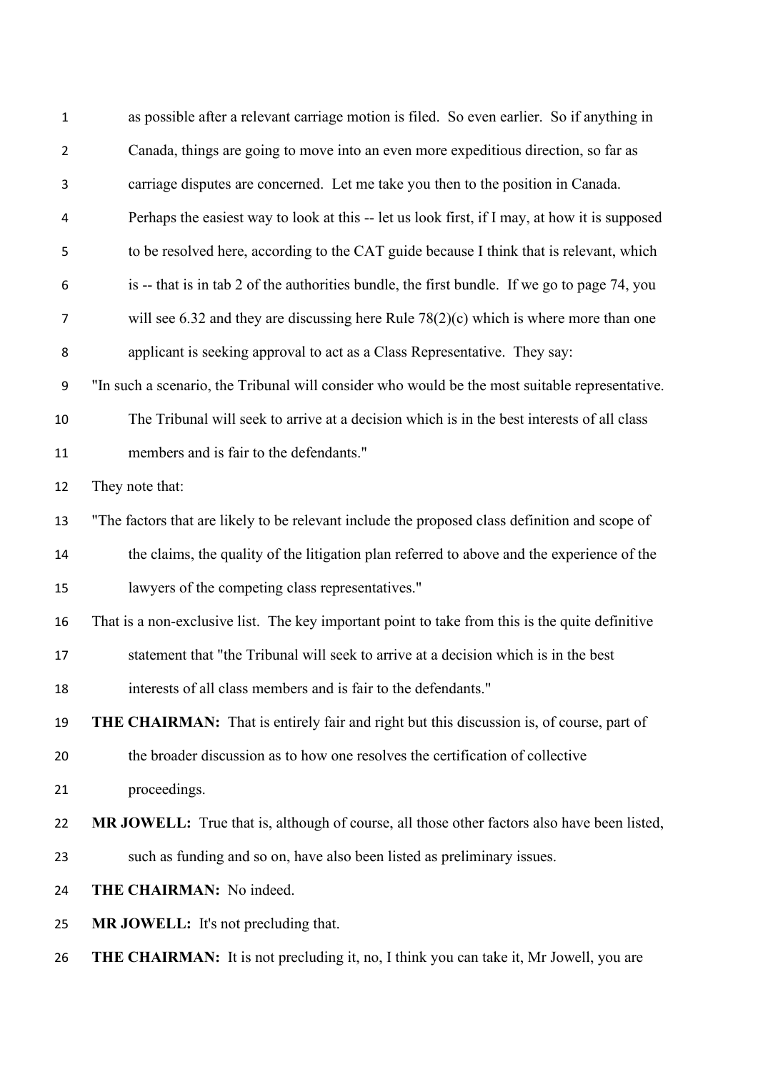| as possible after a relevant carriage motion is filed. So even earlier. So if anything in       |
|-------------------------------------------------------------------------------------------------|
| Canada, things are going to move into an even more expeditious direction, so far as             |
| carriage disputes are concerned. Let me take you then to the position in Canada.                |
| Perhaps the easiest way to look at this -- let us look first, if I may, at how it is supposed   |
| to be resolved here, according to the CAT guide because I think that is relevant, which         |
| is -- that is in tab 2 of the authorities bundle, the first bundle. If we go to page 74, you    |
| will see 6.32 and they are discussing here Rule $78(2)(c)$ which is where more than one         |
| applicant is seeking approval to act as a Class Representative. They say:                       |
| "In such a scenario, the Tribunal will consider who would be the most suitable representative.  |
| The Tribunal will seek to arrive at a decision which is in the best interests of all class      |
| members and is fair to the defendants."                                                         |
| They note that:                                                                                 |
| "The factors that are likely to be relevant include the proposed class definition and scope of  |
| the claims, the quality of the litigation plan referred to above and the experience of the      |
| lawyers of the competing class representatives."                                                |
| That is a non-exclusive list. The key important point to take from this is the quite definitive |
| statement that "the Tribunal will seek to arrive at a decision which is in the best             |
| interests of all class members and is fair to the defendants."                                  |
| THE CHAIRMAN: That is entirely fair and right but this discussion is, of course, part of        |
| the broader discussion as to how one resolves the certification of collective                   |
| proceedings.                                                                                    |
| MR JOWELL: True that is, although of course, all those other factors also have been listed,     |
| such as funding and so on, have also been listed as preliminary issues.                         |
| THE CHAIRMAN: No indeed.                                                                        |
| MR JOWELL: It's not precluding that.                                                            |
|                                                                                                 |
|                                                                                                 |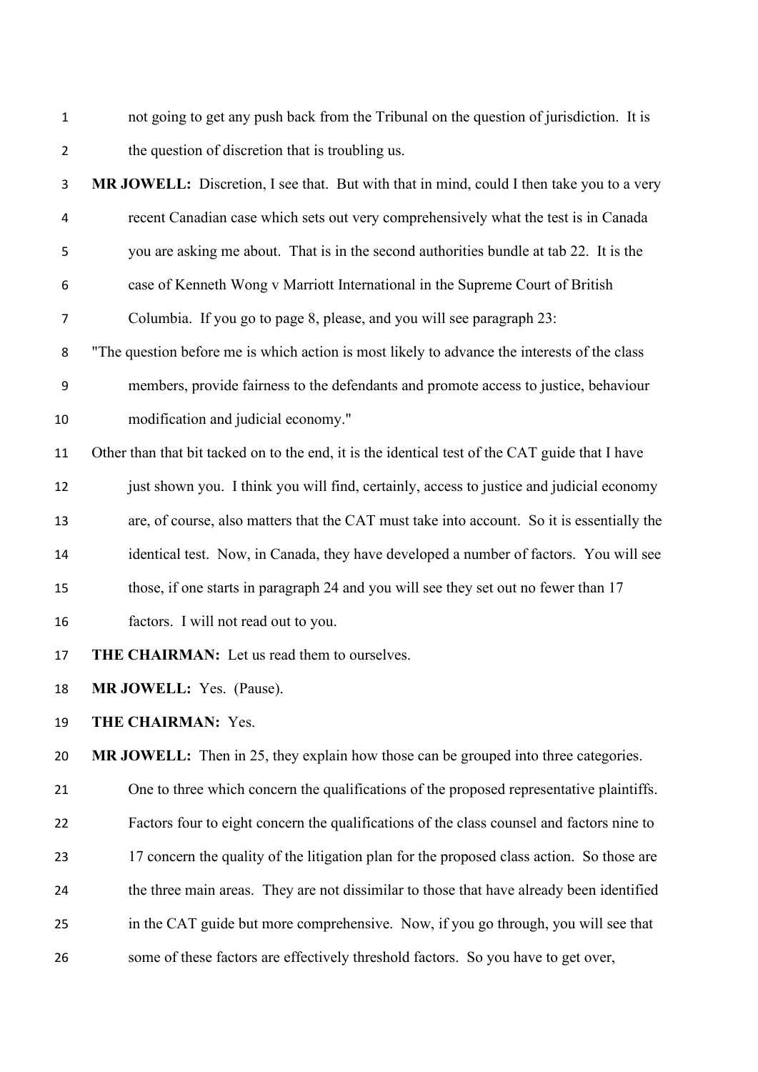not going to get any push back from the Tribunal on the question of jurisdiction. It is the question of discretion that is troubling us.

**MR JOWELL:** Discretion, I see that. But with that in mind, could I then take you to a very

- recent Canadian case which sets out very comprehensively what the test is in Canada you are asking me about. That is in the second authorities bundle at tab 22. It is the case of Kenneth Wong v Marriott International in the Supreme Court of British Columbia. If you go to page 8, please, and you will see paragraph 23: "The question before me is which action is most likely to advance the interests of the class members, provide fairness to the defendants and promote access to justice, behaviour modification and judicial economy." Other than that bit tacked on to the end, it is the identical test of the CAT guide that I have just shown you. I think you will find, certainly, access to justice and judicial economy are, of course, also matters that the CAT must take into account. So it is essentially the identical test. Now, in Canada, they have developed a number of factors. You will see those, if one starts in paragraph 24 and you will see they set out no fewer than 17 factors. I will not read out to you.
- **THE CHAIRMAN:** Let us read them to ourselves.

**MR JOWELL:** Yes. (Pause).

**THE CHAIRMAN:** Yes.

**MR JOWELL:** Then in 25, they explain how those can be grouped into three categories.

 One to three which concern the qualifications of the proposed representative plaintiffs. Factors four to eight concern the qualifications of the class counsel and factors nine to 23 17 concern the quality of the litigation plan for the proposed class action. So those are the three main areas. They are not dissimilar to those that have already been identified in the CAT guide but more comprehensive. Now, if you go through, you will see that some of these factors are effectively threshold factors. So you have to get over,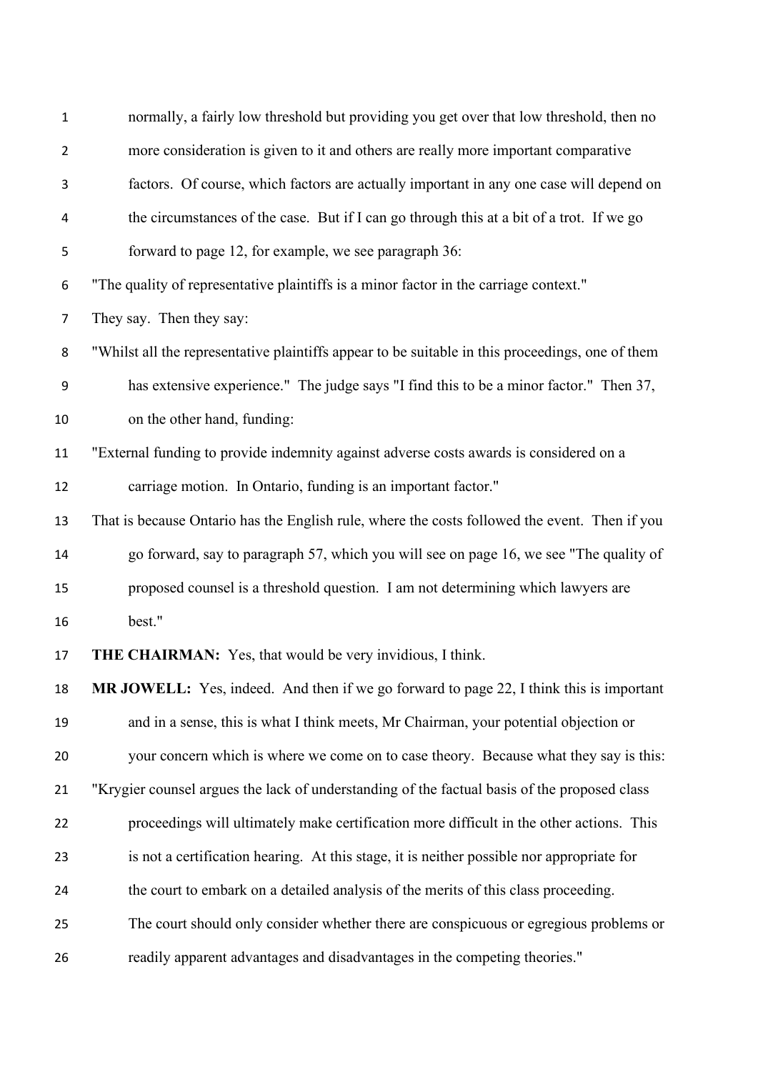| $\mathbf{1}$   | normally, a fairly low threshold but providing you get over that low threshold, then no          |
|----------------|--------------------------------------------------------------------------------------------------|
| $\overline{2}$ | more consideration is given to it and others are really more important comparative               |
| 3              | factors. Of course, which factors are actually important in any one case will depend on          |
| 4              | the circumstances of the case. But if I can go through this at a bit of a trot. If we go         |
| 5              | forward to page 12, for example, we see paragraph 36:                                            |
| 6              | "The quality of representative plaintiffs is a minor factor in the carriage context."            |
| $\overline{7}$ | They say. Then they say:                                                                         |
| 8              | "Whilst all the representative plaintiffs appear to be suitable in this proceedings, one of them |
| 9              | has extensive experience." The judge says "I find this to be a minor factor." Then 37,           |
| 10             | on the other hand, funding:                                                                      |
| 11             | "External funding to provide indemnity against adverse costs awards is considered on a           |
| 12             | carriage motion. In Ontario, funding is an important factor."                                    |
| 13             | That is because Ontario has the English rule, where the costs followed the event. Then if you    |
| 14             | go forward, say to paragraph 57, which you will see on page 16, we see "The quality of           |
| 15             | proposed counsel is a threshold question. I am not determining which lawyers are                 |
| 16             | best."                                                                                           |
| 17             | <b>THE CHAIRMAN:</b> Yes, that would be very invidious, I think.                                 |
| 18             | MR JOWELL: Yes, indeed. And then if we go forward to page 22, I think this is important          |
| 19             | and in a sense, this is what I think meets, Mr Chairman, your potential objection or             |
| 20             | your concern which is where we come on to case theory. Because what they say is this:            |
| 21             | "Krygier counsel argues the lack of understanding of the factual basis of the proposed class     |
| 22             | proceedings will ultimately make certification more difficult in the other actions. This         |
| 23             | is not a certification hearing. At this stage, it is neither possible nor appropriate for        |
| 24             | the court to embark on a detailed analysis of the merits of this class proceeding.               |
| 25             | The court should only consider whether there are conspicuous or egregious problems or            |
| 26             | readily apparent advantages and disadvantages in the competing theories."                        |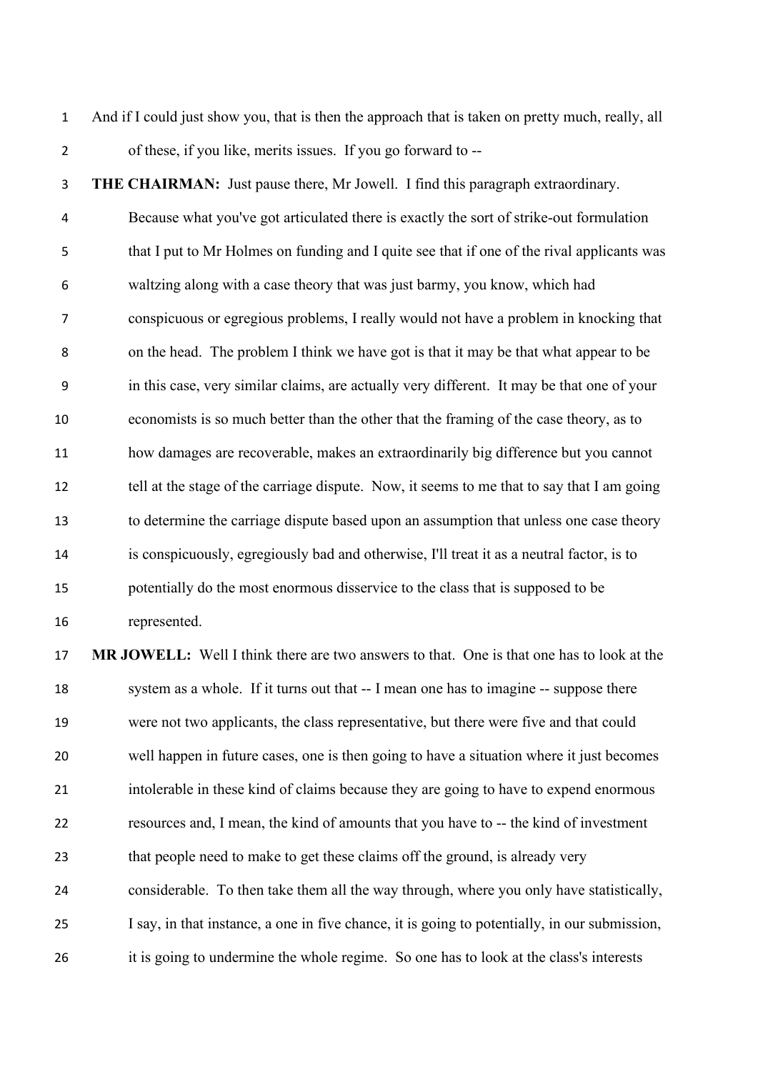And if I could just show you, that is then the approach that is taken on pretty much, really, all of these, if you like, merits issues. If you go forward to --

 **THE CHAIRMAN:** Just pause there, Mr Jowell. I find this paragraph extraordinary. Because what you've got articulated there is exactly the sort of strike-out formulation that I put to Mr Holmes on funding and I quite see that if one of the rival applicants was waltzing along with a case theory that was just barmy, you know, which had conspicuous or egregious problems, I really would not have a problem in knocking that on the head. The problem I think we have got is that it may be that what appear to be in this case, very similar claims, are actually very different. It may be that one of your economists is so much better than the other that the framing of the case theory, as to how damages are recoverable, makes an extraordinarily big difference but you cannot 12 tell at the stage of the carriage dispute. Now, it seems to me that to say that I am going to determine the carriage dispute based upon an assumption that unless one case theory is conspicuously, egregiously bad and otherwise, I'll treat it as a neutral factor, is to potentially do the most enormous disservice to the class that is supposed to be represented.

 **MR JOWELL:** Well I think there are two answers to that. One is that one has to look at the system as a whole. If it turns out that -- I mean one has to imagine -- suppose there were not two applicants, the class representative, but there were five and that could well happen in future cases, one is then going to have a situation where it just becomes intolerable in these kind of claims because they are going to have to expend enormous resources and, I mean, the kind of amounts that you have to -- the kind of investment that people need to make to get these claims off the ground, is already very considerable. To then take them all the way through, where you only have statistically, I say, in that instance, a one in five chance, it is going to potentially, in our submission, it is going to undermine the whole regime. So one has to look at the class's interests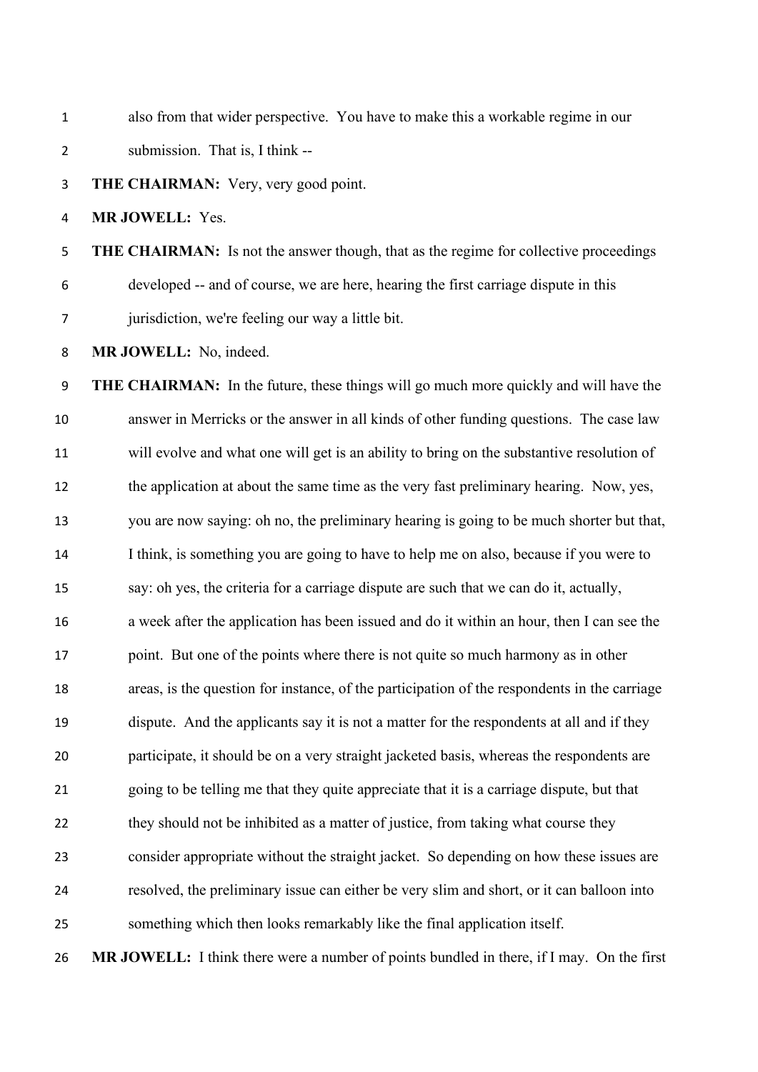also from that wider perspective. You have to make this a workable regime in our submission. That is, I think --

**THE CHAIRMAN:** Very, very good point.

**MR JOWELL:** Yes.

 **THE CHAIRMAN:** Is not the answer though, that as the regime for collective proceedings developed -- and of course, we are here, hearing the first carriage dispute in this jurisdiction, we're feeling our way a little bit.

**MR JOWELL:** No, indeed.

 **THE CHAIRMAN:** In the future, these things will go much more quickly and will have the answer in Merricks or the answer in all kinds of other funding questions. The case law will evolve and what one will get is an ability to bring on the substantive resolution of 12 the application at about the same time as the very fast preliminary hearing. Now, yes, you are now saying: oh no, the preliminary hearing is going to be much shorter but that, I think, is something you are going to have to help me on also, because if you were to say: oh yes, the criteria for a carriage dispute are such that we can do it, actually, a week after the application has been issued and do it within an hour, then I can see the 17 point. But one of the points where there is not quite so much harmony as in other areas, is the question for instance, of the participation of the respondents in the carriage dispute. And the applicants say it is not a matter for the respondents at all and if they participate, it should be on a very straight jacketed basis, whereas the respondents are going to be telling me that they quite appreciate that it is a carriage dispute, but that they should not be inhibited as a matter of justice, from taking what course they consider appropriate without the straight jacket. So depending on how these issues are resolved, the preliminary issue can either be very slim and short, or it can balloon into something which then looks remarkably like the final application itself.

**MR JOWELL:** I think there were a number of points bundled in there, if I may. On the first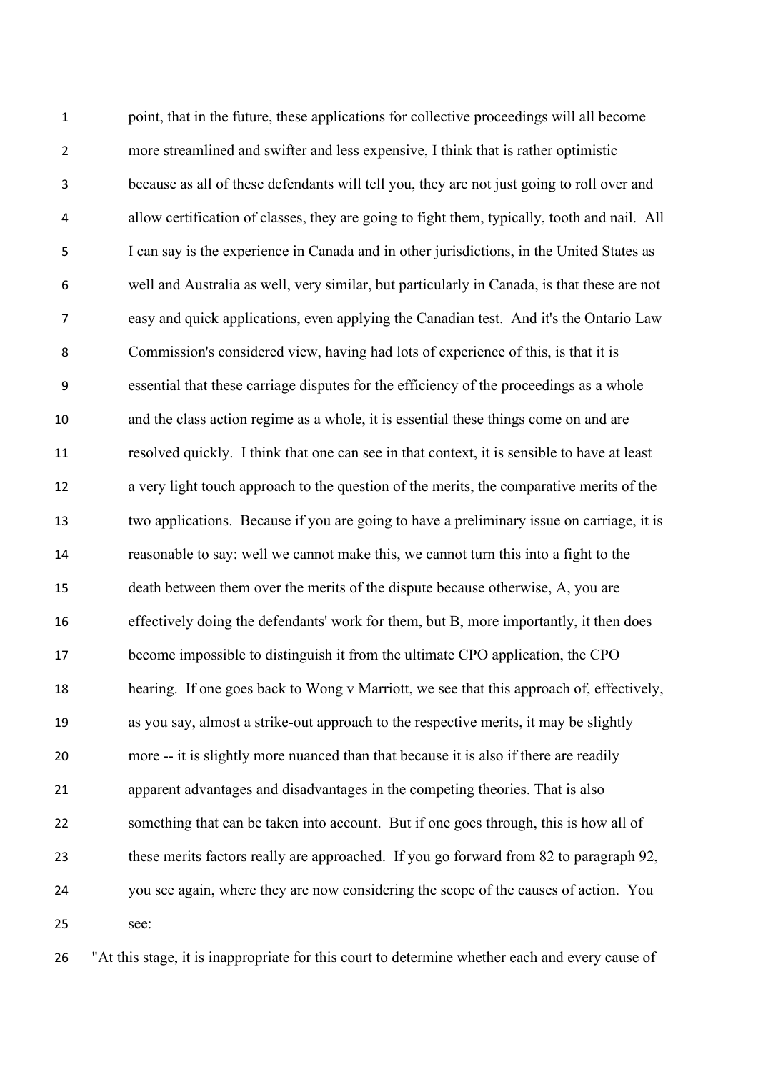point, that in the future, these applications for collective proceedings will all become more streamlined and swifter and less expensive, I think that is rather optimistic because as all of these defendants will tell you, they are not just going to roll over and allow certification of classes, they are going to fight them, typically, tooth and nail. All I can say is the experience in Canada and in other jurisdictions, in the United States as well and Australia as well, very similar, but particularly in Canada, is that these are not easy and quick applications, even applying the Canadian test. And it's the Ontario Law Commission's considered view, having had lots of experience of this, is that it is essential that these carriage disputes for the efficiency of the proceedings as a whole and the class action regime as a whole, it is essential these things come on and are resolved quickly. I think that one can see in that context, it is sensible to have at least a very light touch approach to the question of the merits, the comparative merits of the two applications. Because if you are going to have a preliminary issue on carriage, it is reasonable to say: well we cannot make this, we cannot turn this into a fight to the death between them over the merits of the dispute because otherwise, A, you are effectively doing the defendants' work for them, but B, more importantly, it then does become impossible to distinguish it from the ultimate CPO application, the CPO hearing. If one goes back to Wong v Marriott, we see that this approach of, effectively, as you say, almost a strike-out approach to the respective merits, it may be slightly more -- it is slightly more nuanced than that because it is also if there are readily apparent advantages and disadvantages in the competing theories. That is also something that can be taken into account. But if one goes through, this is how all of these merits factors really are approached. If you go forward from 82 to paragraph 92, you see again, where they are now considering the scope of the causes of action. You see:

"At this stage, it is inappropriate for this court to determine whether each and every cause of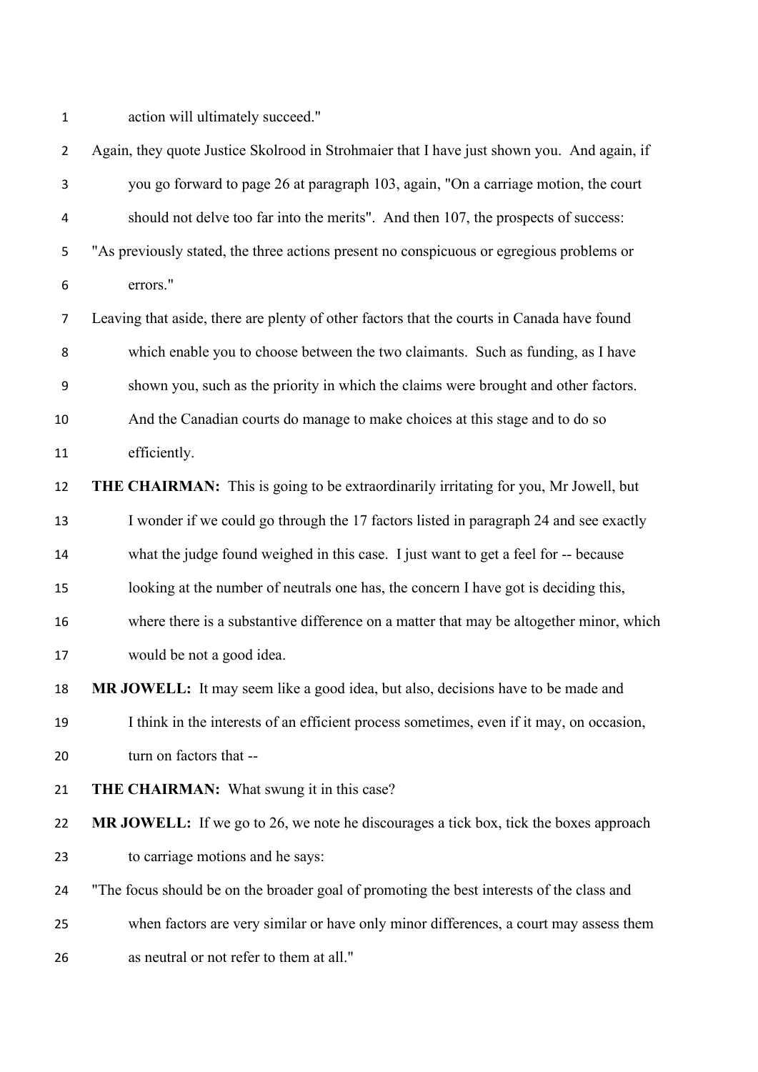action will ultimately succeed."

| $\overline{2}$ | Again, they quote Justice Skolrood in Strohmaier that I have just shown you. And again, if   |
|----------------|----------------------------------------------------------------------------------------------|
| 3              | you go forward to page 26 at paragraph 103, again, "On a carriage motion, the court          |
| 4              | should not delve too far into the merits". And then 107, the prospects of success:           |
| 5              | "As previously stated, the three actions present no conspicuous or egregious problems or     |
| 6              | errors."                                                                                     |
| 7              | Leaving that aside, there are plenty of other factors that the courts in Canada have found   |
| 8              | which enable you to choose between the two claimants. Such as funding, as I have             |
| 9              | shown you, such as the priority in which the claims were brought and other factors.          |
| 10             | And the Canadian courts do manage to make choices at this stage and to do so                 |
| 11             | efficiently.                                                                                 |
| 12             | THE CHAIRMAN: This is going to be extraordinarily irritating for you, Mr Jowell, but         |
| 13             | I wonder if we could go through the 17 factors listed in paragraph 24 and see exactly        |
| 14             | what the judge found weighed in this case. I just want to get a feel for -- because          |
| 15             | looking at the number of neutrals one has, the concern I have got is deciding this,          |
| 16             | where there is a substantive difference on a matter that may be altogether minor, which      |
| 17             | would be not a good idea.                                                                    |
| 18             | MR JOWELL: It may seem like a good idea, but also, decisions have to be made and             |
| 19             | I think in the interests of an efficient process sometimes, even if it may, on occasion,     |
| 20             | turn on factors that --                                                                      |
| 21             | THE CHAIRMAN: What swung it in this case?                                                    |
| 22             | <b>MR JOWELL:</b> If we go to 26, we note he discourages a tick box, tick the boxes approach |
| 23             | to carriage motions and he says:                                                             |
| 24             | "The focus should be on the broader goal of promoting the best interests of the class and    |
| 25             | when factors are very similar or have only minor differences, a court may assess them        |
| 26             | as neutral or not refer to them at all."                                                     |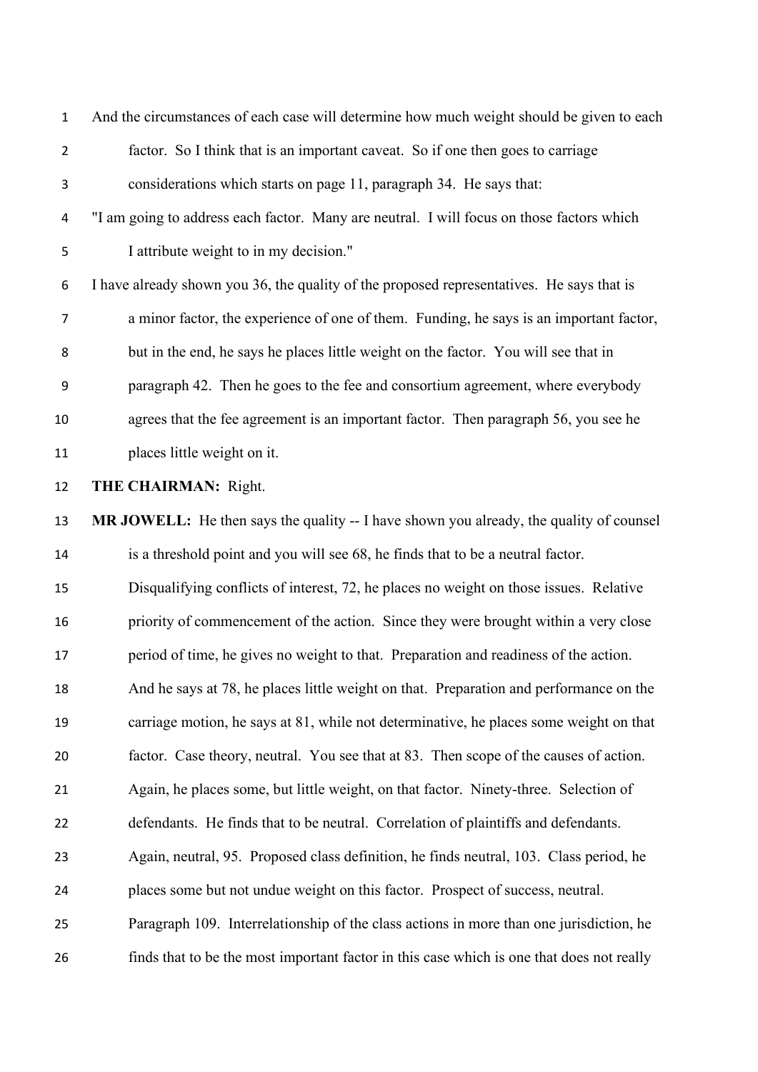| $\mathbf{1}$   | And the circumstances of each case will determine how much weight should be given to each |
|----------------|-------------------------------------------------------------------------------------------|
| $\overline{2}$ | factor. So I think that is an important caveat. So if one then goes to carriage           |
| 3              | considerations which starts on page 11, paragraph 34. He says that:                       |
| 4              | "I am going to address each factor. Many are neutral. I will focus on those factors which |
| 5              | I attribute weight to in my decision."                                                    |
| 6              | I have already shown you 36, the quality of the proposed representatives. He says that is |
| $\overline{7}$ | a minor factor, the experience of one of them. Funding, he says is an important factor,   |
| 8              | but in the end, he says he places little weight on the factor. You will see that in       |
| 9              | paragraph 42. Then he goes to the fee and consortium agreement, where everybody           |
| 10             | agrees that the fee agreement is an important factor. Then paragraph 56, you see he       |
| 11             | places little weight on it.                                                               |
| 12             | <b>THE CHAIRMAN: Right.</b>                                                               |
| 13             | MR JOWELL: He then says the quality -- I have shown you already, the quality of counsel   |
| 14             | is a threshold point and you will see 68, he finds that to be a neutral factor.           |
| 15             | Disqualifying conflicts of interest, 72, he places no weight on those issues. Relative    |
| 16             | priority of commencement of the action. Since they were brought within a very close       |
| 17             | period of time, he gives no weight to that. Preparation and readiness of the action.      |
| 18             | And he says at 78, he places little weight on that. Preparation and performance on the    |
| 19             |                                                                                           |
|                | carriage motion, he says at 81, while not determinative, he places some weight on that    |
| 20             | factor. Case theory, neutral. You see that at 83. Then scope of the causes of action.     |
| 21             | Again, he places some, but little weight, on that factor. Ninety-three. Selection of      |
| 22             | defendants. He finds that to be neutral. Correlation of plaintiffs and defendants.        |
| 23             | Again, neutral, 95. Proposed class definition, he finds neutral, 103. Class period, he    |
| 24             | places some but not undue weight on this factor. Prospect of success, neutral.            |
| 25             | Paragraph 109. Interrelationship of the class actions in more than one jurisdiction, he   |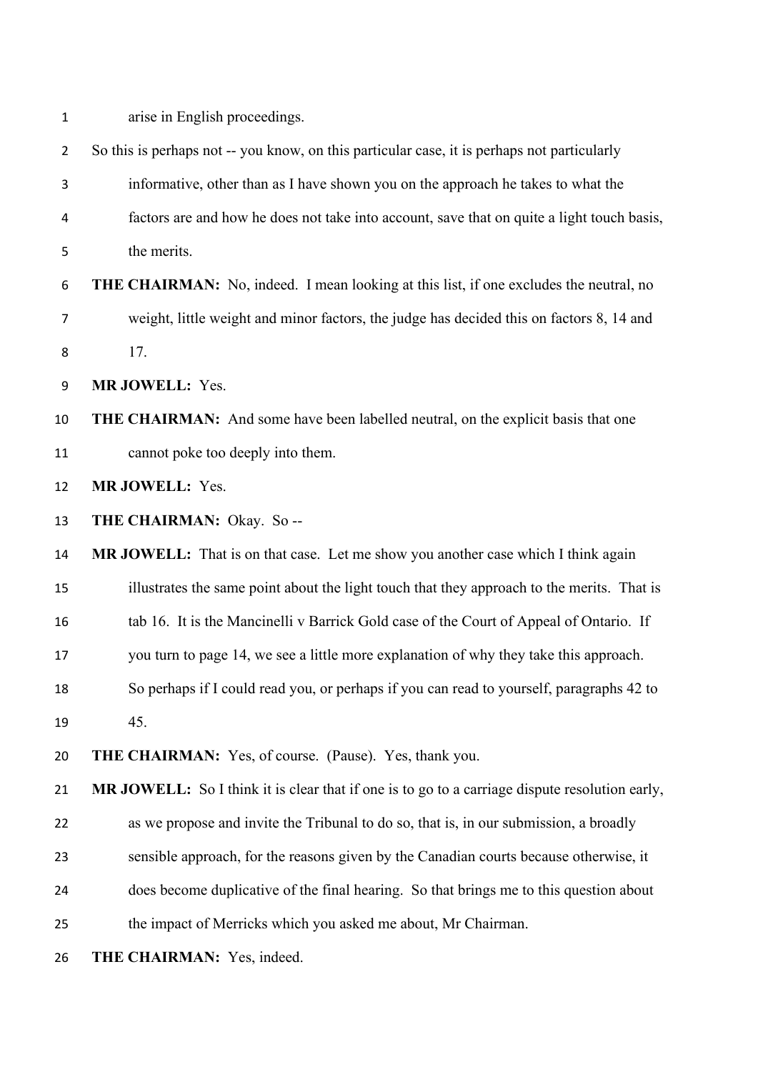|  |  | arise in English proceedings. |
|--|--|-------------------------------|
|  |  |                               |

| $\overline{2}$ | So this is perhaps not -- you know, on this particular case, it is perhaps not particularly    |
|----------------|------------------------------------------------------------------------------------------------|
| 3              | informative, other than as I have shown you on the approach he takes to what the               |
| 4              | factors are and how he does not take into account, save that on quite a light touch basis,     |
| 5              | the merits.                                                                                    |
| 6              | <b>THE CHAIRMAN:</b> No, indeed. I mean looking at this list, if one excludes the neutral, no  |
| 7              | weight, little weight and minor factors, the judge has decided this on factors 8, 14 and       |
| 8              | 17.                                                                                            |
| 9              | MR JOWELL: Yes.                                                                                |
| 10             | <b>THE CHAIRMAN:</b> And some have been labelled neutral, on the explicit basis that one       |
| 11             | cannot poke too deeply into them.                                                              |
| 12             | MR JOWELL: Yes.                                                                                |
| 13             | THE CHAIRMAN: Okay. So --                                                                      |
| 14             | MR JOWELL: That is on that case. Let me show you another case which I think again              |
| 15             | illustrates the same point about the light touch that they approach to the merits. That is     |
| 16             | tab 16. It is the Mancinelli v Barrick Gold case of the Court of Appeal of Ontario. If         |
| 17             | you turn to page 14, we see a little more explanation of why they take this approach.          |
| 18             | So perhaps if I could read you, or perhaps if you can read to yourself, paragraphs 42 to       |
| 19             | 45.                                                                                            |
| 20             | THE CHAIRMAN: Yes, of course. (Pause). Yes, thank you.                                         |
| 21             | MR JOWELL: So I think it is clear that if one is to go to a carriage dispute resolution early, |
| 22             | as we propose and invite the Tribunal to do so, that is, in our submission, a broadly          |
| 23             | sensible approach, for the reasons given by the Canadian courts because otherwise, it          |
| 24             | does become duplicative of the final hearing. So that brings me to this question about         |
| 25             | the impact of Merricks which you asked me about, Mr Chairman.                                  |
| 26             | THE CHAIRMAN: Yes, indeed.                                                                     |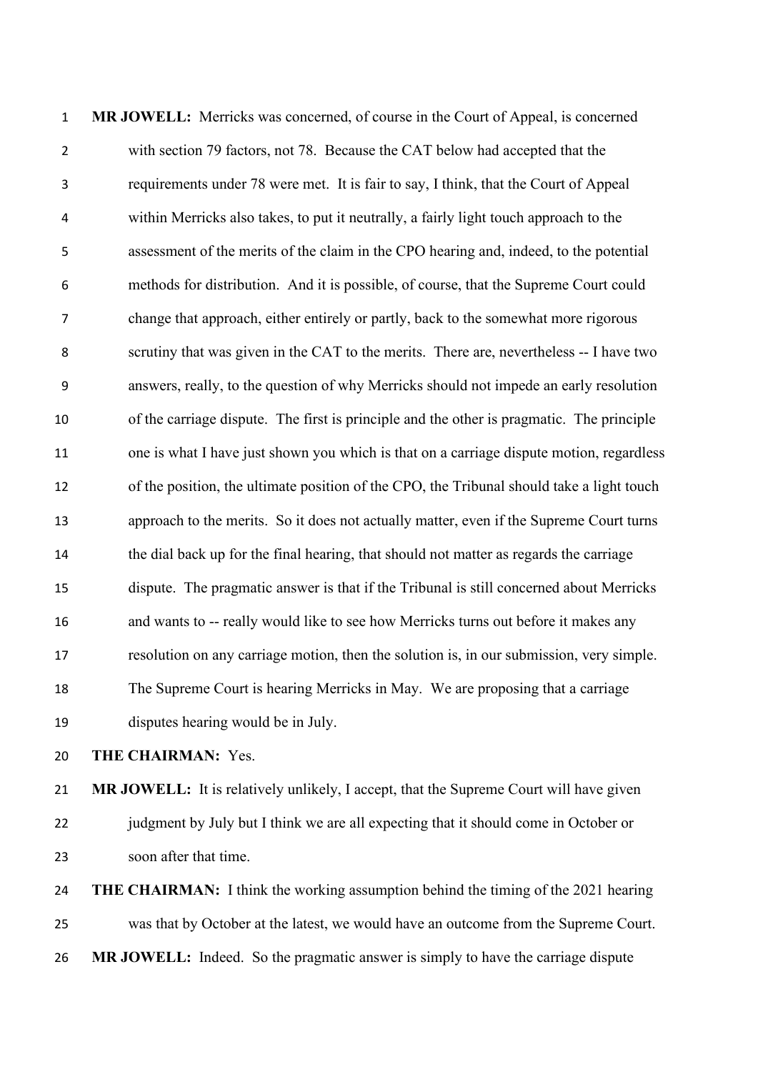**MR JOWELL:** Merricks was concerned, of course in the Court of Appeal, is concerned with section 79 factors, not 78. Because the CAT below had accepted that the requirements under 78 were met. It is fair to say, I think, that the Court of Appeal within Merricks also takes, to put it neutrally, a fairly light touch approach to the assessment of the merits of the claim in the CPO hearing and, indeed, to the potential methods for distribution. And it is possible, of course, that the Supreme Court could change that approach, either entirely or partly, back to the somewhat more rigorous scrutiny that was given in the CAT to the merits. There are, nevertheless -- I have two answers, really, to the question of why Merricks should not impede an early resolution of the carriage dispute. The first is principle and the other is pragmatic. The principle one is what I have just shown you which is that on a carriage dispute motion, regardless of the position, the ultimate position of the CPO, the Tribunal should take a light touch approach to the merits. So it does not actually matter, even if the Supreme Court turns the dial back up for the final hearing, that should not matter as regards the carriage dispute. The pragmatic answer is that if the Tribunal is still concerned about Merricks and wants to -- really would like to see how Merricks turns out before it makes any resolution on any carriage motion, then the solution is, in our submission, very simple. The Supreme Court is hearing Merricks in May. We are proposing that a carriage disputes hearing would be in July.

**THE CHAIRMAN:** Yes.

 **MR JOWELL:** It is relatively unlikely, I accept, that the Supreme Court will have given judgment by July but I think we are all expecting that it should come in October or soon after that time.

 **THE CHAIRMAN:** I think the working assumption behind the timing of the 2021 hearing was that by October at the latest, we would have an outcome from the Supreme Court. **MR JOWELL:** Indeed. So the pragmatic answer is simply to have the carriage dispute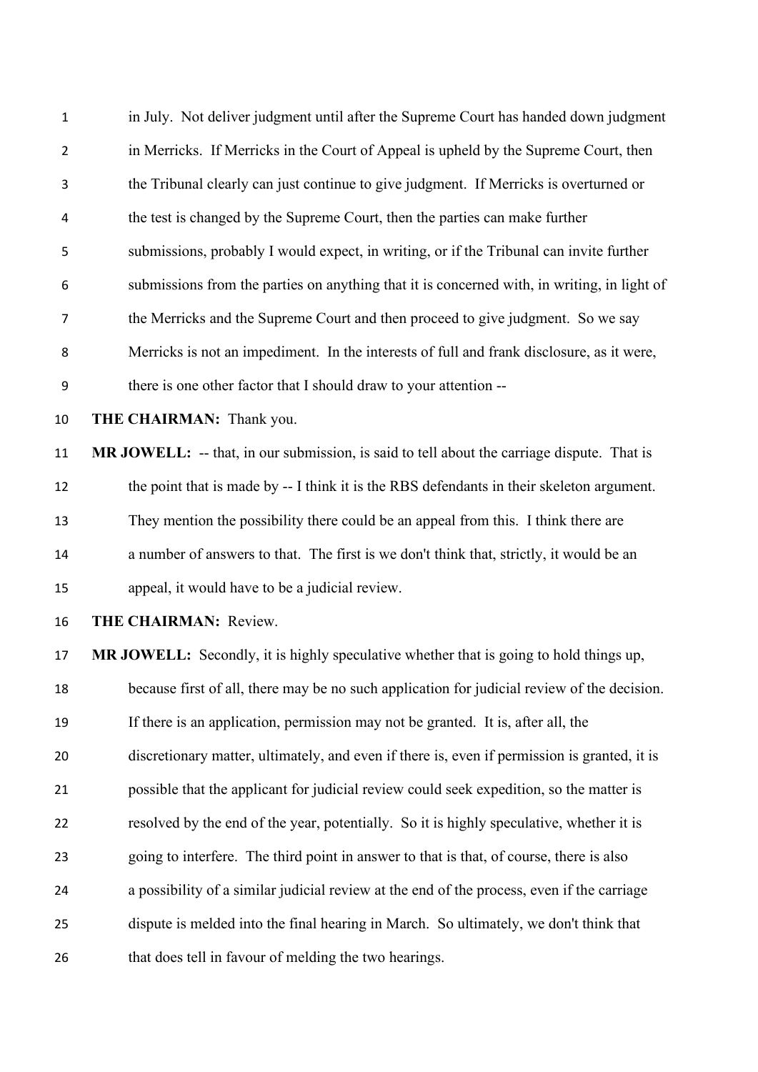in July. Not deliver judgment until after the Supreme Court has handed down judgment in Merricks. If Merricks in the Court of Appeal is upheld by the Supreme Court, then the Tribunal clearly can just continue to give judgment. If Merricks is overturned or the test is changed by the Supreme Court, then the parties can make further submissions, probably I would expect, in writing, or if the Tribunal can invite further submissions from the parties on anything that it is concerned with, in writing, in light of the Merricks and the Supreme Court and then proceed to give judgment. So we say Merricks is not an impediment. In the interests of full and frank disclosure, as it were, there is one other factor that I should draw to your attention -- **THE CHAIRMAN:** Thank you. **MR JOWELL:** -- that, in our submission, is said to tell about the carriage dispute. That is the point that is made by -- I think it is the RBS defendants in their skeleton argument. They mention the possibility there could be an appeal from this. I think there are a number of answers to that. The first is we don't think that, strictly, it would be an appeal, it would have to be a judicial review. **THE CHAIRMAN:** Review. **MR JOWELL:** Secondly, it is highly speculative whether that is going to hold things up, because first of all, there may be no such application for judicial review of the decision. If there is an application, permission may not be granted. It is, after all, the discretionary matter, ultimately, and even if there is, even if permission is granted, it is possible that the applicant for judicial review could seek expedition, so the matter is resolved by the end of the year, potentially. So it is highly speculative, whether it is going to interfere. The third point in answer to that is that, of course, there is also a possibility of a similar judicial review at the end of the process, even if the carriage

- dispute is melded into the final hearing in March. So ultimately, we don't think that
- that does tell in favour of melding the two hearings.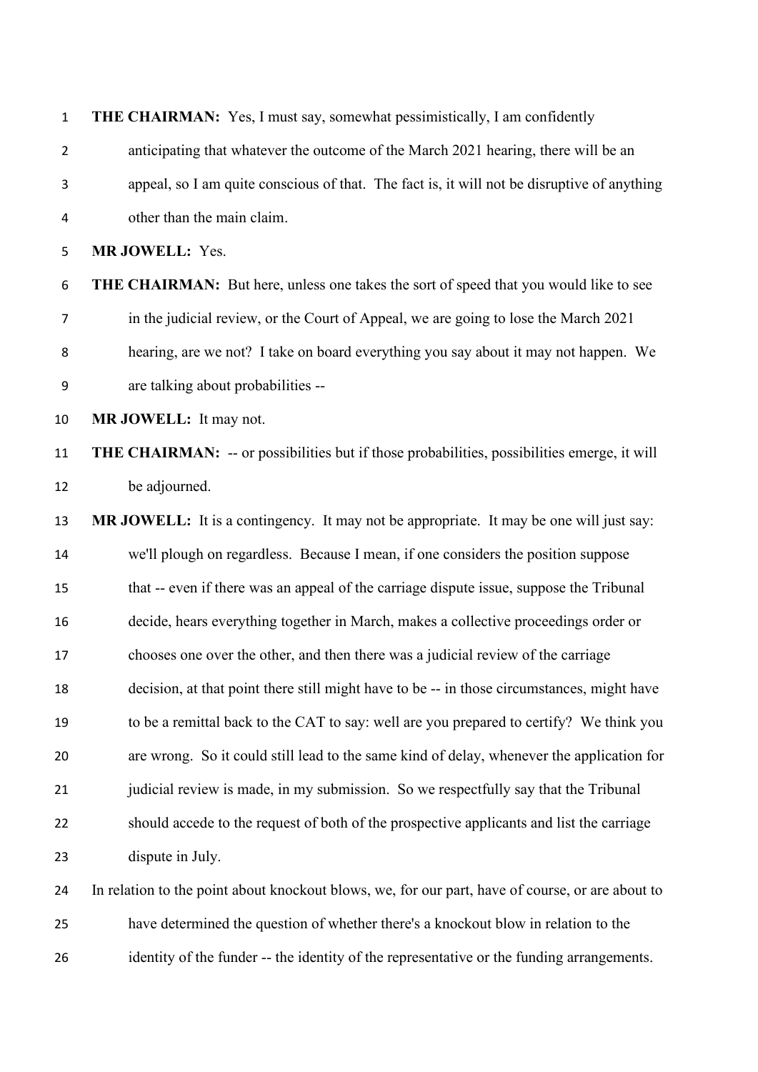| $\mathbf{1}$ | <b>THE CHAIRMAN:</b> Yes, I must say, somewhat pessimistically, I am confidently                   |
|--------------|----------------------------------------------------------------------------------------------------|
| 2            | anticipating that whatever the outcome of the March 2021 hearing, there will be an                 |
| 3            | appeal, so I am quite conscious of that. The fact is, it will not be disruptive of anything        |
| 4            | other than the main claim.                                                                         |
| 5            | MR JOWELL: Yes.                                                                                    |
| 6            | <b>THE CHAIRMAN:</b> But here, unless one takes the sort of speed that you would like to see       |
| 7            | in the judicial review, or the Court of Appeal, we are going to lose the March 2021                |
| 8            | hearing, are we not? I take on board everything you say about it may not happen. We                |
| 9            | are talking about probabilities --                                                                 |
| 10           | MR JOWELL: It may not.                                                                             |
| 11           | <b>THE CHAIRMAN:</b> -- or possibilities but if those probabilities, possibilities emerge, it will |
| 12           | be adjourned.                                                                                      |
| 13           | MR JOWELL: It is a contingency. It may not be appropriate. It may be one will just say:            |
| 14           | we'll plough on regardless. Because I mean, if one considers the position suppose                  |
| 15           | that -- even if there was an appeal of the carriage dispute issue, suppose the Tribunal            |
| 16           | decide, hears everything together in March, makes a collective proceedings order or                |
| 17           | chooses one over the other, and then there was a judicial review of the carriage                   |
| 18           | decision, at that point there still might have to be -- in those circumstances, might have         |
| 19           | to be a remittal back to the CAT to say: well are you prepared to certify? We think you            |
| 20           | are wrong. So it could still lead to the same kind of delay, whenever the application for          |
| 21           | judicial review is made, in my submission. So we respectfully say that the Tribunal                |
| 22           | should accede to the request of both of the prospective applicants and list the carriage           |
| 23           | dispute in July.                                                                                   |
| 24           | In relation to the point about knockout blows, we, for our part, have of course, or are about to   |
| 25           | have determined the question of whether there's a knockout blow in relation to the                 |

identity of the funder -- the identity of the representative or the funding arrangements.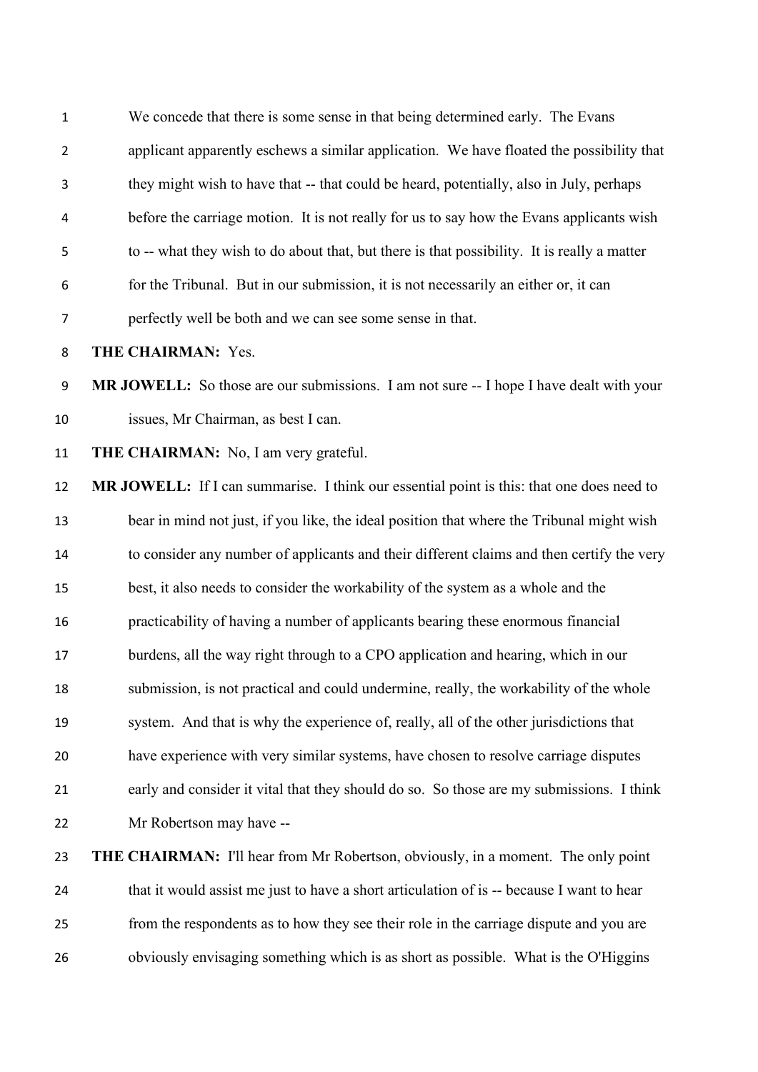We concede that there is some sense in that being determined early. The Evans applicant apparently eschews a similar application. We have floated the possibility that they might wish to have that -- that could be heard, potentially, also in July, perhaps before the carriage motion. It is not really for us to say how the Evans applicants wish to -- what they wish to do about that, but there is that possibility. It is really a matter for the Tribunal. But in our submission, it is not necessarily an either or, it can perfectly well be both and we can see some sense in that.

**THE CHAIRMAN:** Yes.

 **MR JOWELL:** So those are our submissions. I am not sure -- I hope I have dealt with your issues, Mr Chairman, as best I can.

**THE CHAIRMAN:** No, I am very grateful.

**MR JOWELL:** If I can summarise. I think our essential point is this: that one does need to bear in mind not just, if you like, the ideal position that where the Tribunal might wish to consider any number of applicants and their different claims and then certify the very best, it also needs to consider the workability of the system as a whole and the practicability of having a number of applicants bearing these enormous financial burdens, all the way right through to a CPO application and hearing, which in our submission, is not practical and could undermine, really, the workability of the whole system. And that is why the experience of, really, all of the other jurisdictions that have experience with very similar systems, have chosen to resolve carriage disputes early and consider it vital that they should do so. So those are my submissions. I think Mr Robertson may have --

# **THE CHAIRMAN:** I'll hear from Mr Robertson, obviously, in a moment. The only point 24 that it would assist me just to have a short articulation of is -- because I want to hear from the respondents as to how they see their role in the carriage dispute and you are obviously envisaging something which is as short as possible. What is the O'Higgins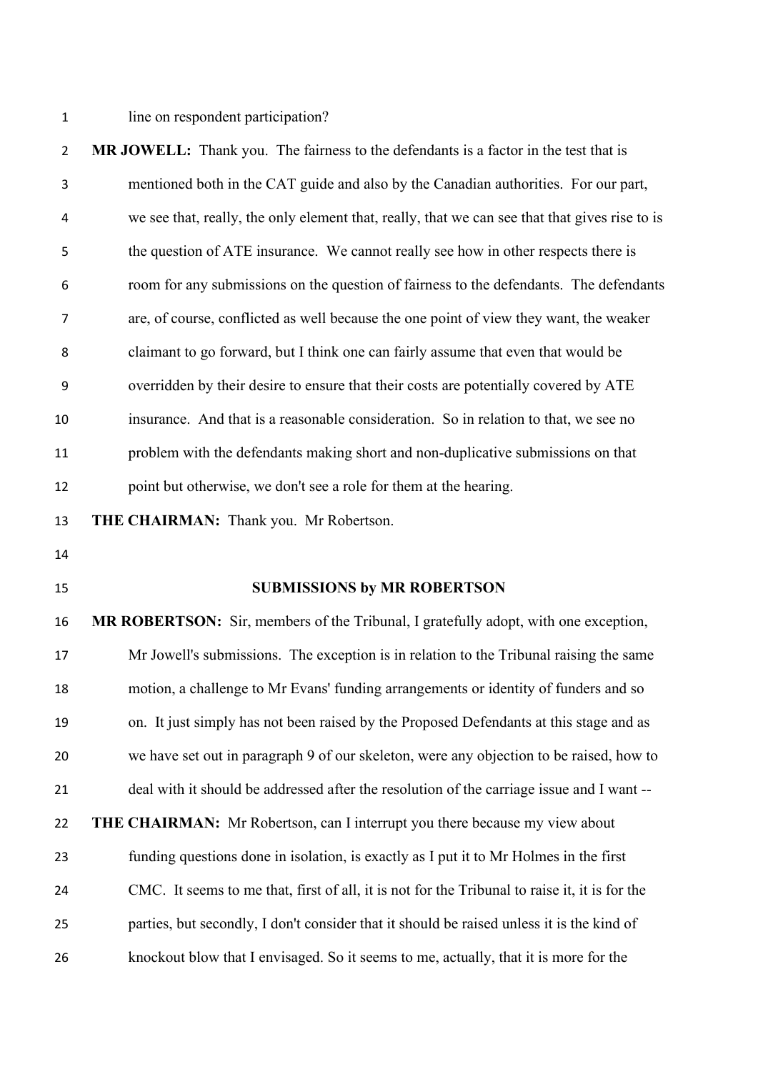1 line on respondent participation?

| $\overline{2}$ | MR JOWELL: Thank you. The fairness to the defendants is a factor in the test that is           |
|----------------|------------------------------------------------------------------------------------------------|
| 3              | mentioned both in the CAT guide and also by the Canadian authorities. For our part,            |
| 4              | we see that, really, the only element that, really, that we can see that that gives rise to is |
| 5              | the question of ATE insurance. We cannot really see how in other respects there is             |
| 6              | room for any submissions on the question of fairness to the defendants. The defendants         |
| 7              | are, of course, conflicted as well because the one point of view they want, the weaker         |
| 8              | claimant to go forward, but I think one can fairly assume that even that would be              |
| 9              | overridden by their desire to ensure that their costs are potentially covered by ATE           |
| 10             | insurance. And that is a reasonable consideration. So in relation to that, we see no           |
| 11             | problem with the defendants making short and non-duplicative submissions on that               |
| 12             | point but otherwise, we don't see a role for them at the hearing.                              |
| 13             | THE CHAIRMAN: Thank you. Mr Robertson.                                                         |
| 14             |                                                                                                |
| 15             | <b>SUBMISSIONS by MR ROBERTSON</b>                                                             |
| 16             | MR ROBERTSON: Sir, members of the Tribunal, I gratefully adopt, with one exception,            |
| 17             | Mr Jowell's submissions. The exception is in relation to the Tribunal raising the same         |
| 18             | motion, a challenge to Mr Evans' funding arrangements or identity of funders and so            |
| 19             | on. It just simply has not been raised by the Proposed Defendants at this stage and as         |
| 20             | we have set out in paragraph 9 of our skeleton, were any objection to be raised, how to        |
| 21             | deal with it should be addressed after the resolution of the carriage issue and I want --      |
| 22             |                                                                                                |
|                | <b>THE CHAIRMAN:</b> Mr Robertson, can I interrupt you there because my view about             |
| 23             | funding questions done in isolation, is exactly as I put it to Mr Holmes in the first          |
| 24             | CMC. It seems to me that, first of all, it is not for the Tribunal to raise it, it is for the  |
| 25             | parties, but secondly, I don't consider that it should be raised unless it is the kind of      |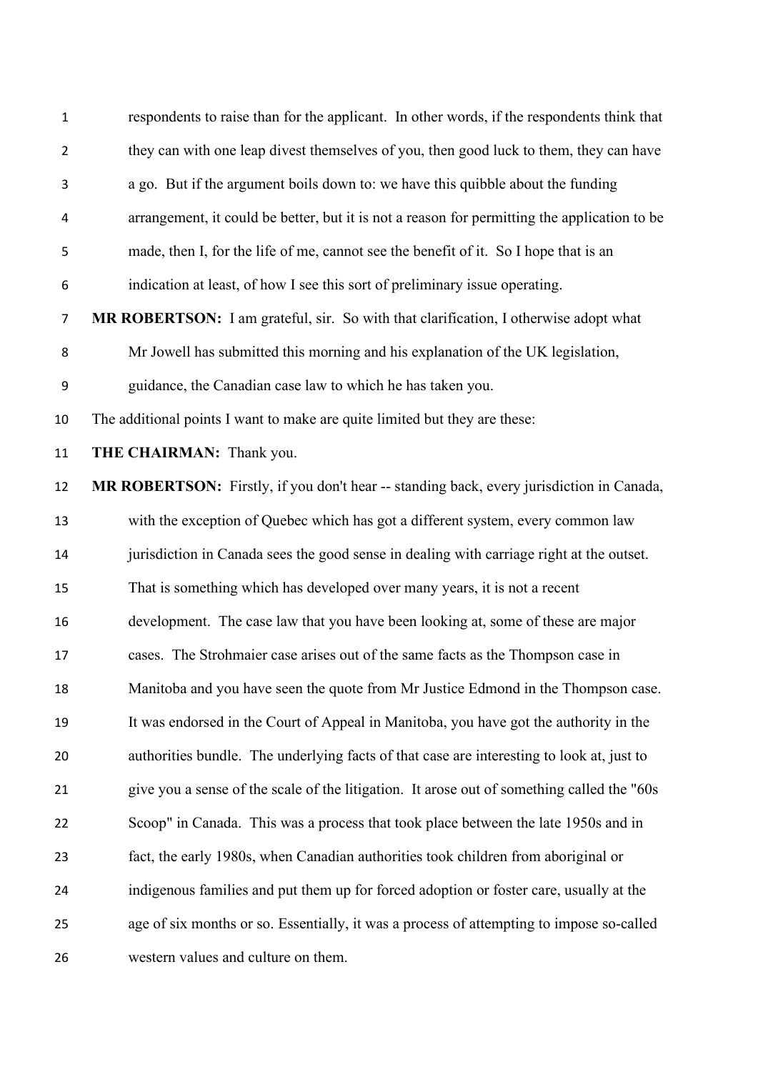| $\mathbf{1}$   | respondents to raise than for the applicant. In other words, if the respondents think that   |
|----------------|----------------------------------------------------------------------------------------------|
| $\overline{2}$ | they can with one leap divest themselves of you, then good luck to them, they can have       |
| 3              | a go. But if the argument boils down to: we have this quibble about the funding              |
| 4              | arrangement, it could be better, but it is not a reason for permitting the application to be |
| 5              | made, then I, for the life of me, cannot see the benefit of it. So I hope that is an         |
| 6              | indication at least, of how I see this sort of preliminary issue operating.                  |
| $\overline{7}$ | MR ROBERTSON: I am grateful, sir. So with that clarification, I otherwise adopt what         |
| 8              | Mr Jowell has submitted this morning and his explanation of the UK legislation,              |
| 9              | guidance, the Canadian case law to which he has taken you.                                   |
| 10             | The additional points I want to make are quite limited but they are these:                   |
| 11             | THE CHAIRMAN: Thank you.                                                                     |
| 12             | MR ROBERTSON: Firstly, if you don't hear -- standing back, every jurisdiction in Canada,     |
| 13             | with the exception of Quebec which has got a different system, every common law              |
| 14             | jurisdiction in Canada sees the good sense in dealing with carriage right at the outset.     |
| 15             | That is something which has developed over many years, it is not a recent                    |
| 16             | development. The case law that you have been looking at, some of these are major             |
| 17             | cases. The Strohmaier case arises out of the same facts as the Thompson case in              |
| 18             | Manitoba and you have seen the quote from Mr Justice Edmond in the Thompson case.            |
| 19             | It was endorsed in the Court of Appeal in Manitoba, you have got the authority in the        |
| 20             | authorities bundle. The underlying facts of that case are interesting to look at, just to    |
| 21             | give you a sense of the scale of the litigation. It arose out of something called the "60s   |
| 22             | Scoop" in Canada. This was a process that took place between the late 1950s and in           |
| 23             | fact, the early 1980s, when Canadian authorities took children from aboriginal or            |
| 24             | indigenous families and put them up for forced adoption or foster care, usually at the       |
| 25             | age of six months or so. Essentially, it was a process of attempting to impose so-called     |
| 26             | western values and culture on them.                                                          |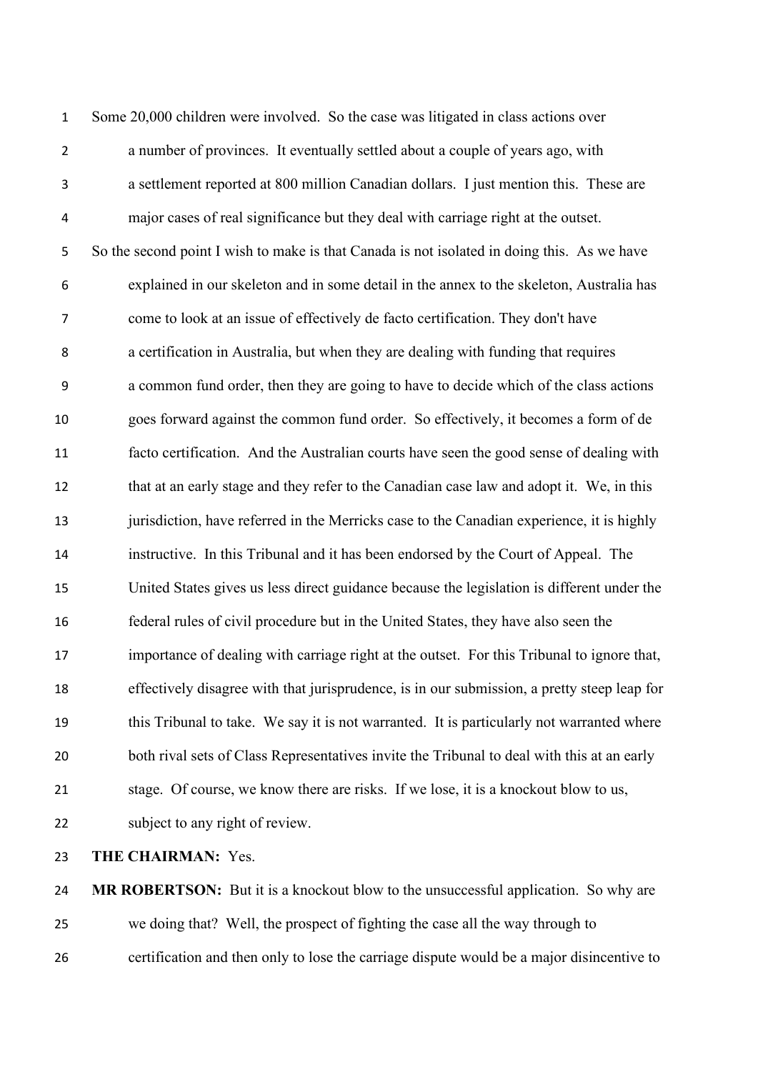Some 20,000 children were involved. So the case was litigated in class actions over a number of provinces. It eventually settled about a couple of years ago, with a settlement reported at 800 million Canadian dollars. I just mention this. These are major cases of real significance but they deal with carriage right at the outset. So the second point I wish to make is that Canada is not isolated in doing this. As we have explained in our skeleton and in some detail in the annex to the skeleton, Australia has come to look at an issue of effectively de facto certification. They don't have a certification in Australia, but when they are dealing with funding that requires a common fund order, then they are going to have to decide which of the class actions goes forward against the common fund order. So effectively, it becomes a form of de facto certification. And the Australian courts have seen the good sense of dealing with 12 that at an early stage and they refer to the Canadian case law and adopt it. We, in this jurisdiction, have referred in the Merricks case to the Canadian experience, it is highly instructive. In this Tribunal and it has been endorsed by the Court of Appeal. The United States gives us less direct guidance because the legislation is different under the federal rules of civil procedure but in the United States, they have also seen the importance of dealing with carriage right at the outset. For this Tribunal to ignore that, effectively disagree with that jurisprudence, is in our submission, a pretty steep leap for this Tribunal to take. We say it is not warranted. It is particularly not warranted where both rival sets of Class Representatives invite the Tribunal to deal with this at an early stage. Of course, we know there are risks. If we lose, it is a knockout blow to us, subject to any right of review.

**THE CHAIRMAN:** Yes.

**MR ROBERTSON:** But it is a knockout blow to the unsuccessful application. So why are we doing that? Well, the prospect of fighting the case all the way through to certification and then only to lose the carriage dispute would be a major disincentive to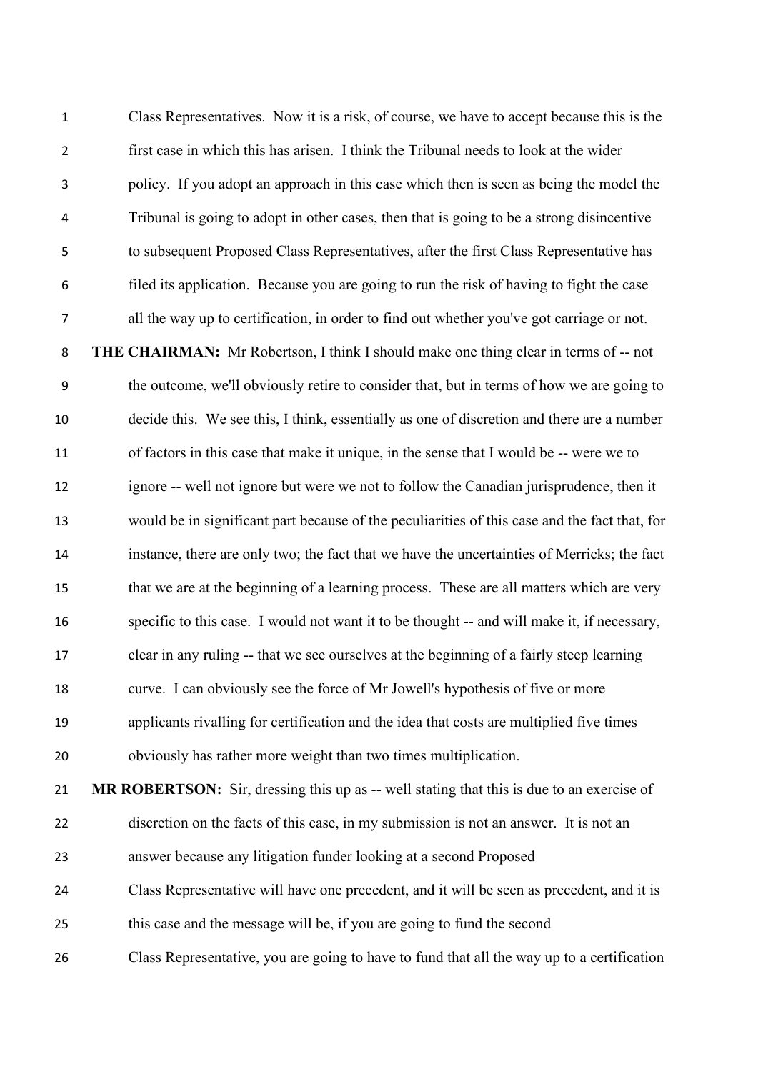Class Representatives. Now it is a risk, of course, we have to accept because this is the first case in which this has arisen. I think the Tribunal needs to look at the wider policy. If you adopt an approach in this case which then is seen as being the model the Tribunal is going to adopt in other cases, then that is going to be a strong disincentive to subsequent Proposed Class Representatives, after the first Class Representative has filed its application. Because you are going to run the risk of having to fight the case all the way up to certification, in order to find out whether you've got carriage or not. **THE CHAIRMAN:** Mr Robertson, I think I should make one thing clear in terms of -- not the outcome, we'll obviously retire to consider that, but in terms of how we are going to decide this. We see this, I think, essentially as one of discretion and there are a number of factors in this case that make it unique, in the sense that I would be -- were we to ignore -- well not ignore but were we not to follow the Canadian jurisprudence, then it would be in significant part because of the peculiarities of this case and the fact that, for instance, there are only two; the fact that we have the uncertainties of Merricks; the fact that we are at the beginning of a learning process. These are all matters which are very specific to this case. I would not want it to be thought -- and will make it, if necessary, clear in any ruling -- that we see ourselves at the beginning of a fairly steep learning curve. I can obviously see the force of Mr Jowell's hypothesis of five or more applicants rivalling for certification and the idea that costs are multiplied five times obviously has rather more weight than two times multiplication. **MR ROBERTSON:** Sir, dressing this up as -- well stating that this is due to an exercise of discretion on the facts of this case, in my submission is not an answer. It is not an answer because any litigation funder looking at a second Proposed Class Representative will have one precedent, and it will be seen as precedent, and it is this case and the message will be, if you are going to fund the second Class Representative, you are going to have to fund that all the way up to a certification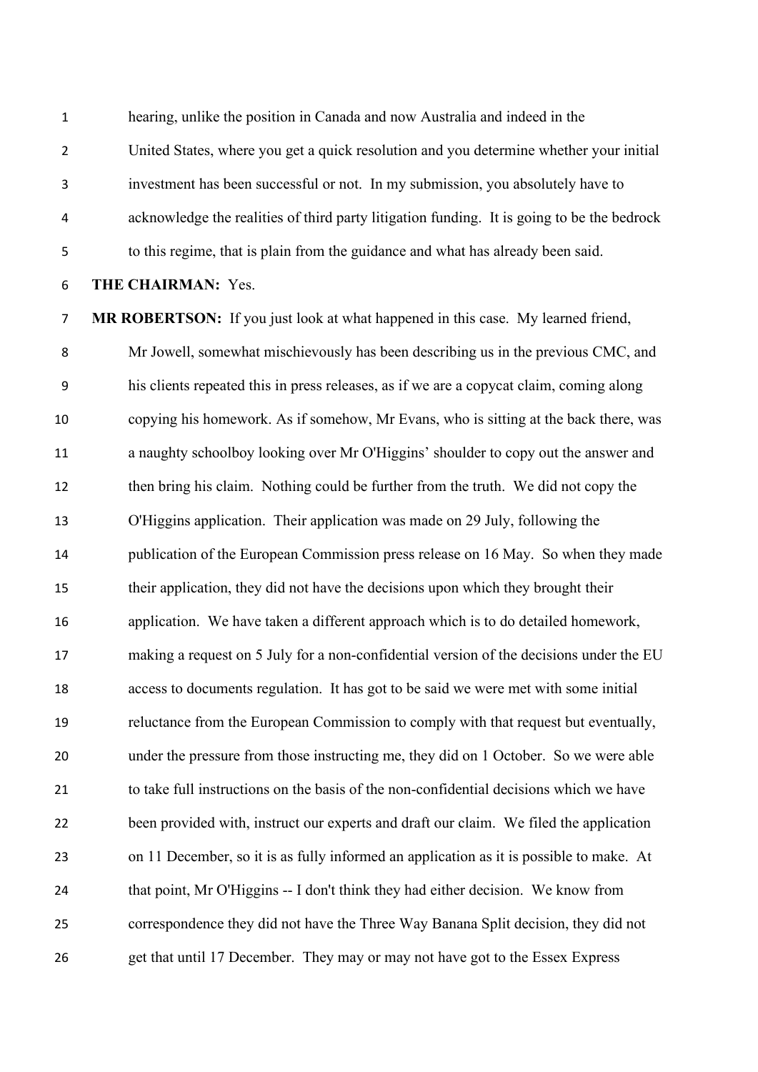hearing, unlike the position in Canada and now Australia and indeed in the

United States, where you get a quick resolution and you determine whether your initial

investment has been successful or not. In my submission, you absolutely have to

acknowledge the realities of third party litigation funding. It is going to be the bedrock

to this regime, that is plain from the guidance and what has already been said.

### **THE CHAIRMAN:** Yes.

 **MR ROBERTSON:** If you just look at what happened in this case. My learned friend, Mr Jowell, somewhat mischievously has been describing us in the previous CMC, and his clients repeated this in press releases, as if we are a copycat claim, coming along copying his homework. As if somehow, Mr Evans, who is sitting at the back there, was a naughty schoolboy looking over Mr O'Higgins' shoulder to copy out the answer and then bring his claim. Nothing could be further from the truth. We did not copy the O'Higgins application. Their application was made on 29 July, following the publication of the European Commission press release on 16 May. So when they made their application, they did not have the decisions upon which they brought their application. We have taken a different approach which is to do detailed homework, making a request on 5 July for a non-confidential version of the decisions under the EU access to documents regulation. It has got to be said we were met with some initial reluctance from the European Commission to comply with that request but eventually, under the pressure from those instructing me, they did on 1 October. So we were able to take full instructions on the basis of the non-confidential decisions which we have been provided with, instruct our experts and draft our claim. We filed the application on 11 December, so it is as fully informed an application as it is possible to make. At that point, Mr O'Higgins -- I don't think they had either decision. We know from correspondence they did not have the Three Way Banana Split decision, they did not get that until 17 December. They may or may not have got to the Essex Express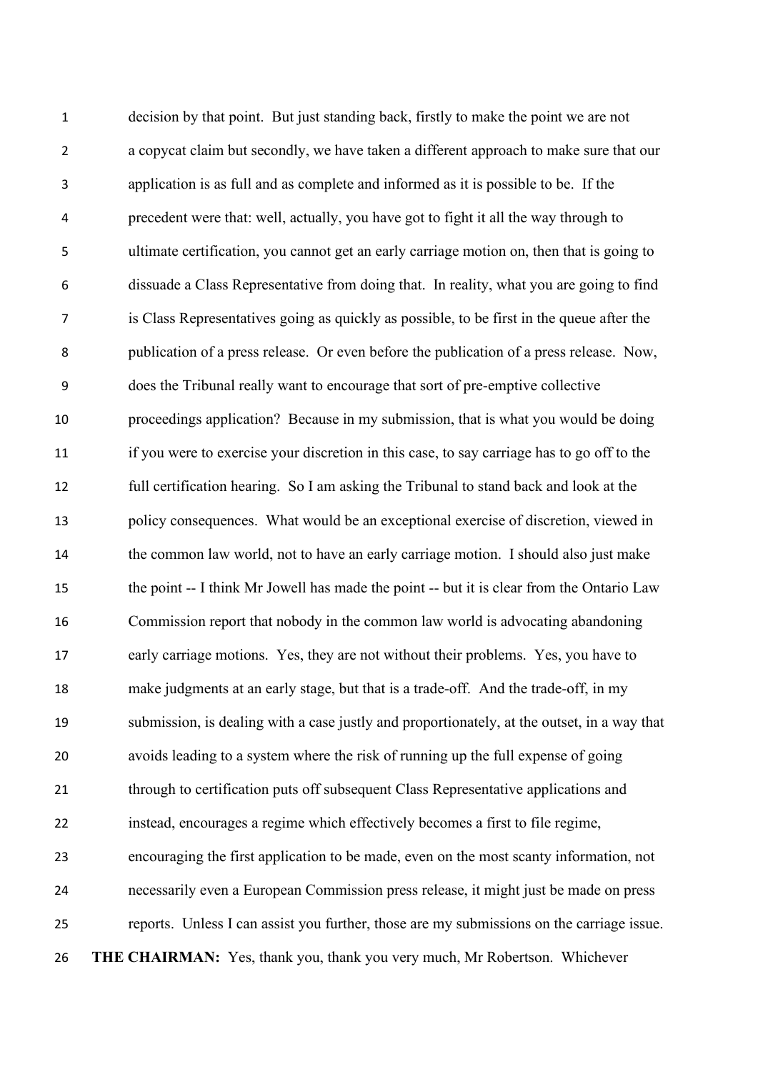decision by that point. But just standing back, firstly to make the point we are not a copycat claim but secondly, we have taken a different approach to make sure that our application is as full and as complete and informed as it is possible to be. If the precedent were that: well, actually, you have got to fight it all the way through to ultimate certification, you cannot get an early carriage motion on, then that is going to dissuade a Class Representative from doing that. In reality, what you are going to find is Class Representatives going as quickly as possible, to be first in the queue after the publication of a press release. Or even before the publication of a press release. Now, does the Tribunal really want to encourage that sort of pre-emptive collective proceedings application? Because in my submission, that is what you would be doing if you were to exercise your discretion in this case, to say carriage has to go off to the full certification hearing. So I am asking the Tribunal to stand back and look at the policy consequences. What would be an exceptional exercise of discretion, viewed in the common law world, not to have an early carriage motion. I should also just make 15 the point -- I think Mr Jowell has made the point -- but it is clear from the Ontario Law Commission report that nobody in the common law world is advocating abandoning early carriage motions. Yes, they are not without their problems. Yes, you have to make judgments at an early stage, but that is a trade-off. And the trade-off, in my submission, is dealing with a case justly and proportionately, at the outset, in a way that avoids leading to a system where the risk of running up the full expense of going through to certification puts off subsequent Class Representative applications and instead, encourages a regime which effectively becomes a first to file regime, encouraging the first application to be made, even on the most scanty information, not necessarily even a European Commission press release, it might just be made on press reports. Unless I can assist you further, those are my submissions on the carriage issue. **THE CHAIRMAN:** Yes, thank you, thank you very much, Mr Robertson. Whichever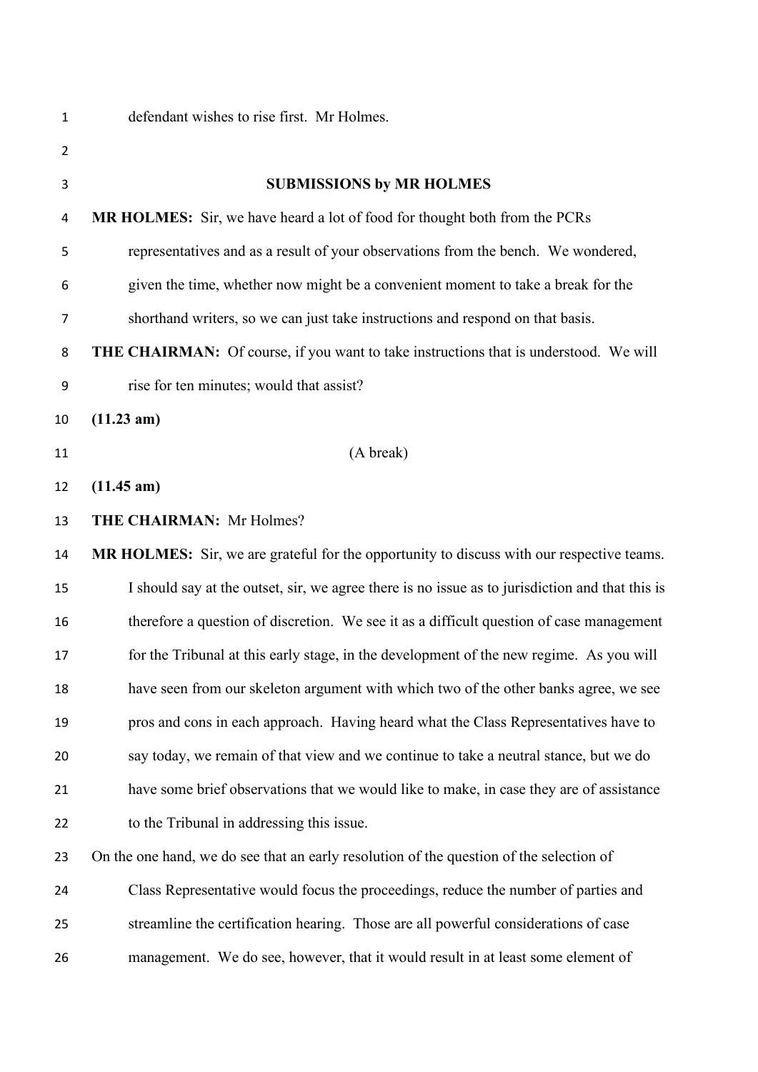| $\mathbf{1}$   | defendant wishes to rise first. Mr Holmes.                                                      |
|----------------|-------------------------------------------------------------------------------------------------|
| $\overline{2}$ |                                                                                                 |
| 3              | <b>SUBMISSIONS by MR HOLMES</b>                                                                 |
| 4              | MR HOLMES: Sir, we have heard a lot of food for thought both from the PCRs                      |
| 5              | representatives and as a result of your observations from the bench. We wondered,               |
| 6              | given the time, whether now might be a convenient moment to take a break for the                |
| 7              | shorthand writers, so we can just take instructions and respond on that basis.                  |
| 8              | <b>THE CHAIRMAN:</b> Of course, if you want to take instructions that is understood. We will    |
| 9              | rise for ten minutes; would that assist?                                                        |
| 10             | (11.23 am)                                                                                      |
| 11             | (A break)                                                                                       |
| 12             | (11.45 am)                                                                                      |
| 13             | THE CHAIRMAN: Mr Holmes?                                                                        |
| 14             | MR HOLMES: Sir, we are grateful for the opportunity to discuss with our respective teams.       |
| 15             | I should say at the outset, sir, we agree there is no issue as to jurisdiction and that this is |
| 16             | therefore a question of discretion. We see it as a difficult question of case management        |
| 17             | for the Tribunal at this early stage, in the development of the new regime. As you will         |
| 18             | have seen from our skeleton argument with which two of the other banks agree, we see            |
| 19             | pros and cons in each approach. Having heard what the Class Representatives have to             |
| 20             | say today, we remain of that view and we continue to take a neutral stance, but we do           |
| 21             | have some brief observations that we would like to make, in case they are of assistance         |
| 22             | to the Tribunal in addressing this issue.                                                       |
| 23             | On the one hand, we do see that an early resolution of the question of the selection of         |
| 24             | Class Representative would focus the proceedings, reduce the number of parties and              |
| 25             | streamline the certification hearing. Those are all powerful considerations of case             |
| 26             | management. We do see, however, that it would result in at least some element of                |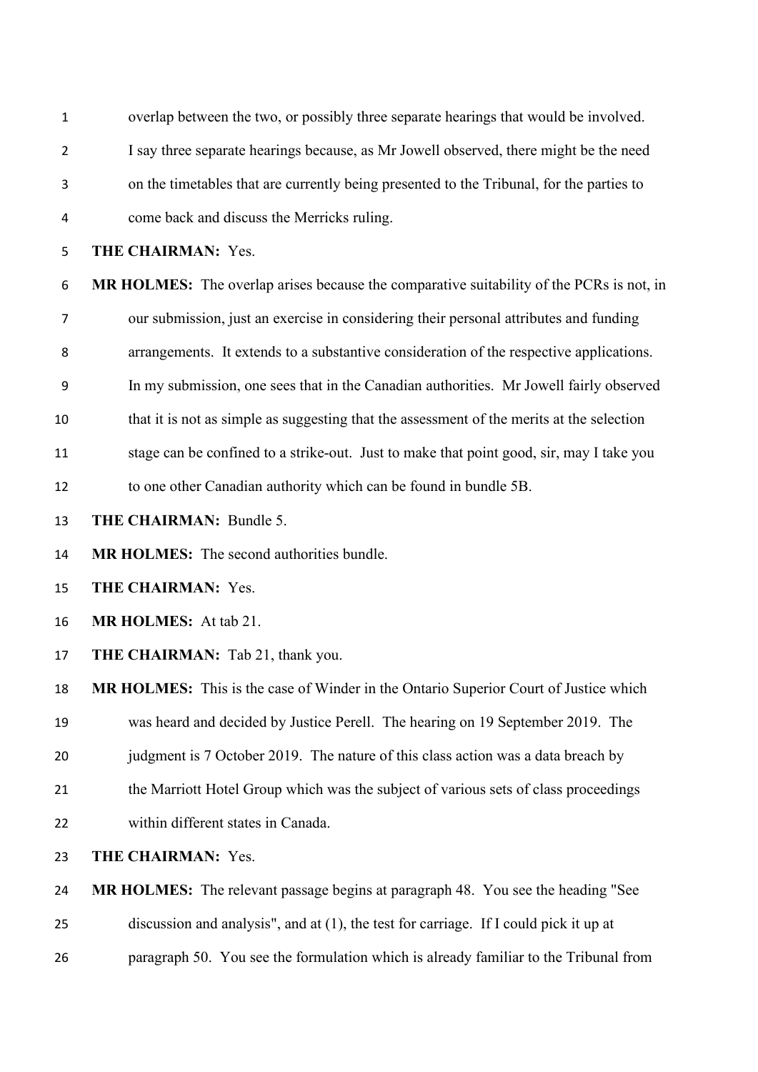| $\mathbf{1}$   | overlap between the two, or possibly three separate hearings that would be involved.      |
|----------------|-------------------------------------------------------------------------------------------|
| $\overline{2}$ | I say three separate hearings because, as Mr Jowell observed, there might be the need     |
| 3              | on the timetables that are currently being presented to the Tribunal, for the parties to  |
| 4              | come back and discuss the Merricks ruling.                                                |
| 5              | THE CHAIRMAN: Yes.                                                                        |
| 6              | MR HOLMES: The overlap arises because the comparative suitability of the PCRs is not, in  |
| 7              | our submission, just an exercise in considering their personal attributes and funding     |
| 8              | arrangements. It extends to a substantive consideration of the respective applications.   |
| 9              | In my submission, one sees that in the Canadian authorities. Mr Jowell fairly observed    |
| 10             | that it is not as simple as suggesting that the assessment of the merits at the selection |
| 11             | stage can be confined to a strike-out. Just to make that point good, sir, may I take you  |
| 12             | to one other Canadian authority which can be found in bundle 5B.                          |
| 13             | THE CHAIRMAN: Bundle 5.                                                                   |
| 14             | MR HOLMES: The second authorities bundle.                                                 |
| 15             | THE CHAIRMAN: Yes.                                                                        |
| 16             | MR HOLMES: At tab 21.                                                                     |
| 17             | THE CHAIRMAN: Tab 21, thank you.                                                          |
| 18             | MR HOLMES: This is the case of Winder in the Ontario Superior Court of Justice which      |
| 19             | was heard and decided by Justice Perell. The hearing on 19 September 2019. The            |
| 20             | judgment is 7 October 2019. The nature of this class action was a data breach by          |
| 21             | the Marriott Hotel Group which was the subject of various sets of class proceedings       |
| 22             | within different states in Canada.                                                        |
| 23             | THE CHAIRMAN: Yes.                                                                        |
| 24             | MR HOLMES: The relevant passage begins at paragraph 48. You see the heading "See          |
| 25             | discussion and analysis", and at (1), the test for carriage. If I could pick it up at     |
| 26             | paragraph 50. You see the formulation which is already familiar to the Tribunal from      |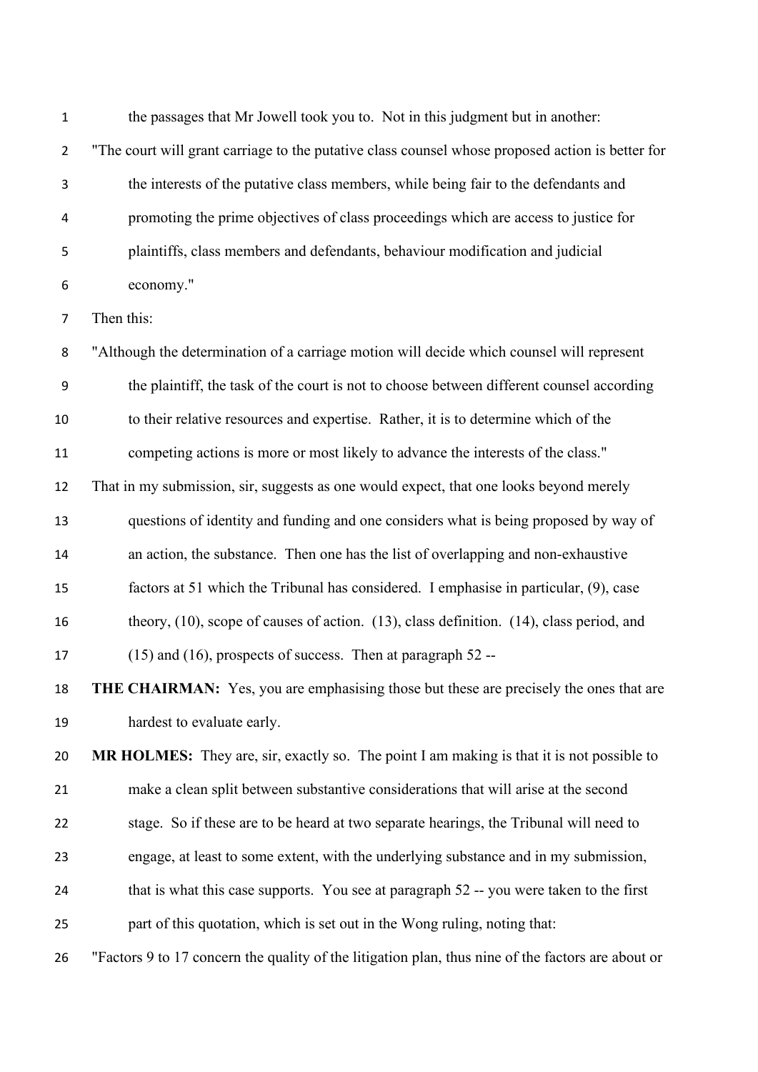the passages that Mr Jowell took you to. Not in this judgment but in another: "The court will grant carriage to the putative class counsel whose proposed action is better for the interests of the putative class members, while being fair to the defendants and promoting the prime objectives of class proceedings which are access to justice for plaintiffs, class members and defendants, behaviour modification and judicial economy." Then this: "Although the determination of a carriage motion will decide which counsel will represent the plaintiff, the task of the court is not to choose between different counsel according to their relative resources and expertise. Rather, it is to determine which of the competing actions is more or most likely to advance the interests of the class." That in my submission, sir, suggests as one would expect, that one looks beyond merely questions of identity and funding and one considers what is being proposed by way of an action, the substance. Then one has the list of overlapping and non-exhaustive factors at 51 which the Tribunal has considered. I emphasise in particular, (9), case theory, (10), scope of causes of action. (13), class definition. (14), class period, and (15) and (16), prospects of success. Then at paragraph 52 -- **THE CHAIRMAN:** Yes, you are emphasising those but these are precisely the ones that are hardest to evaluate early. **MR HOLMES:** They are, sir, exactly so. The point I am making is that it is not possible to make a clean split between substantive considerations that will arise at the second stage. So if these are to be heard at two separate hearings, the Tribunal will need to engage, at least to some extent, with the underlying substance and in my submission, 24 that is what this case supports. You see at paragraph 52 -- you were taken to the first part of this quotation, which is set out in the Wong ruling, noting that: "Factors 9 to 17 concern the quality of the litigation plan, thus nine of the factors are about or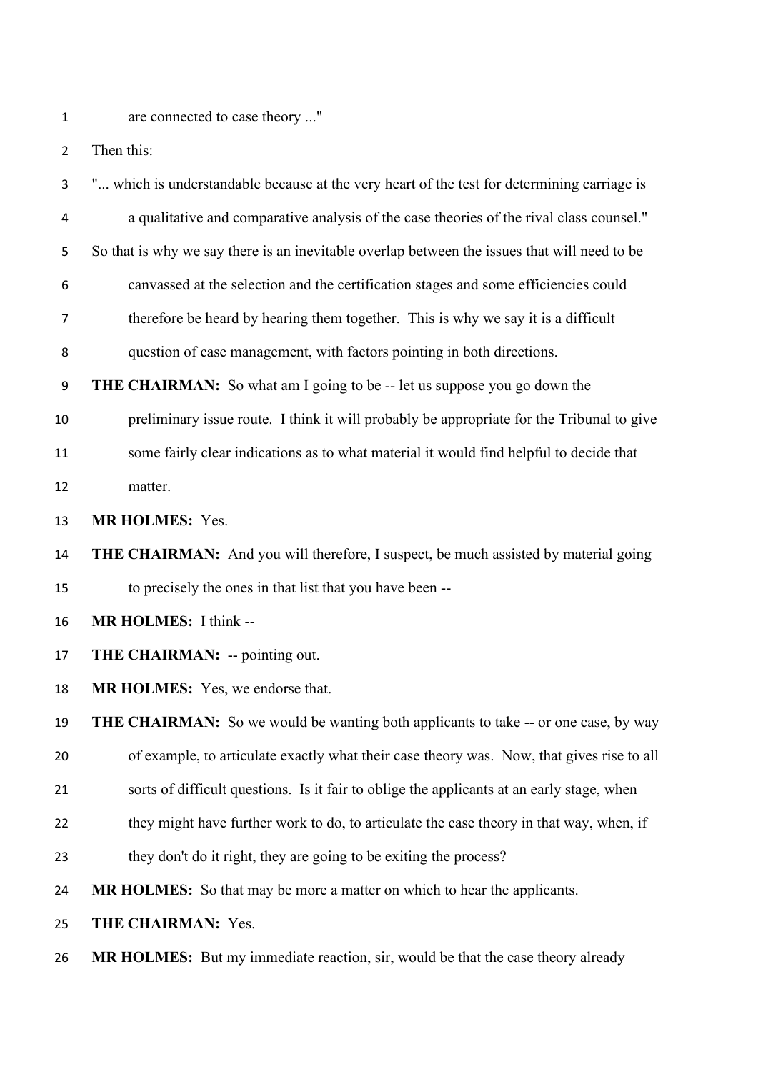1 are connected to case theory ..."

Then this:

| 3              | " which is understandable because at the very heart of the test for determining carriage is  |
|----------------|----------------------------------------------------------------------------------------------|
| 4              | a qualitative and comparative analysis of the case theories of the rival class counsel."     |
| 5              | So that is why we say there is an inevitable overlap between the issues that will need to be |
| 6              | canvassed at the selection and the certification stages and some efficiencies could          |
| $\overline{7}$ | therefore be heard by hearing them together. This is why we say it is a difficult            |
| 8              | question of case management, with factors pointing in both directions.                       |
| 9              | <b>THE CHAIRMAN:</b> So what am I going to be -- let us suppose you go down the              |
| 10             | preliminary issue route. I think it will probably be appropriate for the Tribunal to give    |
| 11             | some fairly clear indications as to what material it would find helpful to decide that       |
| 12             | matter.                                                                                      |
| 13             | <b>MR HOLMES: Yes.</b>                                                                       |
| 14             | <b>THE CHAIRMAN:</b> And you will therefore, I suspect, be much assisted by material going   |
| 15             | to precisely the ones in that list that you have been --                                     |
| 16             | <b>MR HOLMES:</b> I think --                                                                 |
| 17             | THE CHAIRMAN: -- pointing out.                                                               |
| 18             | <b>MR HOLMES:</b> Yes, we endorse that.                                                      |
| 19             | THE CHAIRMAN: So we would be wanting both applicants to take -- or one case, by way          |
| 20             | of example, to articulate exactly what their case theory was. Now, that gives rise to all    |
| 21             | sorts of difficult questions. Is it fair to oblige the applicants at an early stage, when    |
| 22             | they might have further work to do, to articulate the case theory in that way, when, if      |
| 23             | they don't do it right, they are going to be exiting the process?                            |
| 24             | MR HOLMES: So that may be more a matter on which to hear the applicants.                     |
| 25             | THE CHAIRMAN: Yes.                                                                           |
| 26             | <b>MR HOLMES:</b> But my immediate reaction, sir, would be that the case theory already      |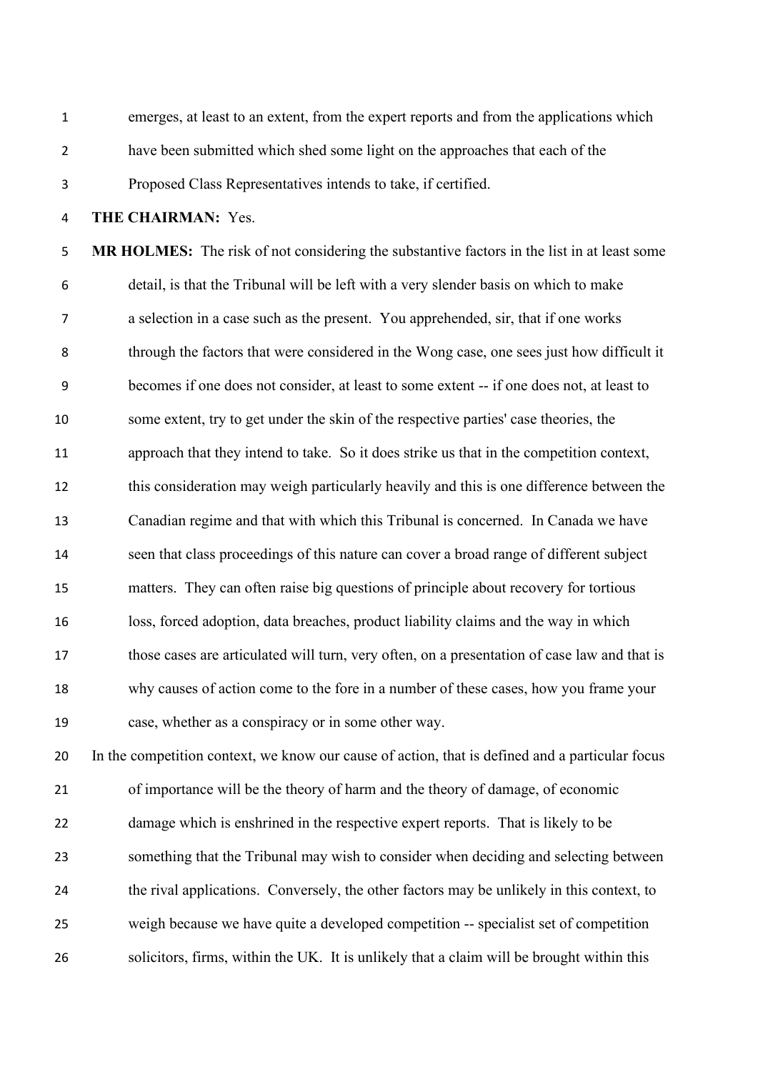emerges, at least to an extent, from the expert reports and from the applications which have been submitted which shed some light on the approaches that each of the Proposed Class Representatives intends to take, if certified.

**THE CHAIRMAN:** Yes.

 **MR HOLMES:** The risk of not considering the substantive factors in the list in at least some detail, is that the Tribunal will be left with a very slender basis on which to make a selection in a case such as the present. You apprehended, sir, that if one works through the factors that were considered in the Wong case, one sees just how difficult it becomes if one does not consider, at least to some extent -- if one does not, at least to some extent, try to get under the skin of the respective parties' case theories, the approach that they intend to take. So it does strike us that in the competition context, this consideration may weigh particularly heavily and this is one difference between the Canadian regime and that with which this Tribunal is concerned. In Canada we have seen that class proceedings of this nature can cover a broad range of different subject matters. They can often raise big questions of principle about recovery for tortious loss, forced adoption, data breaches, product liability claims and the way in which those cases are articulated will turn, very often, on a presentation of case law and that is why causes of action come to the fore in a number of these cases, how you frame your case, whether as a conspiracy or in some other way.

 In the competition context, we know our cause of action, that is defined and a particular focus of importance will be the theory of harm and the theory of damage, of economic damage which is enshrined in the respective expert reports. That is likely to be something that the Tribunal may wish to consider when deciding and selecting between the rival applications. Conversely, the other factors may be unlikely in this context, to weigh because we have quite a developed competition -- specialist set of competition solicitors, firms, within the UK. It is unlikely that a claim will be brought within this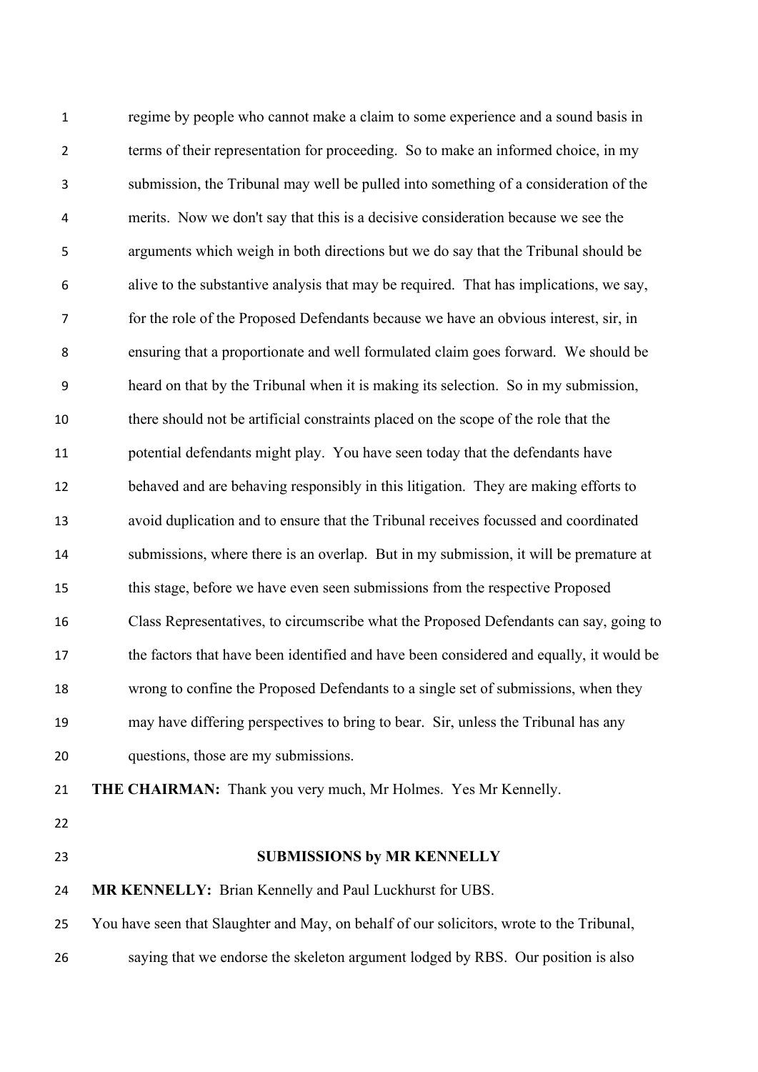regime by people who cannot make a claim to some experience and a sound basis in terms of their representation for proceeding. So to make an informed choice, in my submission, the Tribunal may well be pulled into something of a consideration of the merits. Now we don't say that this is a decisive consideration because we see the arguments which weigh in both directions but we do say that the Tribunal should be alive to the substantive analysis that may be required. That has implications, we say, for the role of the Proposed Defendants because we have an obvious interest, sir, in ensuring that a proportionate and well formulated claim goes forward. We should be heard on that by the Tribunal when it is making its selection. So in my submission, there should not be artificial constraints placed on the scope of the role that the potential defendants might play. You have seen today that the defendants have behaved and are behaving responsibly in this litigation. They are making efforts to avoid duplication and to ensure that the Tribunal receives focussed and coordinated submissions, where there is an overlap. But in my submission, it will be premature at this stage, before we have even seen submissions from the respective Proposed Class Representatives, to circumscribe what the Proposed Defendants can say, going to the factors that have been identified and have been considered and equally, it would be wrong to confine the Proposed Defendants to a single set of submissions, when they may have differing perspectives to bring to bear. Sir, unless the Tribunal has any questions, those are my submissions. **THE CHAIRMAN:** Thank you very much, Mr Holmes. Yes Mr Kennelly. **SUBMISSIONS by MR KENNELLY MR KENNELLY:** Brian Kennelly and Paul Luckhurst for UBS. You have seen that Slaughter and May, on behalf of our solicitors, wrote to the Tribunal, saying that we endorse the skeleton argument lodged by RBS. Our position is also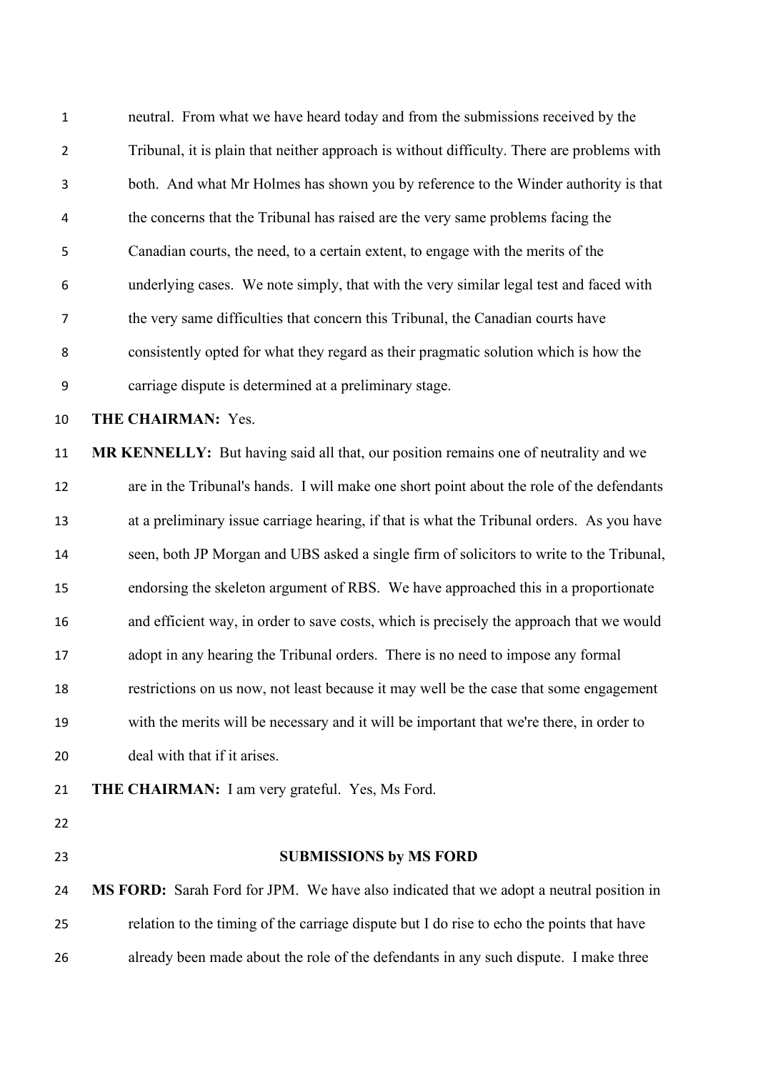| $\mathbf 1$    | neutral. From what we have heard today and from the submissions received by the            |
|----------------|--------------------------------------------------------------------------------------------|
| $\overline{2}$ | Tribunal, it is plain that neither approach is without difficulty. There are problems with |
| 3              | both. And what Mr Holmes has shown you by reference to the Winder authority is that        |
| 4              | the concerns that the Tribunal has raised are the very same problems facing the            |
| 5              | Canadian courts, the need, to a certain extent, to engage with the merits of the           |
| 6              | underlying cases. We note simply, that with the very similar legal test and faced with     |
| 7              | the very same difficulties that concern this Tribunal, the Canadian courts have            |
| 8              | consistently opted for what they regard as their pragmatic solution which is how the       |
| 9              | carriage dispute is determined at a preliminary stage.                                     |
| 10             | THE CHAIRMAN: Yes.                                                                         |
| 11             | MR KENNELLY: But having said all that, our position remains one of neutrality and we       |
| 12             | are in the Tribunal's hands. I will make one short point about the role of the defendants  |
| 13             | at a preliminary issue carriage hearing, if that is what the Tribunal orders. As you have  |
| 14             | seen, both JP Morgan and UBS asked a single firm of solicitors to write to the Tribunal,   |
|                |                                                                                            |
| 15             | endorsing the skeleton argument of RBS. We have approached this in a proportionate         |
| 16             | and efficient way, in order to save costs, which is precisely the approach that we would   |
| 17             | adopt in any hearing the Tribunal orders. There is no need to impose any formal            |
| 18             | restrictions on us now, not least because it may well be the case that some engagement     |
| 19             | with the merits will be necessary and it will be important that we're there, in order to   |
| 20             | deal with that if it arises.                                                               |
| 21             | <b>THE CHAIRMAN:</b> I am very grateful. Yes, Ms Ford.                                     |
| 22             |                                                                                            |
| 23             | <b>SUBMISSIONS by MS FORD</b>                                                              |
| 24             | MS FORD: Sarah Ford for JPM. We have also indicated that we adopt a neutral position in    |
| 25             | relation to the timing of the carriage dispute but I do rise to echo the points that have  |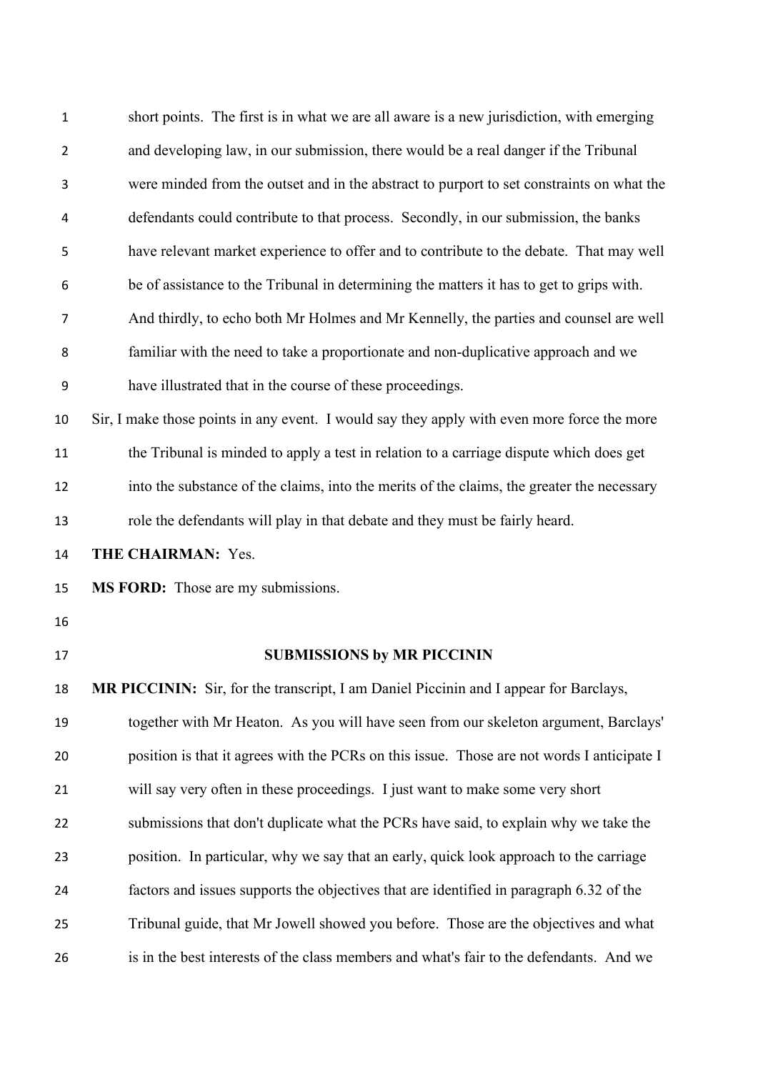| $\mathbf{1}$   | short points. The first is in what we are all aware is a new jurisdiction, with emerging    |
|----------------|---------------------------------------------------------------------------------------------|
| $\overline{2}$ | and developing law, in our submission, there would be a real danger if the Tribunal         |
| 3              | were minded from the outset and in the abstract to purport to set constraints on what the   |
| 4              | defendants could contribute to that process. Secondly, in our submission, the banks         |
| 5              | have relevant market experience to offer and to contribute to the debate. That may well     |
| 6              | be of assistance to the Tribunal in determining the matters it has to get to grips with.    |
| 7              | And thirdly, to echo both Mr Holmes and Mr Kennelly, the parties and counsel are well       |
| 8              | familiar with the need to take a proportionate and non-duplicative approach and we          |
| 9              | have illustrated that in the course of these proceedings.                                   |
| 10             | Sir, I make those points in any event. I would say they apply with even more force the more |
| 11             | the Tribunal is minded to apply a test in relation to a carriage dispute which does get     |
| 12             | into the substance of the claims, into the merits of the claims, the greater the necessary  |
| 13             | role the defendants will play in that debate and they must be fairly heard.                 |
|                |                                                                                             |
| 14             | THE CHAIRMAN: Yes.                                                                          |
| 15             | <b>MS FORD:</b> Those are my submissions.                                                   |
| 16             |                                                                                             |
| 17             | <b>SUBMISSIONS by MR PICCININ</b>                                                           |
| 18             | MR PICCININ: Sir, for the transcript, I am Daniel Piccinin and I appear for Barclays,       |
| 19             | together with Mr Heaton. As you will have seen from our skeleton argument, Barclays'        |
| 20             | position is that it agrees with the PCRs on this issue. Those are not words I anticipate I  |
| 21             | will say very often in these proceedings. I just want to make some very short               |
| 22             | submissions that don't duplicate what the PCRs have said, to explain why we take the        |
| 23             | position. In particular, why we say that an early, quick look approach to the carriage      |
| 24             | factors and issues supports the objectives that are identified in paragraph 6.32 of the     |
| 25             | Tribunal guide, that Mr Jowell showed you before. Those are the objectives and what         |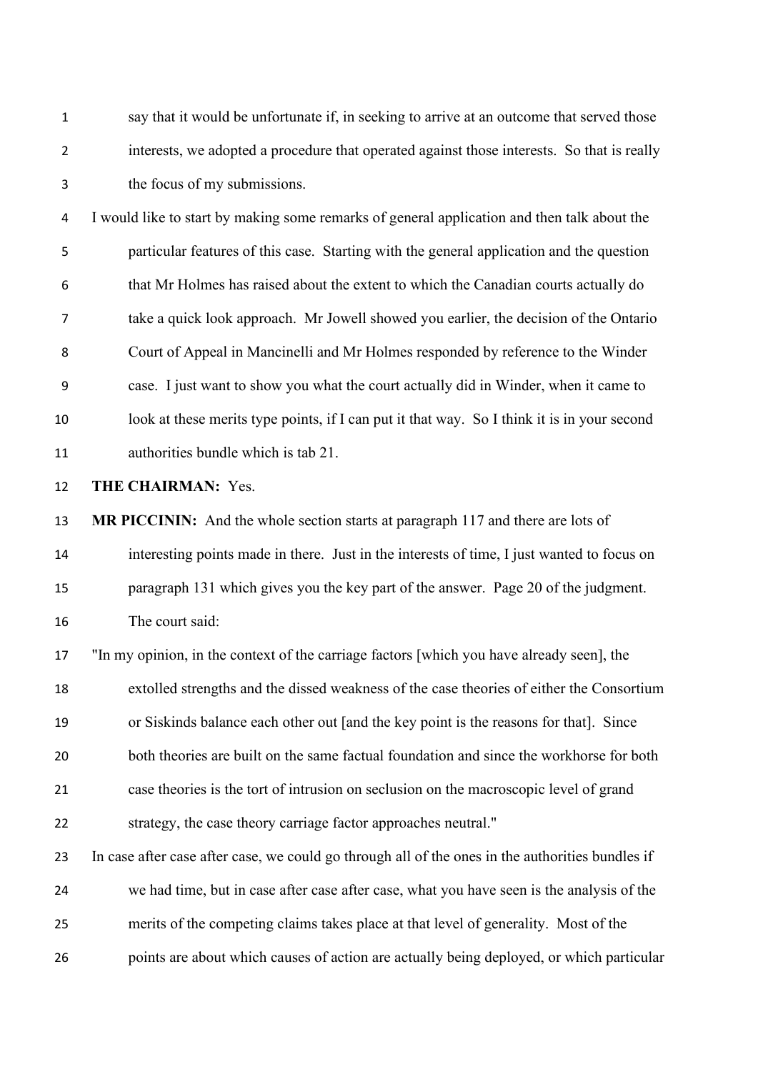say that it would be unfortunate if, in seeking to arrive at an outcome that served those interests, we adopted a procedure that operated against those interests. So that is really the focus of my submissions.

 I would like to start by making some remarks of general application and then talk about the particular features of this case. Starting with the general application and the question that Mr Holmes has raised about the extent to which the Canadian courts actually do take a quick look approach. Mr Jowell showed you earlier, the decision of the Ontario Court of Appeal in Mancinelli and Mr Holmes responded by reference to the Winder case. I just want to show you what the court actually did in Winder, when it came to look at these merits type points, if I can put it that way. So I think it is in your second authorities bundle which is tab 21.

**THE CHAIRMAN:** Yes.

 **MR PICCININ:** And the whole section starts at paragraph 117 and there are lots of interesting points made in there. Just in the interests of time, I just wanted to focus on paragraph 131 which gives you the key part of the answer. Page 20 of the judgment. The court said:

 "In my opinion, in the context of the carriage factors [which you have already seen], the extolled strengths and the dissed weakness of the case theories of either the Consortium or Siskinds balance each other out [and the key point is the reasons for that]. Since both theories are built on the same factual foundation and since the workhorse for both case theories is the tort of intrusion on seclusion on the macroscopic level of grand strategy, the case theory carriage factor approaches neutral."

 In case after case after case, we could go through all of the ones in the authorities bundles if we had time, but in case after case after case, what you have seen is the analysis of the merits of the competing claims takes place at that level of generality. Most of the points are about which causes of action are actually being deployed, or which particular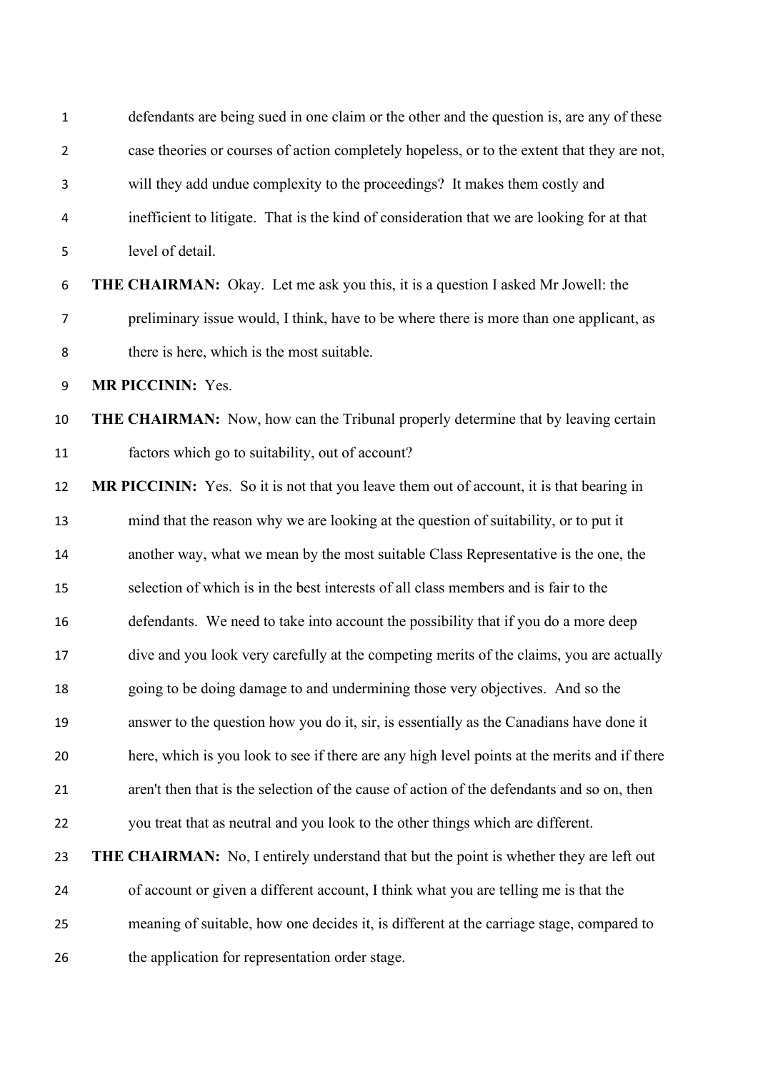| $\mathbf{1}$     | defendants are being sued in one claim or the other and the question is, are any of these      |
|------------------|------------------------------------------------------------------------------------------------|
| $\overline{2}$   | case theories or courses of action completely hopeless, or to the extent that they are not,    |
| 3                | will they add undue complexity to the proceedings? It makes them costly and                    |
| 4                | inefficient to litigate. That is the kind of consideration that we are looking for at that     |
| 5                | level of detail.                                                                               |
| 6                | THE CHAIRMAN: Okay. Let me ask you this, it is a question I asked Mr Jowell: the               |
| $\overline{7}$   | preliminary issue would, I think, have to be where there is more than one applicant, as        |
| 8                | there is here, which is the most suitable.                                                     |
| $\boldsymbol{9}$ | <b>MR PICCININ: Yes.</b>                                                                       |
| 10               | THE CHAIRMAN: Now, how can the Tribunal properly determine that by leaving certain             |
| 11               | factors which go to suitability, out of account?                                               |
| 12               | MR PICCININ: Yes. So it is not that you leave them out of account, it is that bearing in       |
| 13               | mind that the reason why we are looking at the question of suitability, or to put it           |
| 14               | another way, what we mean by the most suitable Class Representative is the one, the            |
| 15               | selection of which is in the best interests of all class members and is fair to the            |
| 16               | defendants. We need to take into account the possibility that if you do a more deep            |
| 17               | dive and you look very carefully at the competing merits of the claims, you are actually       |
| 18               | going to be doing damage to and undermining those very objectives. And so the                  |
| 19               | answer to the question how you do it, sir, is essentially as the Canadians have done it        |
| 20               | here, which is you look to see if there are any high level points at the merits and if there   |
| 21               | aren't then that is the selection of the cause of action of the defendants and so on, then     |
| 22               | you treat that as neutral and you look to the other things which are different.                |
| 23               | <b>THE CHAIRMAN:</b> No, I entirely understand that but the point is whether they are left out |
| 24               | of account or given a different account, I think what you are telling me is that the           |
| 25               | meaning of suitable, how one decides it, is different at the carriage stage, compared to       |
| 26               | the application for representation order stage.                                                |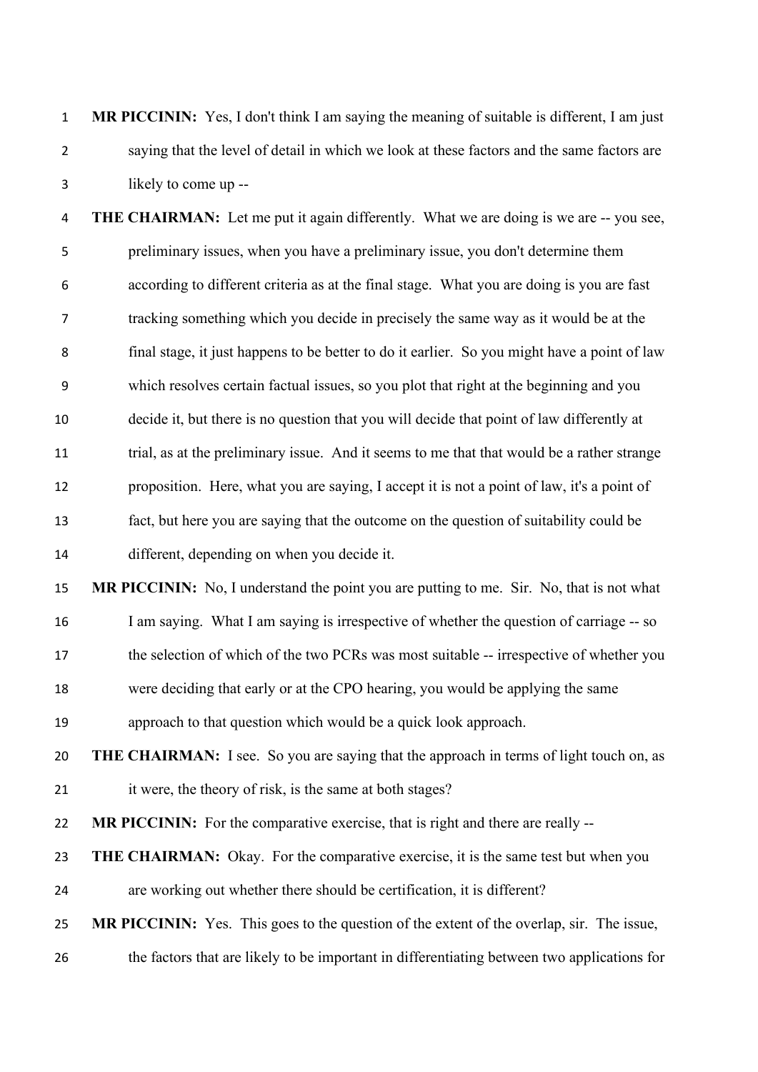**MR PICCININ:** Yes, I don't think I am saying the meaning of suitable is different, I am just saying that the level of detail in which we look at these factors and the same factors are likely to come up --

 **THE CHAIRMAN:** Let me put it again differently. What we are doing is we are -- you see, preliminary issues, when you have a preliminary issue, you don't determine them according to different criteria as at the final stage. What you are doing is you are fast tracking something which you decide in precisely the same way as it would be at the final stage, it just happens to be better to do it earlier. So you might have a point of law which resolves certain factual issues, so you plot that right at the beginning and you decide it, but there is no question that you will decide that point of law differently at trial, as at the preliminary issue. And it seems to me that that would be a rather strange proposition. Here, what you are saying, I accept it is not a point of law, it's a point of fact, but here you are saying that the outcome on the question of suitability could be different, depending on when you decide it.

 **MR PICCININ:** No, I understand the point you are putting to me. Sir. No, that is not what 16 I am saying. What I am saying is irrespective of whether the question of carriage -- so 17 the selection of which of the two PCRs was most suitable -- irrespective of whether you were deciding that early or at the CPO hearing, you would be applying the same

approach to that question which would be a quick look approach.

 **THE CHAIRMAN:** I see. So you are saying that the approach in terms of light touch on, as it were, the theory of risk, is the same at both stages?

**MR PICCININ:** For the comparative exercise, that is right and there are really --

**THE CHAIRMAN:** Okay. For the comparative exercise, it is the same test but when you

are working out whether there should be certification, it is different?

**MR PICCININ:** Yes. This goes to the question of the extent of the overlap, sir. The issue,

the factors that are likely to be important in differentiating between two applications for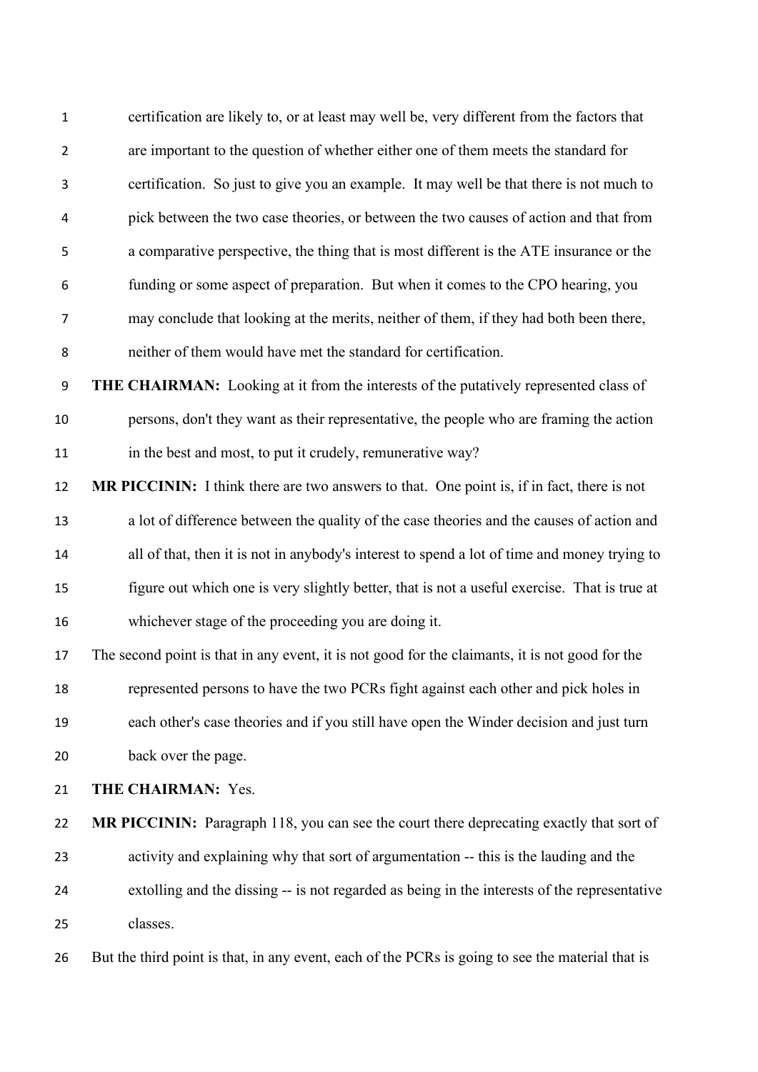certification are likely to, or at least may well be, very different from the factors that are important to the question of whether either one of them meets the standard for certification. So just to give you an example. It may well be that there is not much to pick between the two case theories, or between the two causes of action and that from a comparative perspective, the thing that is most different is the ATE insurance or the funding or some aspect of preparation. But when it comes to the CPO hearing, you may conclude that looking at the merits, neither of them, if they had both been there, neither of them would have met the standard for certification.

 **THE CHAIRMAN:** Looking at it from the interests of the putatively represented class of persons, don't they want as their representative, the people who are framing the action 11 in the best and most, to put it crudely, remunerative way?

 **MR PICCININ:** I think there are two answers to that. One point is, if in fact, there is not a lot of difference between the quality of the case theories and the causes of action and all of that, then it is not in anybody's interest to spend a lot of time and money trying to figure out which one is very slightly better, that is not a useful exercise. That is true at whichever stage of the proceeding you are doing it.

 The second point is that in any event, it is not good for the claimants, it is not good for the represented persons to have the two PCRs fight against each other and pick holes in each other's case theories and if you still have open the Winder decision and just turn back over the page.

**THE CHAIRMAN:** Yes.

**MR PICCININ:** Paragraph 118, you can see the court there deprecating exactly that sort of activity and explaining why that sort of argumentation -- this is the lauding and the extolling and the dissing -- is not regarded as being in the interests of the representative classes.

But the third point is that, in any event, each of the PCRs is going to see the material that is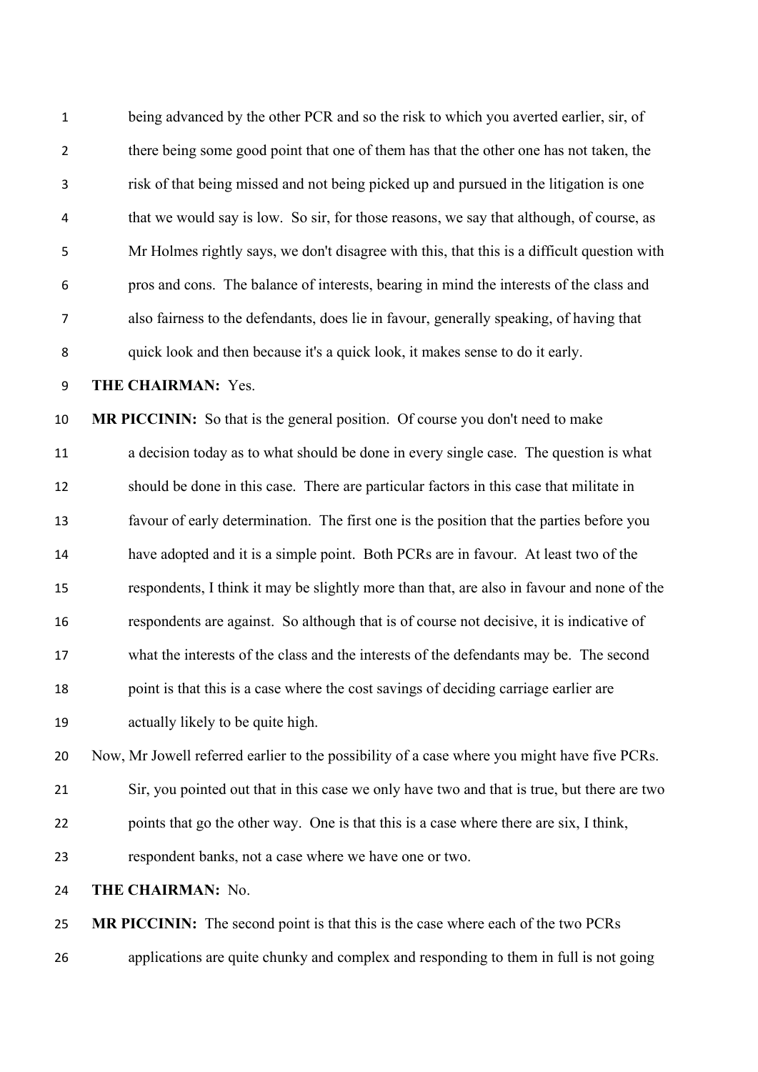| $\mathbf{1}$     | being advanced by the other PCR and so the risk to which you averted earlier, sir, of       |
|------------------|---------------------------------------------------------------------------------------------|
| $\overline{2}$   | there being some good point that one of them has that the other one has not taken, the      |
| 3                | risk of that being missed and not being picked up and pursued in the litigation is one      |
| 4                | that we would say is low. So sir, for those reasons, we say that although, of course, as    |
| 5                | Mr Holmes rightly says, we don't disagree with this, that this is a difficult question with |
| 6                | pros and cons. The balance of interests, bearing in mind the interests of the class and     |
| $\overline{7}$   | also fairness to the defendants, does lie in favour, generally speaking, of having that     |
| 8                | quick look and then because it's a quick look, it makes sense to do it early.               |
| $\boldsymbol{9}$ | THE CHAIRMAN: Yes.                                                                          |
| 10               | MR PICCININ: So that is the general position. Of course you don't need to make              |
| 11               | a decision today as to what should be done in every single case. The question is what       |
| 12               | should be done in this case. There are particular factors in this case that militate in     |
| 13               | favour of early determination. The first one is the position that the parties before you    |
| 14               | have adopted and it is a simple point. Both PCRs are in favour. At least two of the         |
| 15               | respondents, I think it may be slightly more than that, are also in favour and none of the  |
| 16               | respondents are against. So although that is of course not decisive, it is indicative of    |
| 17               | what the interests of the class and the interests of the defendants may be. The second      |

point is that this is a case where the cost savings of deciding carriage earlier are

actually likely to be quite high.

Now, Mr Jowell referred earlier to the possibility of a case where you might have five PCRs.

- Sir, you pointed out that in this case we only have two and that is true, but there are two points that go the other way. One is that this is a case where there are six, I think,
- respondent banks, not a case where we have one or two.
- **THE CHAIRMAN:** No.

 **MR PICCININ:** The second point is that this is the case where each of the two PCRs applications are quite chunky and complex and responding to them in full is not going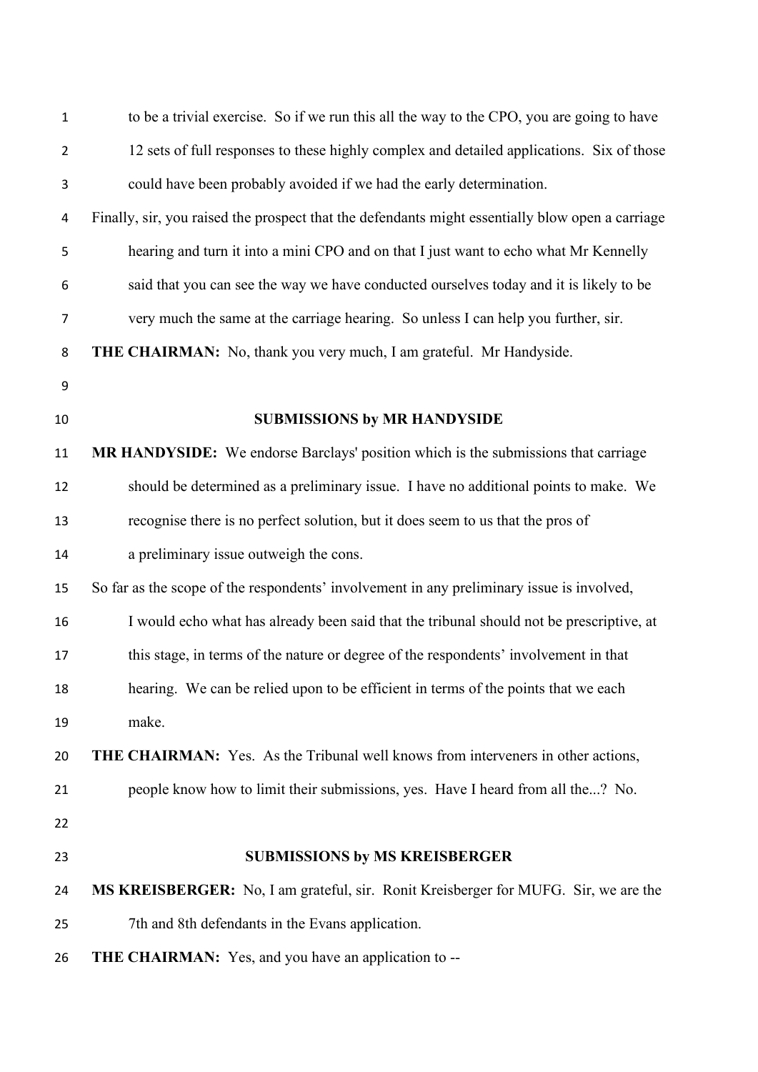| $\mathbf{1}$   | to be a trivial exercise. So if we run this all the way to the CPO, you are going to have        |
|----------------|--------------------------------------------------------------------------------------------------|
| $\overline{2}$ | 12 sets of full responses to these highly complex and detailed applications. Six of those        |
| 3              | could have been probably avoided if we had the early determination.                              |
| 4              | Finally, sir, you raised the prospect that the defendants might essentially blow open a carriage |
| 5              | hearing and turn it into a mini CPO and on that I just want to echo what Mr Kennelly             |
| 6              | said that you can see the way we have conducted ourselves today and it is likely to be           |
| $\overline{7}$ | very much the same at the carriage hearing. So unless I can help you further, sir.               |
| 8              | <b>THE CHAIRMAN:</b> No, thank you very much, I am grateful. Mr Handyside.                       |
| 9              |                                                                                                  |
| 10             | <b>SUBMISSIONS by MR HANDYSIDE</b>                                                               |
| 11             | <b>MR HANDYSIDE:</b> We endorse Barclays' position which is the submissions that carriage        |
| 12             | should be determined as a preliminary issue. I have no additional points to make. We             |
| 13             | recognise there is no perfect solution, but it does seem to us that the pros of                  |
| 14             | a preliminary issue outweigh the cons.                                                           |
| 15             | So far as the scope of the respondents' involvement in any preliminary issue is involved,        |
| 16             | I would echo what has already been said that the tribunal should not be prescriptive, at         |
| 17             | this stage, in terms of the nature or degree of the respondents' involvement in that             |
| 18             | hearing. We can be relied upon to be efficient in terms of the points that we each               |
| 19             | make.                                                                                            |
| 20             | <b>THE CHAIRMAN:</b> Yes. As the Tribunal well knows from interveners in other actions,          |
| 21             | people know how to limit their submissions, yes. Have I heard from all the? No.                  |
| 22             |                                                                                                  |
| 23             | <b>SUBMISSIONS by MS KREISBERGER</b>                                                             |
| 24             | MS KREISBERGER: No, I am grateful, sir. Ronit Kreisberger for MUFG. Sir, we are the              |
| 25             | 7th and 8th defendants in the Evans application.                                                 |
| 26             | <b>THE CHAIRMAN:</b> Yes, and you have an application to --                                      |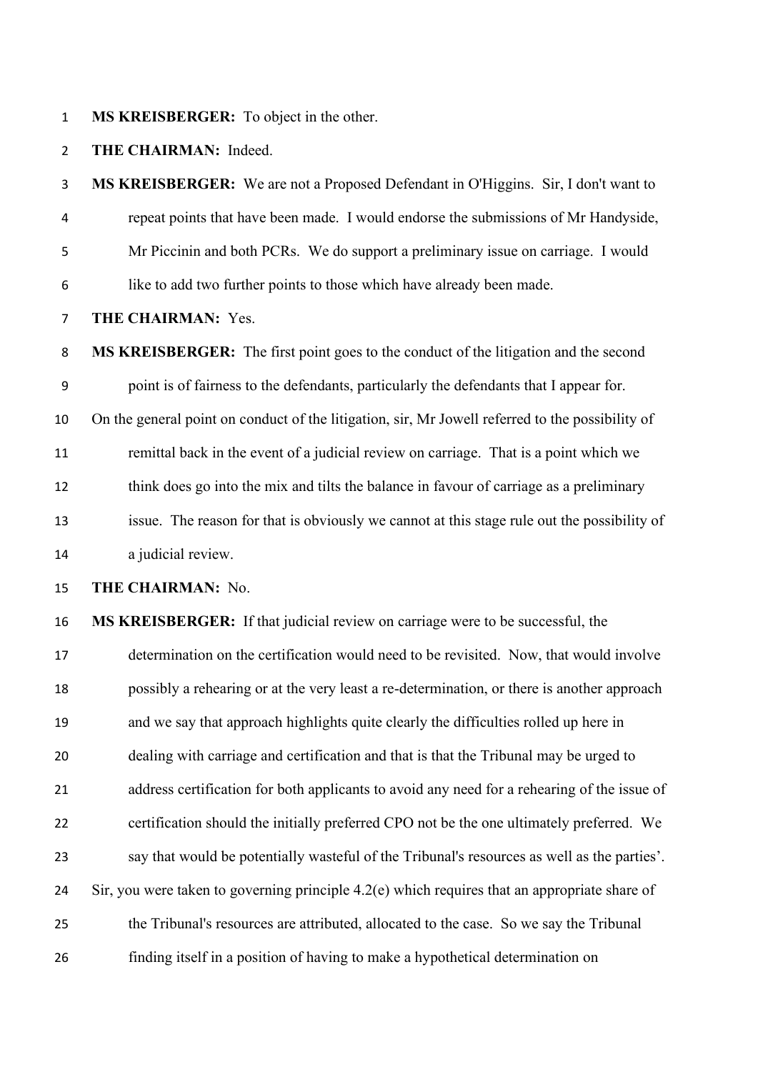**MS KREISBERGER:** To object in the other.

**THE CHAIRMAN:** Indeed.

 **MS KREISBERGER:** We are not a Proposed Defendant in O'Higgins. Sir, I don't want to repeat points that have been made. I would endorse the submissions of Mr Handyside, Mr Piccinin and both PCRs. We do support a preliminary issue on carriage. I would like to add two further points to those which have already been made.

**THE CHAIRMAN:** Yes.

 **MS KREISBERGER:** The first point goes to the conduct of the litigation and the second point is of fairness to the defendants, particularly the defendants that I appear for. On the general point on conduct of the litigation, sir, Mr Jowell referred to the possibility of remittal back in the event of a judicial review on carriage. That is a point which we think does go into the mix and tilts the balance in favour of carriage as a preliminary issue. The reason for that is obviously we cannot at this stage rule out the possibility of a judicial review.

**THE CHAIRMAN:** No.

 **MS KREISBERGER:** If that judicial review on carriage were to be successful, the determination on the certification would need to be revisited. Now, that would involve possibly a rehearing or at the very least a re-determination, or there is another approach and we say that approach highlights quite clearly the difficulties rolled up here in dealing with carriage and certification and that is that the Tribunal may be urged to address certification for both applicants to avoid any need for a rehearing of the issue of certification should the initially preferred CPO not be the one ultimately preferred. We say that would be potentially wasteful of the Tribunal's resources as well as the parties'. Sir, you were taken to governing principle 4.2(e) which requires that an appropriate share of the Tribunal's resources are attributed, allocated to the case. So we say the Tribunal finding itself in a position of having to make a hypothetical determination on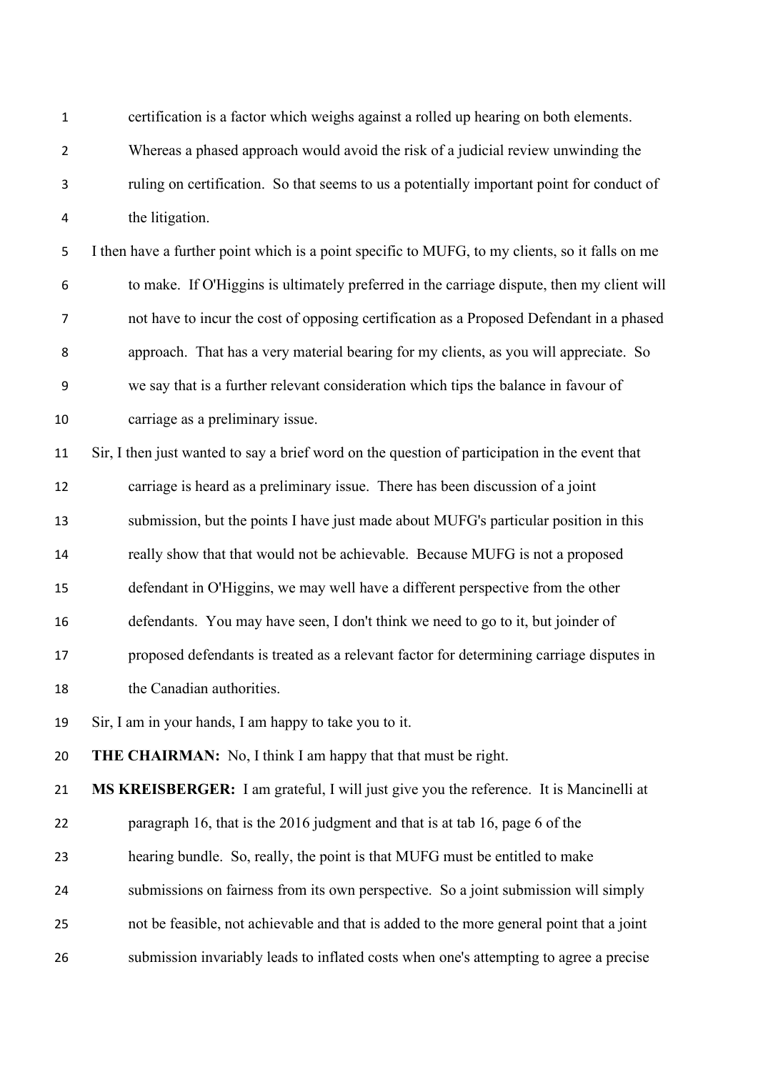certification is a factor which weighs against a rolled up hearing on both elements.

 Whereas a phased approach would avoid the risk of a judicial review unwinding the ruling on certification. So that seems to us a potentially important point for conduct of the litigation.

 I then have a further point which is a point specific to MUFG, to my clients, so it falls on me to make. If O'Higgins is ultimately preferred in the carriage dispute, then my client will not have to incur the cost of opposing certification as a Proposed Defendant in a phased approach. That has a very material bearing for my clients, as you will appreciate. So we say that is a further relevant consideration which tips the balance in favour of carriage as a preliminary issue.

 Sir, I then just wanted to say a brief word on the question of participation in the event that carriage is heard as a preliminary issue. There has been discussion of a joint submission, but the points I have just made about MUFG's particular position in this really show that that would not be achievable. Because MUFG is not a proposed defendant in O'Higgins, we may well have a different perspective from the other defendants. You may have seen, I don't think we need to go to it, but joinder of proposed defendants is treated as a relevant factor for determining carriage disputes in 18 the Canadian authorities.

Sir, I am in your hands, I am happy to take you to it.

**THE CHAIRMAN:** No, I think I am happy that that must be right.

 **MS KREISBERGER:** I am grateful, I will just give you the reference. It is Mancinelli at paragraph 16, that is the 2016 judgment and that is at tab 16, page 6 of the hearing bundle. So, really, the point is that MUFG must be entitled to make

- submissions on fairness from its own perspective. So a joint submission will simply
- not be feasible, not achievable and that is added to the more general point that a joint
- submission invariably leads to inflated costs when one's attempting to agree a precise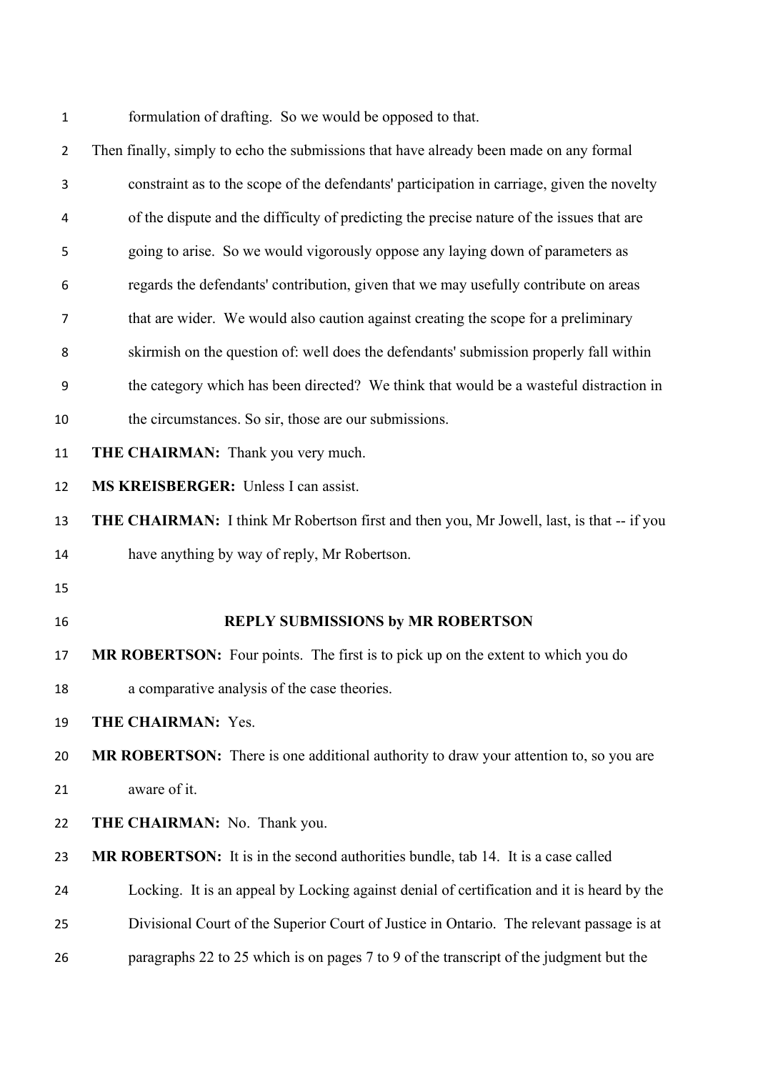formulation of drafting. So we would be opposed to that.

| $\overline{2}$ | Then finally, simply to echo the submissions that have already been made on any formal       |
|----------------|----------------------------------------------------------------------------------------------|
| 3              | constraint as to the scope of the defendants' participation in carriage, given the novelty   |
| 4              | of the dispute and the difficulty of predicting the precise nature of the issues that are    |
| 5              | going to arise. So we would vigorously oppose any laying down of parameters as               |
| 6              | regards the defendants' contribution, given that we may usefully contribute on areas         |
| $\overline{7}$ | that are wider. We would also caution against creating the scope for a preliminary           |
| 8              | skirmish on the question of: well does the defendants' submission properly fall within       |
| 9              | the category which has been directed? We think that would be a wasteful distraction in       |
| 10             | the circumstances. So sir, those are our submissions.                                        |
| 11             | <b>THE CHAIRMAN:</b> Thank you very much.                                                    |
| 12             | MS KREISBERGER: Unless I can assist.                                                         |
| 13             | THE CHAIRMAN: I think Mr Robertson first and then you, Mr Jowell, last, is that -- if you    |
| 14             | have anything by way of reply, Mr Robertson.                                                 |
| 15             |                                                                                              |
| 16             | <b>REPLY SUBMISSIONS by MR ROBERTSON</b>                                                     |
| 17             | MR ROBERTSON: Four points. The first is to pick up on the extent to which you do             |
| 18             | a comparative analysis of the case theories.                                                 |
| 19             | THE CHAIRMAN: Yes.                                                                           |
| 20             | <b>MR ROBERTSON:</b> There is one additional authority to draw your attention to, so you are |
| 21             | aware of it.                                                                                 |
| 22             | THE CHAIRMAN: No. Thank you.                                                                 |
| 23             | MR ROBERTSON: It is in the second authorities bundle, tab 14. It is a case called            |
| 24             | Locking. It is an appeal by Locking against denial of certification and it is heard by the   |
| 25             | Divisional Court of the Superior Court of Justice in Ontario. The relevant passage is at     |
| 26             | paragraphs 22 to 25 which is on pages 7 to 9 of the transcript of the judgment but the       |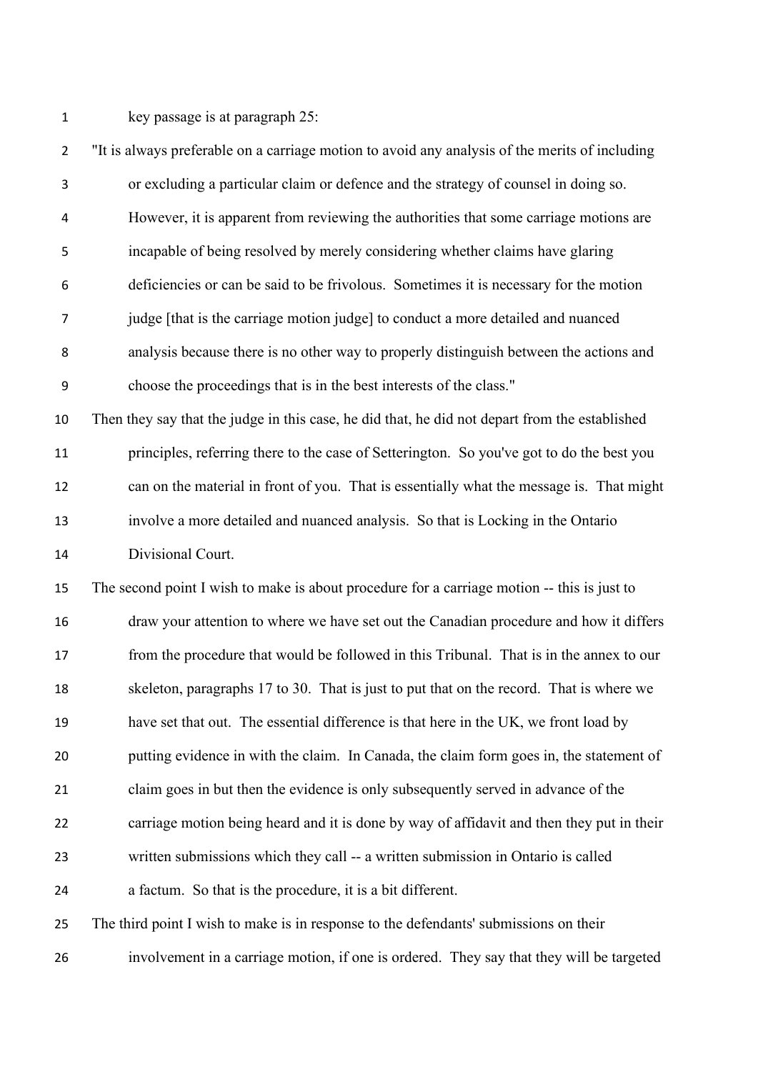key passage is at paragraph 25:

 "It is always preferable on a carriage motion to avoid any analysis of the merits of including or excluding a particular claim or defence and the strategy of counsel in doing so. However, it is apparent from reviewing the authorities that some carriage motions are incapable of being resolved by merely considering whether claims have glaring deficiencies or can be said to be frivolous. Sometimes it is necessary for the motion judge [that is the carriage motion judge] to conduct a more detailed and nuanced analysis because there is no other way to properly distinguish between the actions and choose the proceedings that is in the best interests of the class." Then they say that the judge in this case, he did that, he did not depart from the established principles, referring there to the case of Setterington. So you've got to do the best you can on the material in front of you. That is essentially what the message is. That might involve a more detailed and nuanced analysis. So that is Locking in the Ontario Divisional Court. The second point I wish to make is about procedure for a carriage motion -- this is just to draw your attention to where we have set out the Canadian procedure and how it differs from the procedure that would be followed in this Tribunal. That is in the annex to our skeleton, paragraphs 17 to 30. That is just to put that on the record. That is where we have set that out. The essential difference is that here in the UK, we front load by putting evidence in with the claim. In Canada, the claim form goes in, the statement of claim goes in but then the evidence is only subsequently served in advance of the carriage motion being heard and it is done by way of affidavit and then they put in their written submissions which they call -- a written submission in Ontario is called a factum. So that is the procedure, it is a bit different. The third point I wish to make is in response to the defendants' submissions on their

involvement in a carriage motion, if one is ordered. They say that they will be targeted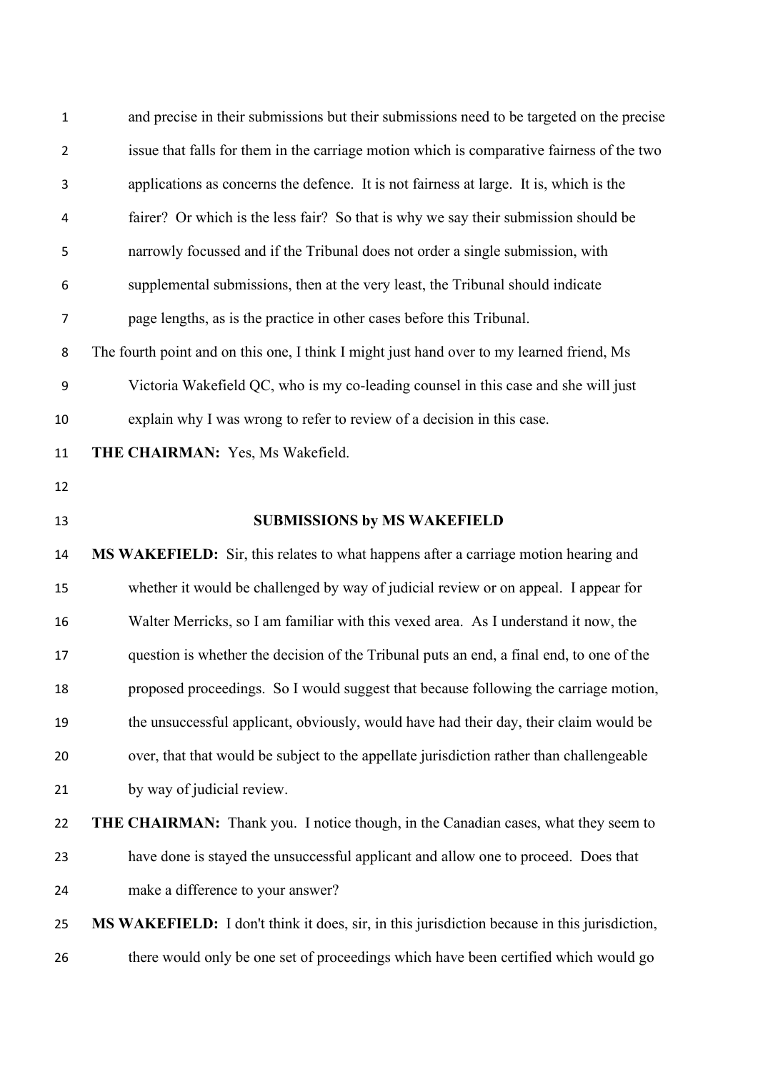| $\mathbf{1}$   | and precise in their submissions but their submissions need to be targeted on the precise    |
|----------------|----------------------------------------------------------------------------------------------|
| $\overline{2}$ | issue that falls for them in the carriage motion which is comparative fairness of the two    |
| 3              | applications as concerns the defence. It is not fairness at large. It is, which is the       |
| $\overline{4}$ | fairer? Or which is the less fair? So that is why we say their submission should be          |
| 5              | narrowly focussed and if the Tribunal does not order a single submission, with               |
| 6              | supplemental submissions, then at the very least, the Tribunal should indicate               |
| $\overline{7}$ | page lengths, as is the practice in other cases before this Tribunal.                        |
| 8              | The fourth point and on this one, I think I might just hand over to my learned friend, Ms    |
| 9              | Victoria Wakefield QC, who is my co-leading counsel in this case and she will just           |
| 10             | explain why I was wrong to refer to review of a decision in this case.                       |
| 11             | THE CHAIRMAN: Yes, Ms Wakefield.                                                             |
| 12             |                                                                                              |
| 13             | <b>SUBMISSIONS by MS WAKEFIELD</b>                                                           |
|                |                                                                                              |
| 14             | MS WAKEFIELD: Sir, this relates to what happens after a carriage motion hearing and          |
| 15             | whether it would be challenged by way of judicial review or on appeal. I appear for          |
| 16             | Walter Merricks, so I am familiar with this vexed area. As I understand it now, the          |
| 17             | question is whether the decision of the Tribunal puts an end, a final end, to one of the     |
| 18             | proposed proceedings. So I would suggest that because following the carriage motion,         |
| 19             | the unsuccessful applicant, obviously, would have had their day, their claim would be        |
| 20             | over, that that would be subject to the appellate jurisdiction rather than challengeable     |
| 21             | by way of judicial review.                                                                   |
| 22             | <b>THE CHAIRMAN:</b> Thank you. I notice though, in the Canadian cases, what they seem to    |
| 23             | have done is stayed the unsuccessful applicant and allow one to proceed. Does that           |
| 24             | make a difference to your answer?                                                            |
| 25             | MS WAKEFIELD: I don't think it does, sir, in this jurisdiction because in this jurisdiction, |
| 26             | there would only be one set of proceedings which have been certified which would go          |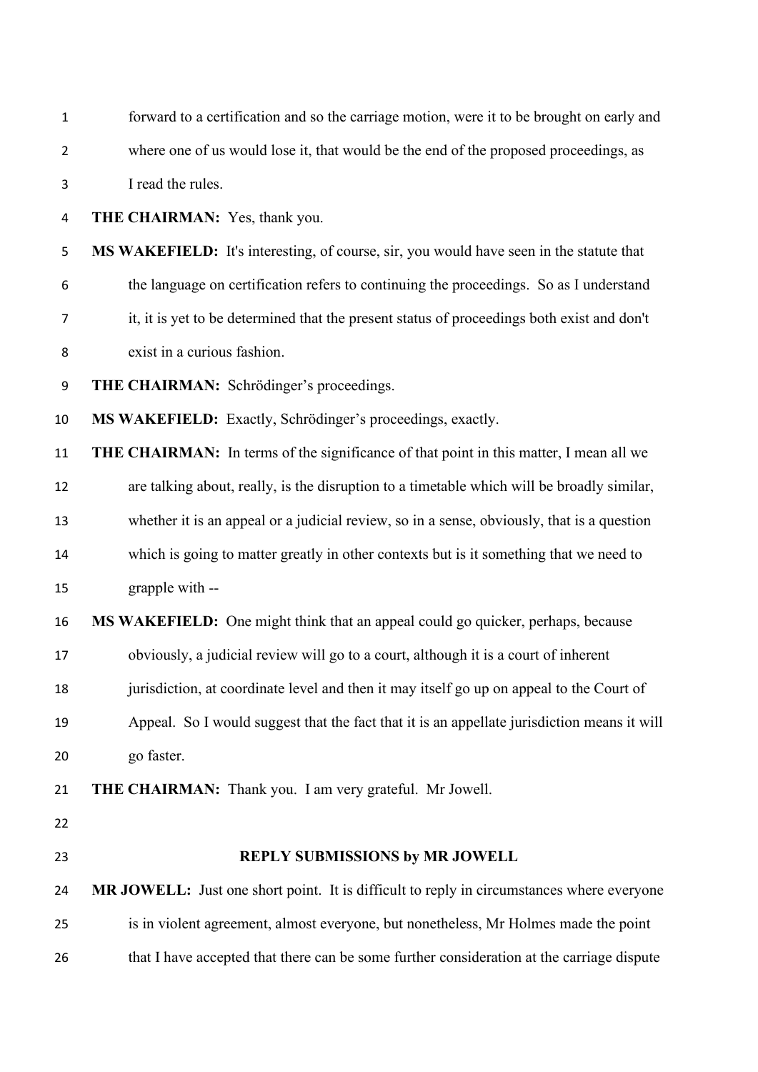| $\mathbf{1}$   | forward to a certification and so the carriage motion, were it to be brought on early and     |
|----------------|-----------------------------------------------------------------------------------------------|
| $\overline{2}$ | where one of us would lose it, that would be the end of the proposed proceedings, as          |
| 3              | I read the rules.                                                                             |
| 4              | <b>THE CHAIRMAN:</b> Yes, thank you.                                                          |
| 5              | MS WAKEFIELD: It's interesting, of course, sir, you would have seen in the statute that       |
| 6              | the language on certification refers to continuing the proceedings. So as I understand        |
| 7              | it, it is yet to be determined that the present status of proceedings both exist and don't    |
| 8              | exist in a curious fashion.                                                                   |
| 9              | THE CHAIRMAN: Schrödinger's proceedings.                                                      |
| 10             | MS WAKEFIELD: Exactly, Schrödinger's proceedings, exactly.                                    |
| 11             | <b>THE CHAIRMAN:</b> In terms of the significance of that point in this matter, I mean all we |
| 12             | are talking about, really, is the disruption to a timetable which will be broadly similar,    |
| 13             | whether it is an appeal or a judicial review, so in a sense, obviously, that is a question    |
| 14             | which is going to matter greatly in other contexts but is it something that we need to        |
| 15             | grapple with --                                                                               |
| 16             | MS WAKEFIELD: One might think that an appeal could go quicker, perhaps, because               |
| 17             | obviously, a judicial review will go to a court, although it is a court of inherent           |
| 18             | jurisdiction, at coordinate level and then it may itself go up on appeal to the Court of      |
| 19             | Appeal. So I would suggest that the fact that it is an appellate jurisdiction means it will   |
| 20             | go faster.                                                                                    |
| 21             | <b>THE CHAIRMAN:</b> Thank you. I am very grateful. Mr Jowell.                                |
| 22             |                                                                                               |
| 23             | REPLY SUBMISSIONS by MR JOWELL                                                                |
| 24             | MR JOWELL: Just one short point. It is difficult to reply in circumstances where everyone     |
| 25             | is in violent agreement, almost everyone, but nonetheless, Mr Holmes made the point           |
| 26             | that I have accepted that there can be some further consideration at the carriage dispute     |
|                |                                                                                               |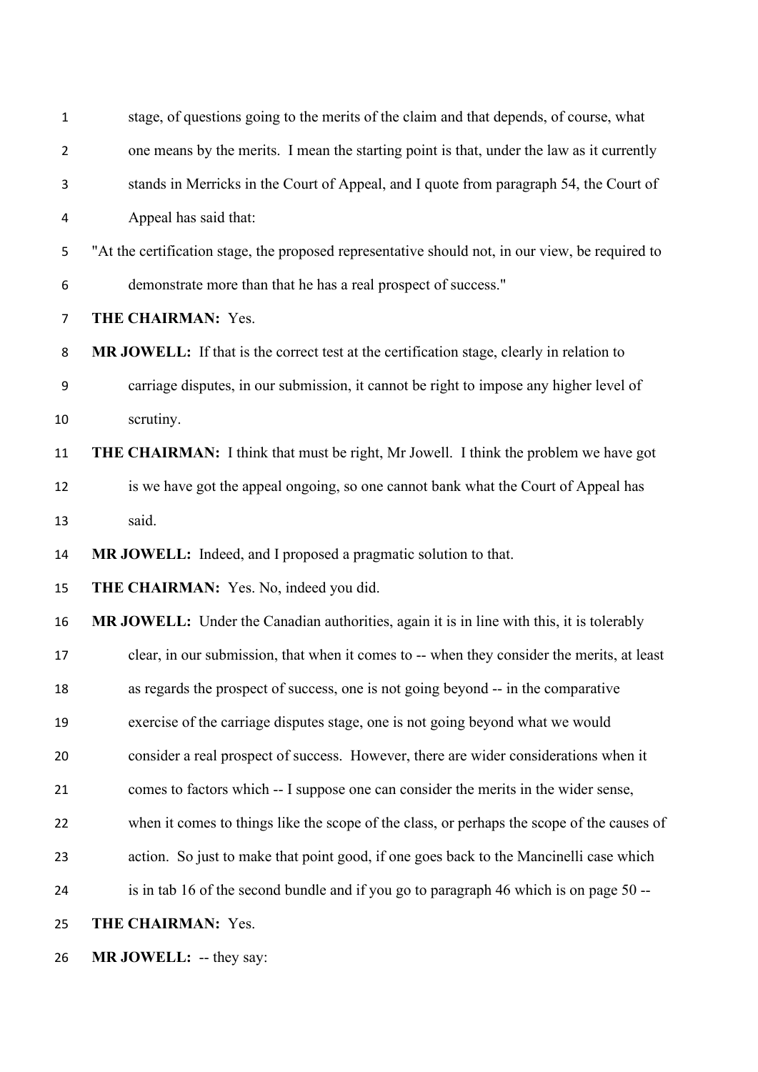| $\mathbf{1}$   | stage, of questions going to the merits of the claim and that depends, of course, what           |
|----------------|--------------------------------------------------------------------------------------------------|
| $\overline{2}$ | one means by the merits. I mean the starting point is that, under the law as it currently        |
| 3              | stands in Merricks in the Court of Appeal, and I quote from paragraph 54, the Court of           |
| 4              | Appeal has said that:                                                                            |
| 5              | "At the certification stage, the proposed representative should not, in our view, be required to |
| 6              | demonstrate more than that he has a real prospect of success."                                   |
| $\overline{7}$ | THE CHAIRMAN: Yes.                                                                               |
| 8              | MR JOWELL: If that is the correct test at the certification stage, clearly in relation to        |
| 9              | carriage disputes, in our submission, it cannot be right to impose any higher level of           |
| 10             | scrutiny.                                                                                        |
| 11             | <b>THE CHAIRMAN:</b> I think that must be right, Mr Jowell. I think the problem we have got      |
| 12             | is we have got the appeal ongoing, so one cannot bank what the Court of Appeal has               |
| 13             | said.                                                                                            |
| 14             | MR JOWELL: Indeed, and I proposed a pragmatic solution to that.                                  |
| 15             | THE CHAIRMAN: Yes. No, indeed you did.                                                           |
| 16             | MR JOWELL: Under the Canadian authorities, again it is in line with this, it is tolerably        |
| 17             | clear, in our submission, that when it comes to -- when they consider the merits, at least       |
| 18             | as regards the prospect of success, one is not going beyond -- in the comparative                |
| 19             | exercise of the carriage disputes stage, one is not going beyond what we would                   |
| 20             | consider a real prospect of success. However, there are wider considerations when it             |
| 21             | comes to factors which -- I suppose one can consider the merits in the wider sense,              |
| 22             | when it comes to things like the scope of the class, or perhaps the scope of the causes of       |
| 23             | action. So just to make that point good, if one goes back to the Mancinelli case which           |
| 24             | is in tab 16 of the second bundle and if you go to paragraph 46 which is on page 50 --           |
| 25             | THE CHAIRMAN: Yes.                                                                               |
| 26             | MR JOWELL: -- they say:                                                                          |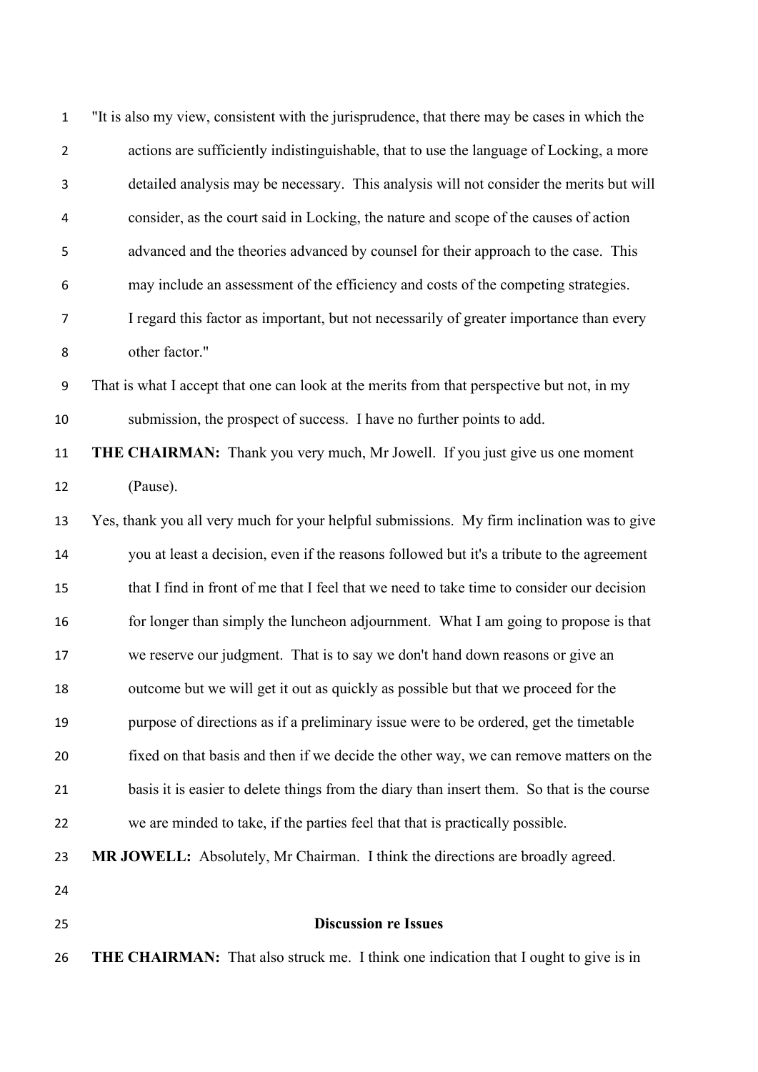| $\mathbf{1}$     | "It is also my view, consistent with the jurisprudence, that there may be cases in which the |
|------------------|----------------------------------------------------------------------------------------------|
| $\overline{2}$   | actions are sufficiently indistinguishable, that to use the language of Locking, a more      |
| 3                | detailed analysis may be necessary. This analysis will not consider the merits but will      |
| 4                | consider, as the court said in Locking, the nature and scope of the causes of action         |
| 5                | advanced and the theories advanced by counsel for their approach to the case. This           |
| 6                | may include an assessment of the efficiency and costs of the competing strategies.           |
| 7                | I regard this factor as important, but not necessarily of greater importance than every      |
| 8                | other factor."                                                                               |
| $\boldsymbol{9}$ | That is what I accept that one can look at the merits from that perspective but not, in my   |
| 10               | submission, the prospect of success. I have no further points to add.                        |
| 11               | <b>THE CHAIRMAN:</b> Thank you very much, Mr Jowell. If you just give us one moment          |
| 12               | (Pause).                                                                                     |
| 13               | Yes, thank you all very much for your helpful submissions. My firm inclination was to give   |
| 14               | you at least a decision, even if the reasons followed but it's a tribute to the agreement    |
| 15               | that I find in front of me that I feel that we need to take time to consider our decision    |
| 16               | for longer than simply the luncheon adjournment. What I am going to propose is that          |
| 17               | we reserve our judgment. That is to say we don't hand down reasons or give an                |
| 18               | outcome but we will get it out as quickly as possible but that we proceed for the            |
| 19               | purpose of directions as if a preliminary issue were to be ordered, get the timetable        |
| 20               | fixed on that basis and then if we decide the other way, we can remove matters on the        |
| 21               | basis it is easier to delete things from the diary than insert them. So that is the course   |
| 22               | we are minded to take, if the parties feel that that is practically possible.                |
| 23               | MR JOWELL: Absolutely, Mr Chairman. I think the directions are broadly agreed.               |
| 24               |                                                                                              |
| 25               | <b>Discussion re Issues</b>                                                                  |
| 26               | <b>THE CHAIRMAN:</b> That also struck me. I think one indication that I ought to give is in  |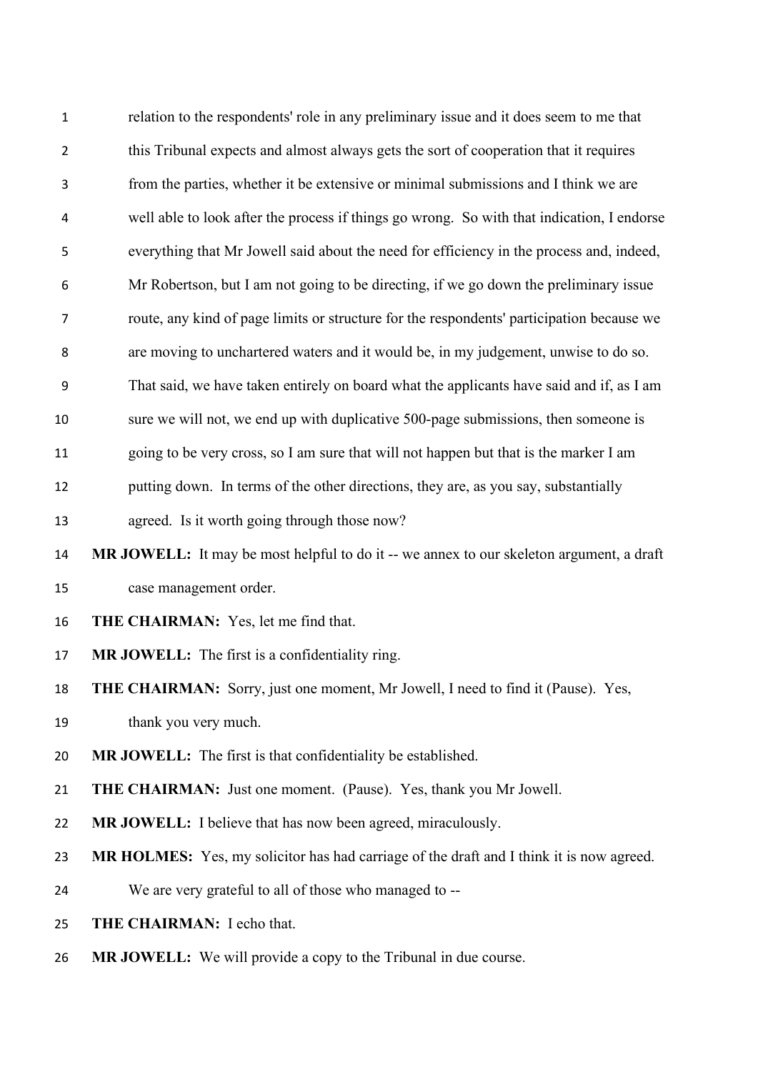| $\mathbf{1}$   | relation to the respondents' role in any preliminary issue and it does seem to me that     |
|----------------|--------------------------------------------------------------------------------------------|
| $\overline{2}$ | this Tribunal expects and almost always gets the sort of cooperation that it requires      |
| 3              | from the parties, whether it be extensive or minimal submissions and I think we are        |
| 4              | well able to look after the process if things go wrong. So with that indication, I endorse |
| 5              | everything that Mr Jowell said about the need for efficiency in the process and, indeed,   |
| 6              | Mr Robertson, but I am not going to be directing, if we go down the preliminary issue      |
| 7              | route, any kind of page limits or structure for the respondents' participation because we  |
| 8              | are moving to unchartered waters and it would be, in my judgement, unwise to do so.        |
| 9              | That said, we have taken entirely on board what the applicants have said and if, as I am   |
| 10             | sure we will not, we end up with duplicative 500-page submissions, then someone is         |
| 11             | going to be very cross, so I am sure that will not happen but that is the marker I am      |
| 12             | putting down. In terms of the other directions, they are, as you say, substantially        |
| 13             | agreed. Is it worth going through those now?                                               |
| 14             | MR JOWELL: It may be most helpful to do it -- we annex to our skeleton argument, a draft   |
| 15             | case management order.                                                                     |
| 16             | THE CHAIRMAN: Yes, let me find that.                                                       |
| 17             | MR JOWELL: The first is a confidentiality ring.                                            |
| 18             | <b>THE CHAIRMAN:</b> Sorry, just one moment, Mr Jowell, I need to find it (Pause). Yes,    |
| 19             | thank you very much.                                                                       |
| 20             | MR JOWELL: The first is that confidentiality be established.                               |
| 21             | <b>THE CHAIRMAN:</b> Just one moment. (Pause). Yes, thank you Mr Jowell.                   |
| 22             | MR JOWELL: I believe that has now been agreed, miraculously.                               |
| 23             | MR HOLMES: Yes, my solicitor has had carriage of the draft and I think it is now agreed.   |
| 24             | We are very grateful to all of those who managed to --                                     |
| 25             | THE CHAIRMAN: I echo that.                                                                 |
| 26             | <b>MR JOWELL:</b> We will provide a copy to the Tribunal in due course.                    |
|                |                                                                                            |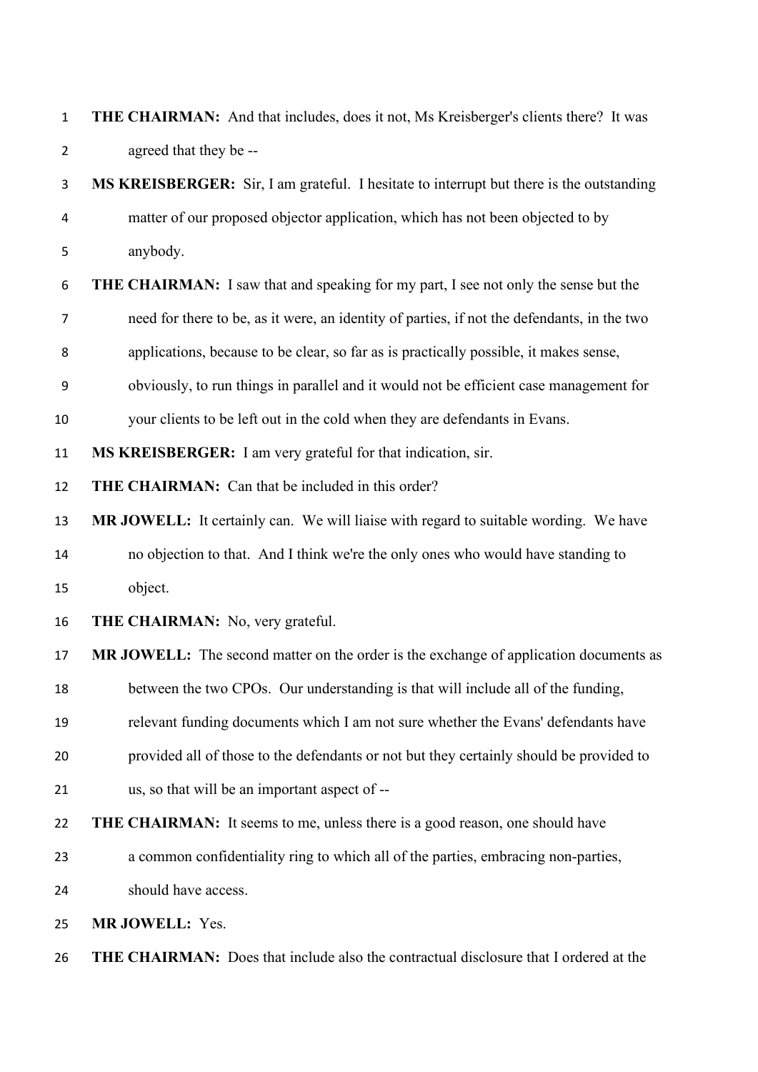| $\mathbf{1}$ | THE CHAIRMAN: And that includes, does it not, Ms Kreisberger's clients there? It was        |
|--------------|---------------------------------------------------------------------------------------------|
| 2            | agreed that they be --                                                                      |
| 3            | MS KREISBERGER: Sir, I am grateful. I hesitate to interrupt but there is the outstanding    |
| 4            | matter of our proposed objector application, which has not been objected to by              |
| 5            | anybody.                                                                                    |
| 6            | <b>THE CHAIRMAN:</b> I saw that and speaking for my part, I see not only the sense but the  |
| 7            | need for there to be, as it were, an identity of parties, if not the defendants, in the two |
| 8            | applications, because to be clear, so far as is practically possible, it makes sense,       |
| 9            | obviously, to run things in parallel and it would not be efficient case management for      |
| 10           | your clients to be left out in the cold when they are defendants in Evans.                  |
| 11           | MS KREISBERGER: I am very grateful for that indication, sir.                                |
| 12           | THE CHAIRMAN: Can that be included in this order?                                           |
| 13           | MR JOWELL: It certainly can. We will liaise with regard to suitable wording. We have        |
| 14           | no objection to that. And I think we're the only ones who would have standing to            |
| 15           | object.                                                                                     |
| 16           | <b>THE CHAIRMAN:</b> No, very grateful.                                                     |
| 17           | MR JOWELL: The second matter on the order is the exchange of application documents as       |
| 18           | between the two CPOs. Our understanding is that will include all of the funding,            |
| 19           | relevant funding documents which I am not sure whether the Evans' defendants have           |
| 20           | provided all of those to the defendants or not but they certainly should be provided to     |
| 21           | us, so that will be an important aspect of --                                               |
| 22           | <b>THE CHAIRMAN:</b> It seems to me, unless there is a good reason, one should have         |
| 23           | a common confidentiality ring to which all of the parties, embracing non-parties,           |
| 24           | should have access.                                                                         |
| 25           | MR JOWELL: Yes.                                                                             |
|              |                                                                                             |

**THE CHAIRMAN:** Does that include also the contractual disclosure that I ordered at the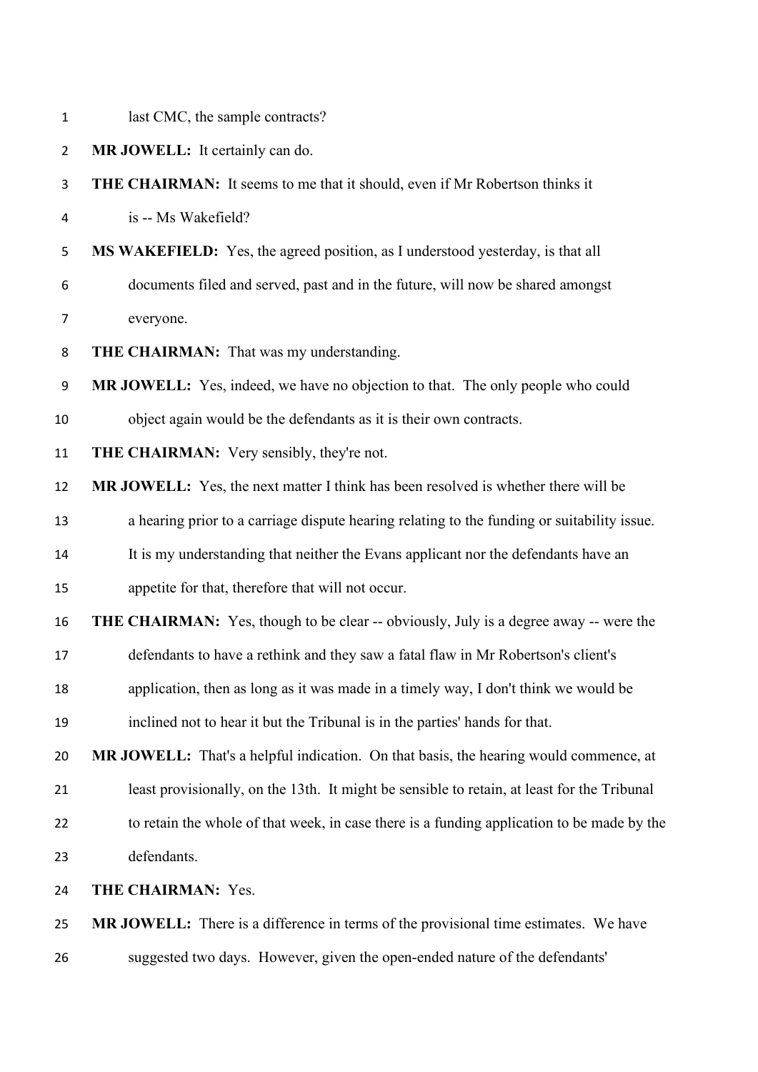| $\mathbf{1}$   | last CMC, the sample contracts?                                                              |
|----------------|----------------------------------------------------------------------------------------------|
| $\overline{2}$ | MR JOWELL: It certainly can do.                                                              |
| 3              | <b>THE CHAIRMAN:</b> It seems to me that it should, even if Mr Robertson thinks it           |
| 4              | is -- Ms Wakefield?                                                                          |
| 5              | MS WAKEFIELD: Yes, the agreed position, as I understood yesterday, is that all               |
| 6              | documents filed and served, past and in the future, will now be shared amongst               |
| 7              | everyone.                                                                                    |
| 8              | THE CHAIRMAN: That was my understanding.                                                     |
| 9              | MR JOWELL: Yes, indeed, we have no objection to that. The only people who could              |
| 10             | object again would be the defendants as it is their own contracts.                           |
| 11             | THE CHAIRMAN: Very sensibly, they're not.                                                    |
| 12             | <b>MR JOWELL:</b> Yes, the next matter I think has been resolved is whether there will be    |
| 13             | a hearing prior to a carriage dispute hearing relating to the funding or suitability issue.  |
| 14             | It is my understanding that neither the Evans applicant nor the defendants have an           |
| 15             | appetite for that, therefore that will not occur.                                            |
| 16             | <b>THE CHAIRMAN:</b> Yes, though to be clear -- obviously, July is a degree away -- were the |
| 17             | defendants to have a rethink and they saw a fatal flaw in Mr Robertson's client's            |
| 18             | application, then as long as it was made in a timely way, I don't think we would be          |
| 19             | inclined not to hear it but the Tribunal is in the parties' hands for that.                  |
| 20             | MR JOWELL: That's a helpful indication. On that basis, the hearing would commence, at        |
| 21             | least provisionally, on the 13th. It might be sensible to retain, at least for the Tribunal  |
| 22             | to retain the whole of that week, in case there is a funding application to be made by the   |
| 23             | defendants.                                                                                  |
| 24             | THE CHAIRMAN: Yes.                                                                           |
| 25             | <b>MR JOWELL:</b> There is a difference in terms of the provisional time estimates. We have  |
| 26             | suggested two days. However, given the open-ended nature of the defendants'                  |
|                |                                                                                              |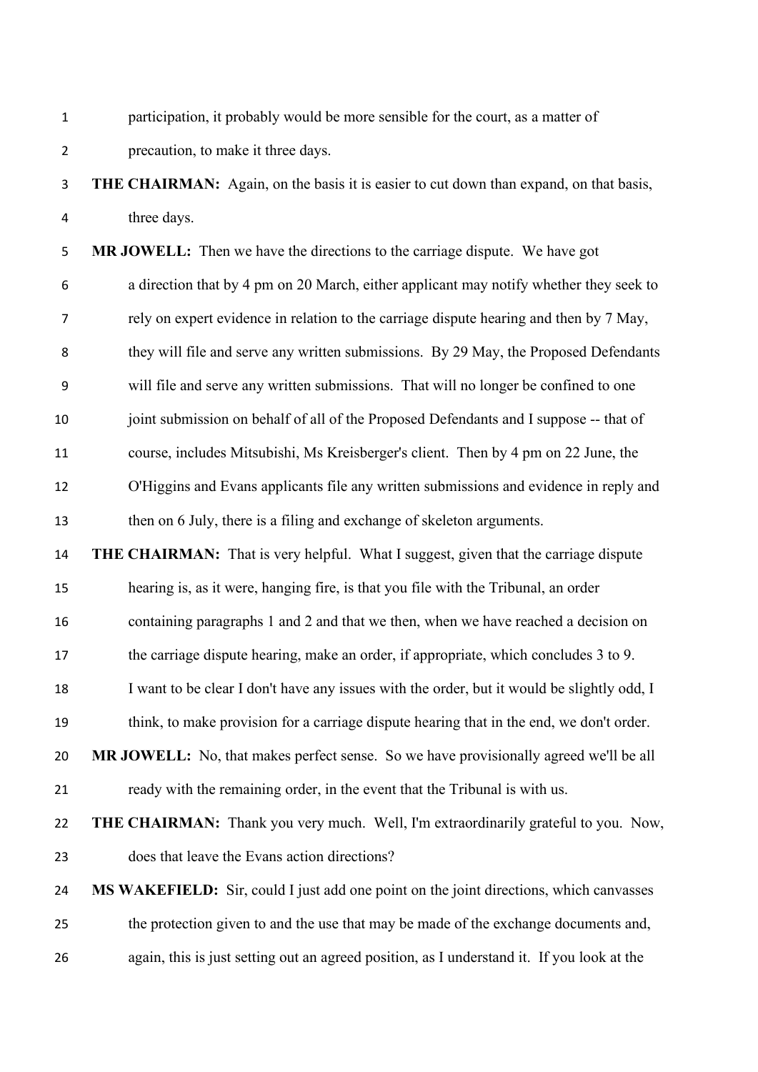| participation, it probably would be more sensible for the court, as a matter of |
|---------------------------------------------------------------------------------|
| precaution, to make it three days.                                              |

### **THE CHAIRMAN:** Again, on the basis it is easier to cut down than expand, on that basis, three days.

 **MR JOWELL:** Then we have the directions to the carriage dispute. We have got a direction that by 4 pm on 20 March, either applicant may notify whether they seek to rely on expert evidence in relation to the carriage dispute hearing and then by 7 May, they will file and serve any written submissions. By 29 May, the Proposed Defendants will file and serve any written submissions. That will no longer be confined to one joint submission on behalf of all of the Proposed Defendants and I suppose -- that of course, includes Mitsubishi, Ms Kreisberger's client. Then by 4 pm on 22 June, the O'Higgins and Evans applicants file any written submissions and evidence in reply and then on 6 July, there is a filing and exchange of skeleton arguments.

 **THE CHAIRMAN:** That is very helpful. What I suggest, given that the carriage dispute hearing is, as it were, hanging fire, is that you file with the Tribunal, an order containing paragraphs 1 and 2 and that we then, when we have reached a decision on

the carriage dispute hearing, make an order, if appropriate, which concludes 3 to 9.

- 18 I want to be clear I don't have any issues with the order, but it would be slightly odd, I
- think, to make provision for a carriage dispute hearing that in the end, we don't order.

 **MR JOWELL:** No, that makes perfect sense. So we have provisionally agreed we'll be all ready with the remaining order, in the event that the Tribunal is with us.

 **THE CHAIRMAN:** Thank you very much. Well, I'm extraordinarily grateful to you. Now, does that leave the Evans action directions?

# **MS WAKEFIELD:** Sir, could I just add one point on the joint directions, which canvasses the protection given to and the use that may be made of the exchange documents and, again, this is just setting out an agreed position, as I understand it. If you look at the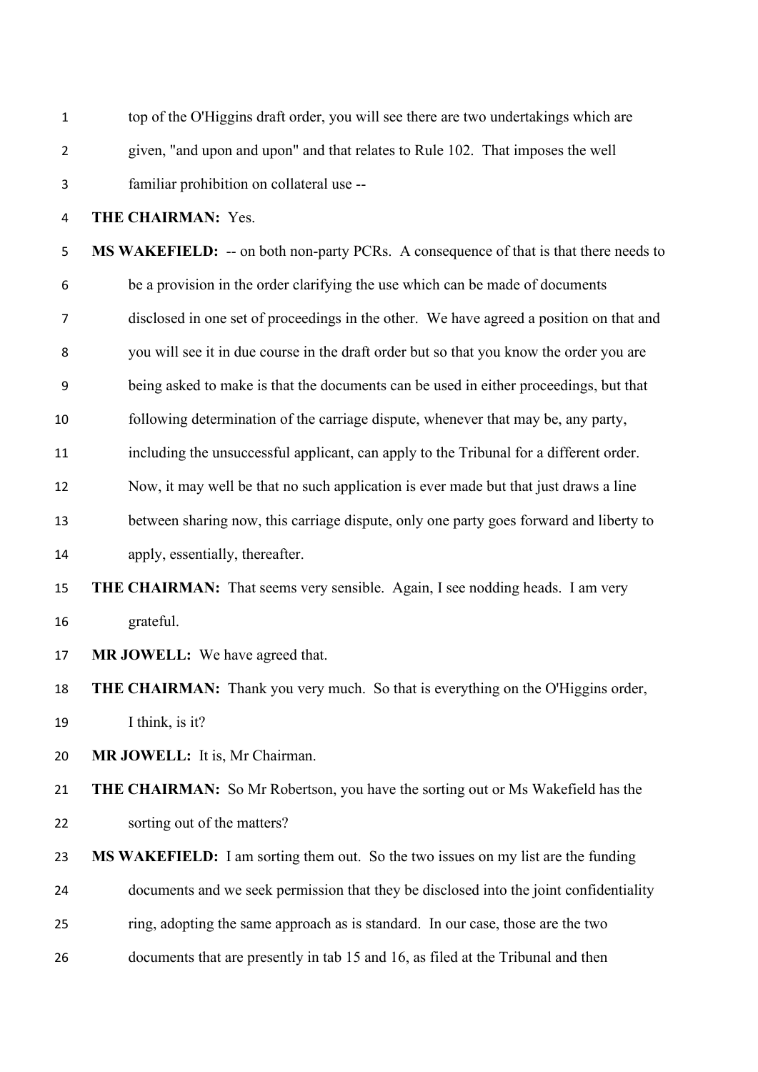| $\mathbf{1}$   | top of the O'Higgins draft order, you will see there are two undertakings which are          |
|----------------|----------------------------------------------------------------------------------------------|
| $\overline{2}$ | given, "and upon and upon" and that relates to Rule 102. That imposes the well               |
| 3              | familiar prohibition on collateral use --                                                    |
| 4              | THE CHAIRMAN: Yes.                                                                           |
| 5              | <b>MS WAKEFIELD:</b> -- on both non-party PCRs. A consequence of that is that there needs to |
| 6              | be a provision in the order clarifying the use which can be made of documents                |
| 7              | disclosed in one set of proceedings in the other. We have agreed a position on that and      |
| 8              | you will see it in due course in the draft order but so that you know the order you are      |
| 9              | being asked to make is that the documents can be used in either proceedings, but that        |
| 10             | following determination of the carriage dispute, whenever that may be, any party,            |
| 11             | including the unsuccessful applicant, can apply to the Tribunal for a different order.       |
| 12             | Now, it may well be that no such application is ever made but that just draws a line         |
| 13             | between sharing now, this carriage dispute, only one party goes forward and liberty to       |
| 14             | apply, essentially, thereafter.                                                              |
| 15             | <b>THE CHAIRMAN:</b> That seems very sensible. Again, I see nodding heads. I am very         |
| 16             | grateful.                                                                                    |
| 17             | MR JOWELL: We have agreed that.                                                              |
| 18             | <b>THE CHAIRMAN:</b> Thank you very much. So that is everything on the O'Higgins order,      |
| 19             | I think, is it?                                                                              |
| 20             | MR JOWELL: It is, Mr Chairman.                                                               |
| 21             | THE CHAIRMAN: So Mr Robertson, you have the sorting out or Ms Wakefield has the              |
| 22             | sorting out of the matters?                                                                  |
| 23             | MS WAKEFIELD: I am sorting them out. So the two issues on my list are the funding            |
| 24             | documents and we seek permission that they be disclosed into the joint confidentiality       |
| 25             | ring, adopting the same approach as is standard. In our case, those are the two              |
| 26             | documents that are presently in tab 15 and 16, as filed at the Tribunal and then             |
|                |                                                                                              |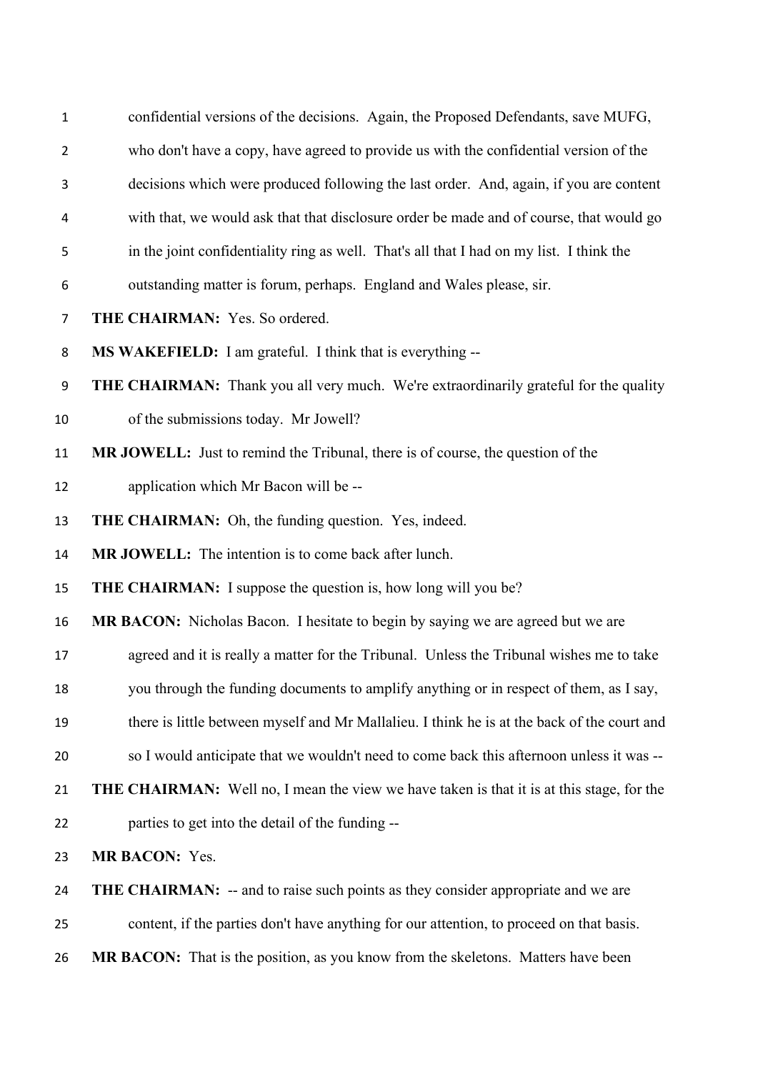| $\mathbf{1}$   | confidential versions of the decisions. Again, the Proposed Defendants, save MUFG,               |
|----------------|--------------------------------------------------------------------------------------------------|
| $\overline{2}$ | who don't have a copy, have agreed to provide us with the confidential version of the            |
| 3              | decisions which were produced following the last order. And, again, if you are content           |
| 4              | with that, we would ask that that disclosure order be made and of course, that would go          |
| 5              | in the joint confidentiality ring as well. That's all that I had on my list. I think the         |
| 6              | outstanding matter is forum, perhaps. England and Wales please, sir.                             |
| 7              | THE CHAIRMAN: Yes. So ordered.                                                                   |
| 8              | MS WAKEFIELD: I am grateful. I think that is everything --                                       |
| 9              | THE CHAIRMAN: Thank you all very much. We're extraordinarily grateful for the quality            |
| 10             | of the submissions today. Mr Jowell?                                                             |
| 11             | MR JOWELL: Just to remind the Tribunal, there is of course, the question of the                  |
| 12             | application which Mr Bacon will be --                                                            |
| 13             | THE CHAIRMAN: Oh, the funding question. Yes, indeed.                                             |
| 14             | MR JOWELL: The intention is to come back after lunch.                                            |
| 15             | <b>THE CHAIRMAN:</b> I suppose the question is, how long will you be?                            |
| 16             | MR BACON: Nicholas Bacon. I hesitate to begin by saying we are agreed but we are                 |
| 17             | agreed and it is really a matter for the Tribunal. Unless the Tribunal wishes me to take         |
| 18             | you through the funding documents to amplify anything or in respect of them, as I say,           |
| 19             | there is little between myself and Mr Mallalieu. I think he is at the back of the court and      |
| 20             | so I would anticipate that we wouldn't need to come back this afternoon unless it was --         |
| 21             | <b>THE CHAIRMAN:</b> Well no, I mean the view we have taken is that it is at this stage, for the |
| 22             | parties to get into the detail of the funding --                                                 |
| 23             | MR BACON: Yes.                                                                                   |
| 24             | <b>THE CHAIRMAN:</b> -- and to raise such points as they consider appropriate and we are         |
| 25             | content, if the parties don't have anything for our attention, to proceed on that basis.         |
|                |                                                                                                  |

**MR BACON:** That is the position, as you know from the skeletons. Matters have been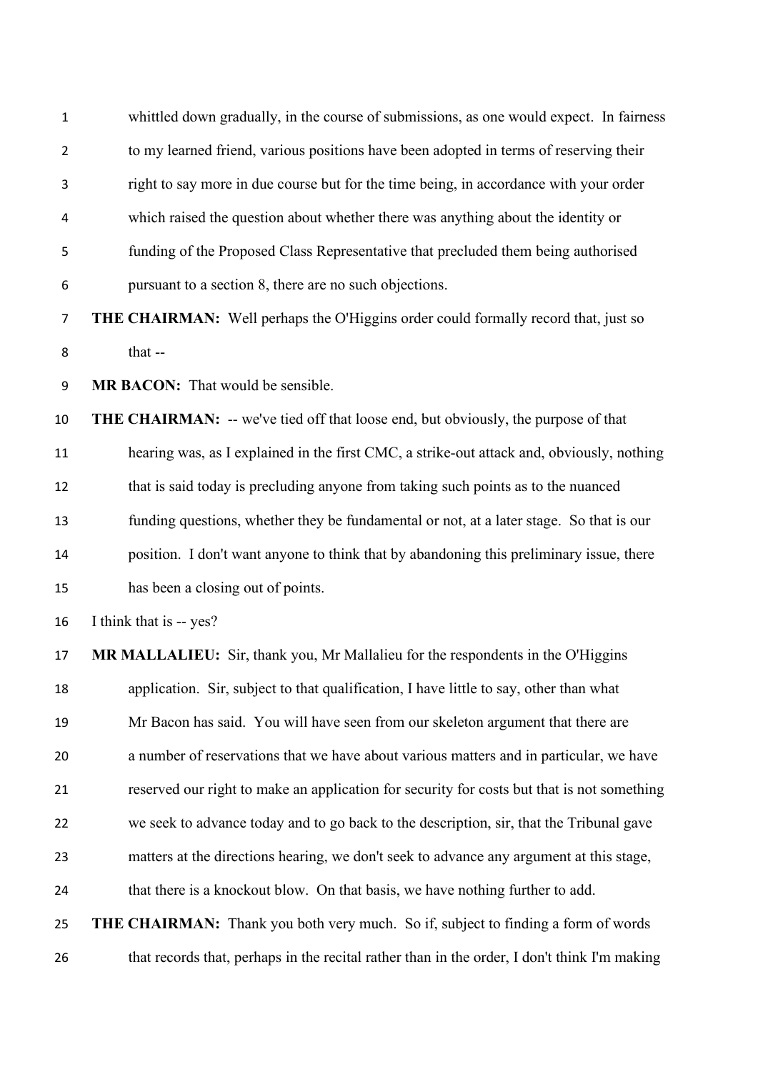| $\mathbf{1}$   | whittled down gradually, in the course of submissions, as one would expect. In fairness      |
|----------------|----------------------------------------------------------------------------------------------|
| $\overline{2}$ | to my learned friend, various positions have been adopted in terms of reserving their        |
| 3              | right to say more in due course but for the time being, in accordance with your order        |
| 4              | which raised the question about whether there was anything about the identity or             |
| 5              | funding of the Proposed Class Representative that precluded them being authorised            |
| 6              | pursuant to a section 8, there are no such objections.                                       |
| $\overline{7}$ | <b>THE CHAIRMAN:</b> Well perhaps the O'Higgins order could formally record that, just so    |
| 8              | that --                                                                                      |
| 9              | MR BACON: That would be sensible.                                                            |
| 10             | <b>THE CHAIRMAN:</b> -- we've tied off that loose end, but obviously, the purpose of that    |
| 11             | hearing was, as I explained in the first CMC, a strike-out attack and, obviously, nothing    |
| 12             | that is said today is precluding anyone from taking such points as to the nuanced            |
| 13             | funding questions, whether they be fundamental or not, at a later stage. So that is our      |
| 14             | position. I don't want anyone to think that by abandoning this preliminary issue, there      |
| 15             | has been a closing out of points.                                                            |
| 16             | I think that is -- yes?                                                                      |
| 17             | MR MALLALIEU: Sir, thank you, Mr Mallalieu for the respondents in the O'Higgins              |
| 18             | application. Sir, subject to that qualification, I have little to say, other than what       |
| 19             | Mr Bacon has said. You will have seen from our skeleton argument that there are              |
| 20             | a number of reservations that we have about various matters and in particular, we have       |
| 21             | reserved our right to make an application for security for costs but that is not something   |
| 22             | we seek to advance today and to go back to the description, sir, that the Tribunal gave      |
| 23             | matters at the directions hearing, we don't seek to advance any argument at this stage,      |
| 24             | that there is a knockout blow. On that basis, we have nothing further to add.                |
| 25             | <b>THE CHAIRMAN:</b> Thank you both very much. So if, subject to finding a form of words     |
| 26             | that records that, perhaps in the recital rather than in the order, I don't think I'm making |